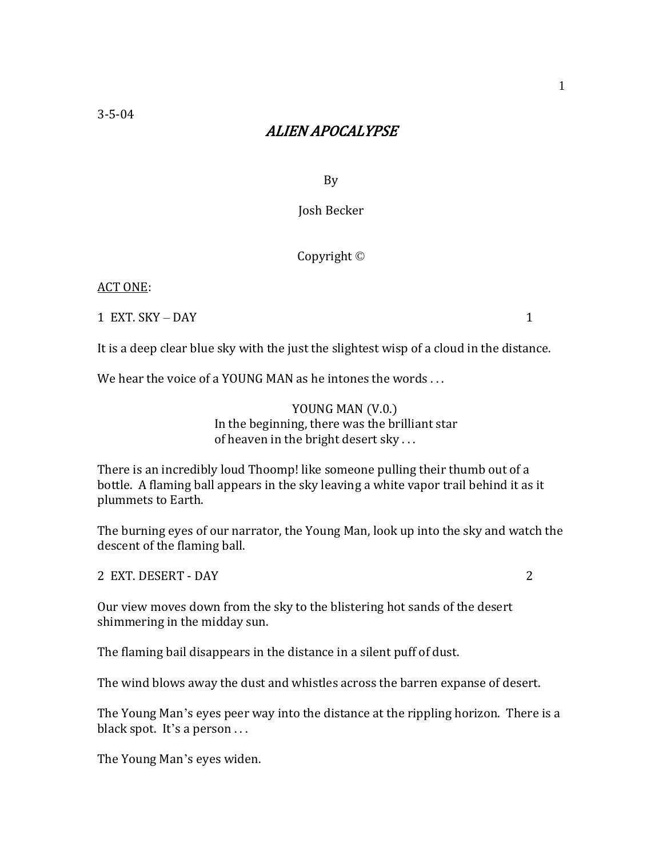# ALIEN APOCALYPSE

By

Josh Becker

Copyright ©

## ACT ONE:

1 EXT. SKY – DAY 1

It is a deep clear blue sky with the just the slightest wisp of a cloud in the distance.

We hear the voice of a YOUNG MAN as he intones the words ...

YOUNG MAN (V.0.) In the beginning, there was the brilliant star of heaven in the bright desert sky . . .

There is an incredibly loud Thoomp! like someone pulling their thumb out of a bottle. A flaming ball appears in the sky leaving a white vapor trail behind it as it plummets to Earth.

The burning eyes of our narrator, the Young Man, look up into the sky and watch the descent of the flaming ball.

2 EXT. DESERT - DAY 2

Our view moves down from the sky to the blistering hot sands of the desert shimmering in the midday sun.

The flaming bail disappears in the distance in a silent puff of dust.

The wind blows away the dust and whistles across the barren expanse of desert.

The Young Man's eyes peer way into the distance at the rippling horizon. There is a black spot. It's a person ...

The Young Man's eyes widen.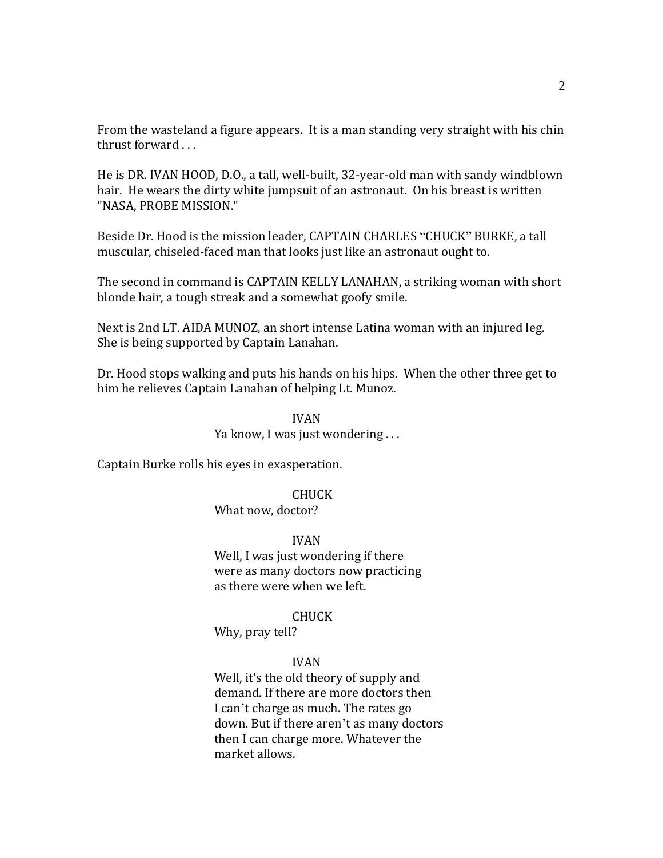From the wasteland a figure appears. It is a man standing very straight with his chin thrust forward . . .

He is DR. IVAN HOOD, D.O., a tall, well-built, 32-year-old man with sandy windblown hair. He wears the dirty white jumpsuit of an astronaut. On his breast is written "NASA, PROBE MISSION."

Beside Dr. Hood is the mission leader, CAPTAIN CHARLES "CHUCK" BURKE, a tall muscular, chiseled-faced man that looks just like an astronaut ought to.

The second in command is CAPTAIN KELLY LANAHAN, a striking woman with short blonde hair, a tough streak and a somewhat goofy smile.

Next is 2nd LT. AIDA MUNOZ, an short intense Latina woman with an injured leg. She is being supported by Captain Lanahan.

Dr. Hood stops walking and puts his hands on his hips. When the other three get to him he relieves Captain Lanahan of helping Lt. Munoz.

# IVAN Ya know, I was just wondering . . .

Captain Burke rolls his eyes in exasperation.

CHUCK

What now, doctor?

IVAN

Well, I was just wondering if there were as many doctors now practicing as there were when we left.

## CHUCK

Why, pray tell?

## IVAN

Well, it's the old theory of supply and demand. If there are more doctors then I can't charge as much. The rates go down. But if there aren't as many doctors then I can charge more. Whatever the market allows.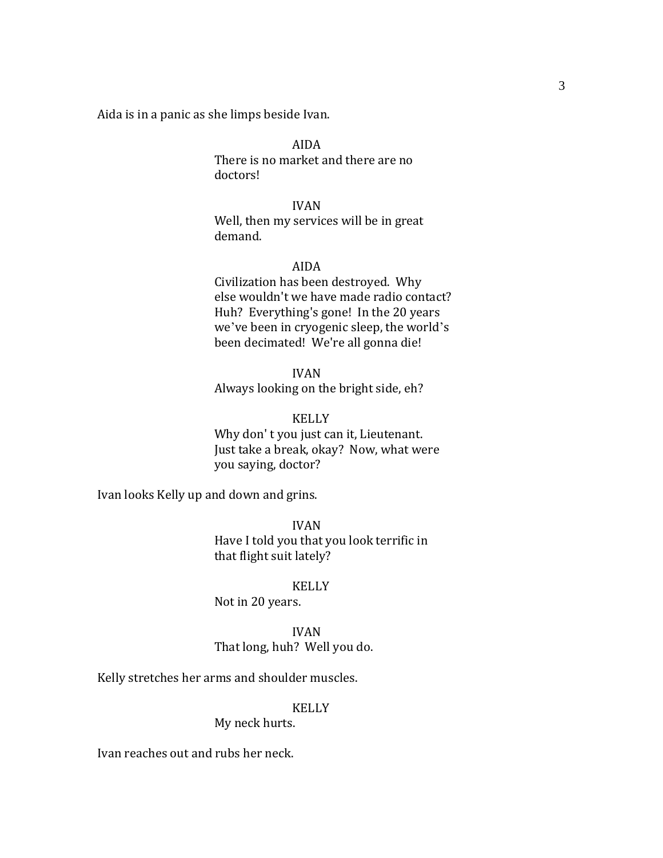Aida is in a panic as she limps beside Ivan.

AIDA There is no market and there are no doctors!

IVAN Well, then my services will be in great demand.

#### AIDA

Civilization has been destroyed. Why else wouldn't we have made radio contact? Huh? Everything's gone! In the 20 years we've been in cryogenic sleep, the world's been decimated! We're all gonna die!

IVAN

Always looking on the bright side, eh?

# KELLY

Why don' t you just can it, Lieutenant. Just take a break, okay? Now, what were you saying, doctor?

Ivan looks Kelly up and down and grins.

IVAN Have I told you that you look terrific in that flight suit lately?

#### KELLY

Not in 20 years.

IVAN That long, huh? Well you do.

Kelly stretches her arms and shoulder muscles.

### KELLY

My neck hurts.

Ivan reaches out and rubs her neck.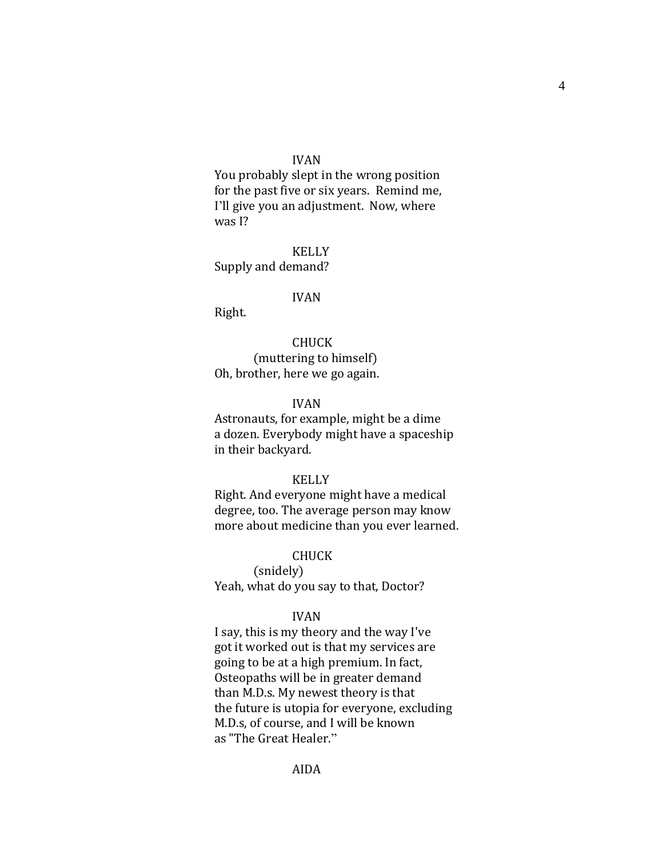#### IVAN

You probably slept in the wrong position for the past five or six years. Remind me, I'll give you an adjustment. Now, where was I?

KELLY Supply and demand?

#### IVAN

Right.

CHUCK (muttering to himself) Oh, brother, here we go again.

#### IVAN

Astronauts, for example, might be a dime a dozen. Everybody might have a spaceship in their backyard.

#### KELLY

Right. And everyone might have a medical degree, too. The average person may know more about medicine than you ever learned.

#### CHUCK

(snidely) Yeah, what do you say to that, Doctor?

### IVAN

I say, this is my theory and the way I've got it worked out is that my services are going to be at a high premium. In fact, Osteopaths will be in greater demand than M.D.s. My newest theory is that the future is utopia for everyone, excluding M.D.s, of course, and I will be known as "The Great Healer."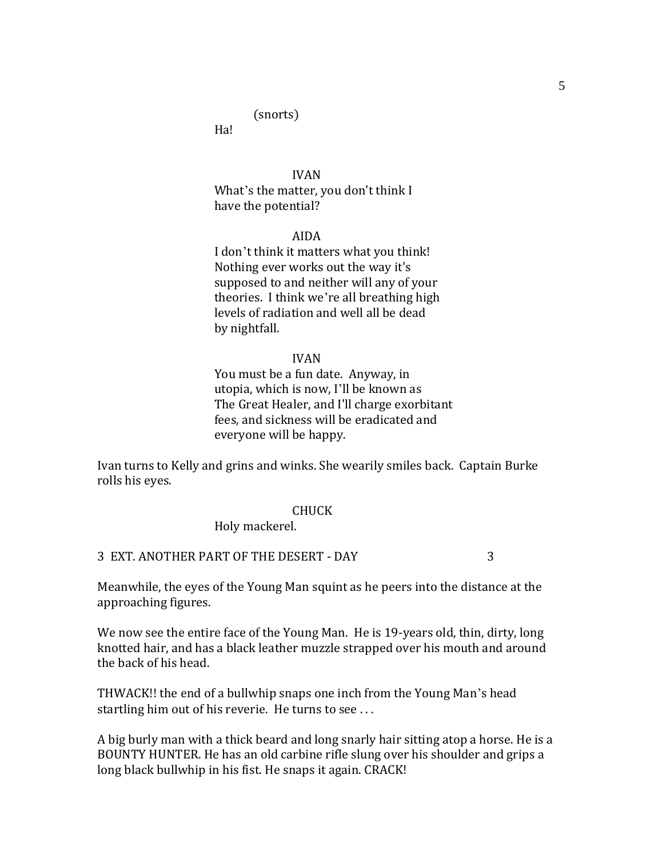# (snorts)

Ha!

IVAN What's the matter, you don't think I have the potential?

#### AIDA

I don't think it matters what you think! Nothing ever works out the way it's supposed to and neither will any of your theories. I think we're all breathing high levels of radiation and well all be dead by nightfall.

#### IVAN

You must be a fun date. Anyway, in utopia, which is now, I'll be known as The Great Healer, and I'll charge exorbitant fees, and sickness will be eradicated and everyone will be happy.

Ivan turns to Kelly and grins and winks. She wearily smiles back. Captain Burke rolls his eyes.

#### CHUCK

Holy mackerel.

## 3 EXT. ANOTHER PART OF THE DESERT - DAY 3

Meanwhile, the eyes of the Young Man squint as he peers into the distance at the approaching figures.

We now see the entire face of the Young Man. He is 19-years old, thin, dirty, long knotted hair, and has a black leather muzzle strapped over his mouth and around the back of his head.

THWACK!! the end of a bullwhip snaps one inch from the Young Man's head startling him out of his reverie. He turns to see ...

A big burly man with a thick beard and long snarly hair sitting atop a horse. He is a BOUNTY HUNTER. He has an old carbine rifle slung over his shoulder and grips a long black bullwhip in his fist. He snaps it again. CRACK!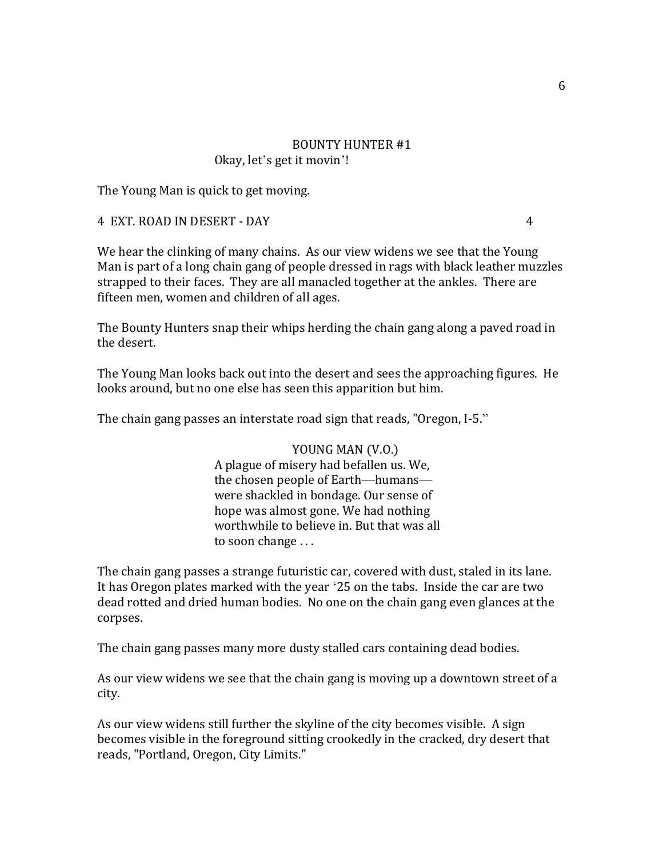## BOUNTY HUNTER #1 Okay, let's get it movin'!

The Young Man is quick to get moving.

4 EXT. ROAD IN DESERT - DAY 4

We hear the clinking of many chains. As our view widens we see that the Young Man is part of a long chain gang of people dressed in rags with black leather muzzles strapped to their faces. They are all manacled together at the ankles. There are fifteen men, women and children of all ages.

The Bounty Hunters snap their whips herding the chain gang along a paved road in the desert.

The Young Man looks back out into the desert and sees the approaching figures. He looks around, but no one else has seen this apparition but him.

The chain gang passes an interstate road sign that reads, "Oregon, I-5."

YOUNG MAN (V.O.) A plague of misery had befallen us. We, the chosen people of Earth—humans were shackled in bondage. Our sense of hope was almost gone. We had nothing worthwhile to believe in. But that was all to soon change . . .

The chain gang passes a strange futuristic car, covered with dust, staled in its lane. It has Oregon plates marked with the year '25 on the tabs. Inside the car are two dead rotted and dried human bodies. No one on the chain gang even glances at the corpses.

The chain gang passes many more dusty stalled cars containing dead bodies.

As our view widens we see that the chain gang is moving up a downtown street of a city.

As our view widens still further the skyline of the city becomes visible. A sign becomes visible in the foreground sitting crookedly in the cracked, dry desert that reads, "Portland, Oregon, City Limits."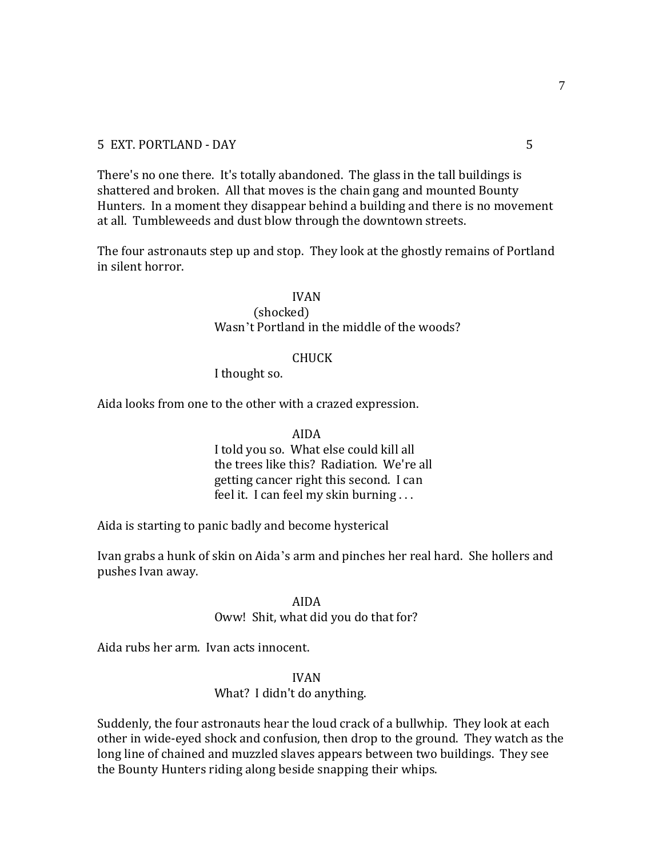There's no one there. It's totally abandoned. The glass in the tall buildings is shattered and broken. All that moves is the chain gang and mounted Bounty Hunters. In a moment they disappear behind a building and there is no movement at all. Tumbleweeds and dust blow through the downtown streets.

The four astronauts step up and stop. They look at the ghostly remains of Portland in silent horror.

# IVAN

### (shocked) Wasn't Portland in the middle of the woods?

#### CHUCK

I thought so.

Aida looks from one to the other with a crazed expression.

AIDA I told you so. What else could kill all the trees like this? Radiation. We're all getting cancer right this second. I can feel it. I can feel my skin burning . . .

Aida is starting to panic badly and become hysterical

Ivan grabs a hunk of skin on Aida's arm and pinches her real hard. She hollers and pushes Ivan away.

> AIDA Oww! Shit, what did you do that for?

Aida rubs her arm. Ivan acts innocent.

IVAN

What? I didn't do anything.

Suddenly, the four astronauts hear the loud crack of a bullwhip. They look at each other in wide-eyed shock and confusion, then drop to the ground. They watch as the long line of chained and muzzled slaves appears between two buildings. They see the Bounty Hunters riding along beside snapping their whips.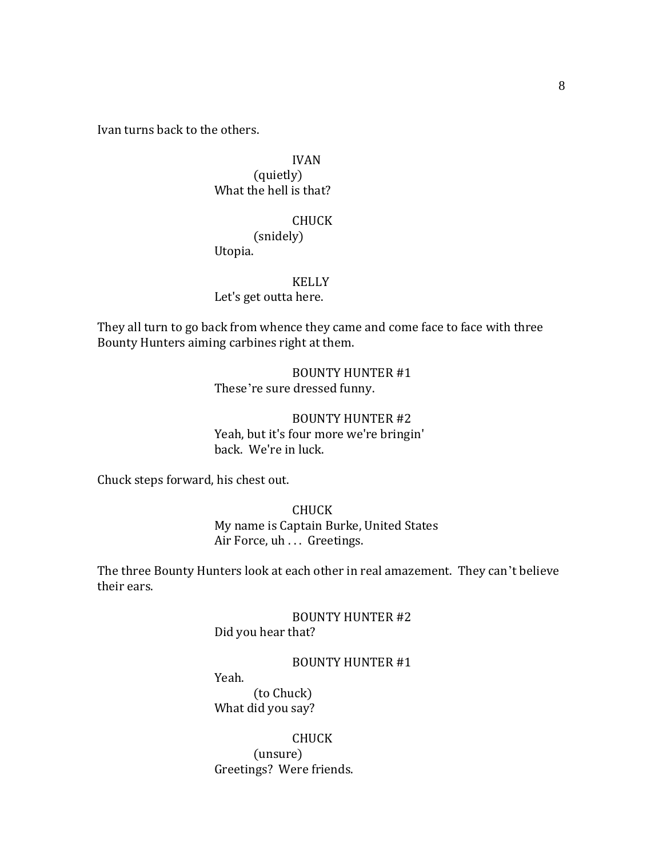Ivan turns back to the others.

# IVAN (quietly) What the hell is that?

## CHUCK

(snidely) Utopia.

#### KELLY

Let's get outta here.

They all turn to go back from whence they came and come face to face with three Bounty Hunters aiming carbines right at them.

> BOUNTY HUNTER #1 These're sure dressed funny.

BOUNTY HUNTER #2 Yeah, but it's four more we're bringin' back. We're in luck.

Chuck steps forward, his chest out.

CHUCK My name is Captain Burke, United States Air Force, uh . . . Greetings.

The three Bounty Hunters look at each other in real amazement. They can't believe their ears.

> BOUNTY HUNTER #2 Did you hear that?

# BOUNTY HUNTER #1

Yeah. (to Chuck)

What did you say?

CHUCK (unsure) Greetings? Were friends.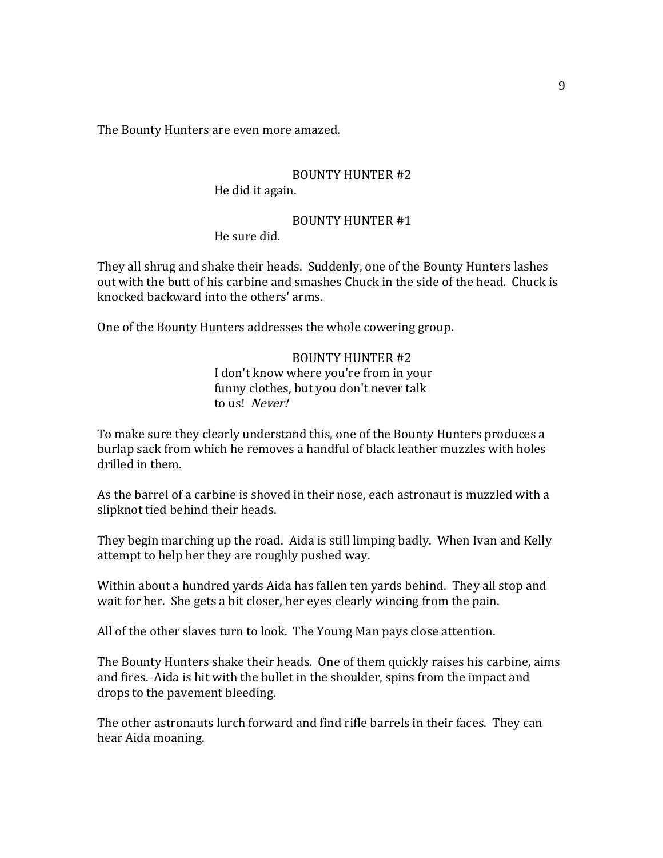The Bounty Hunters are even more amazed.

## BOUNTY HUNTER #2 He did it again.

#### BOUNTY HUNTER #1 He sure did.

They all shrug and shake their heads. Suddenly, one of the Bounty Hunters lashes out with the butt of his carbine and smashes Chuck in the side of the head. Chuck is knocked backward into the others' arms.

One of the Bounty Hunters addresses the whole cowering group.

# BOUNTY HUNTER #2 I don't know where you're from in your funny clothes, but you don't never talk to us! Never!

To make sure they clearly understand this, one of the Bounty Hunters produces a burlap sack from which he removes a handful of black leather muzzles with holes drilled in them.

As the barrel of a carbine is shoved in their nose, each astronaut is muzzled with a slipknot tied behind their heads.

They begin marching up the road. Aida is still limping badly. When Ivan and Kelly attempt to help her they are roughly pushed way.

Within about a hundred yards Aida has fallen ten yards behind. They all stop and wait for her. She gets a bit closer, her eyes clearly wincing from the pain.

All of the other slaves turn to look. The Young Man pays close attention.

The Bounty Hunters shake their heads. One of them quickly raises his carbine, aims and fires. Aida is hit with the bullet in the shoulder, spins from the impact and drops to the pavement bleeding.

The other astronauts lurch forward and find rifle barrels in their faces. They can hear Aida moaning.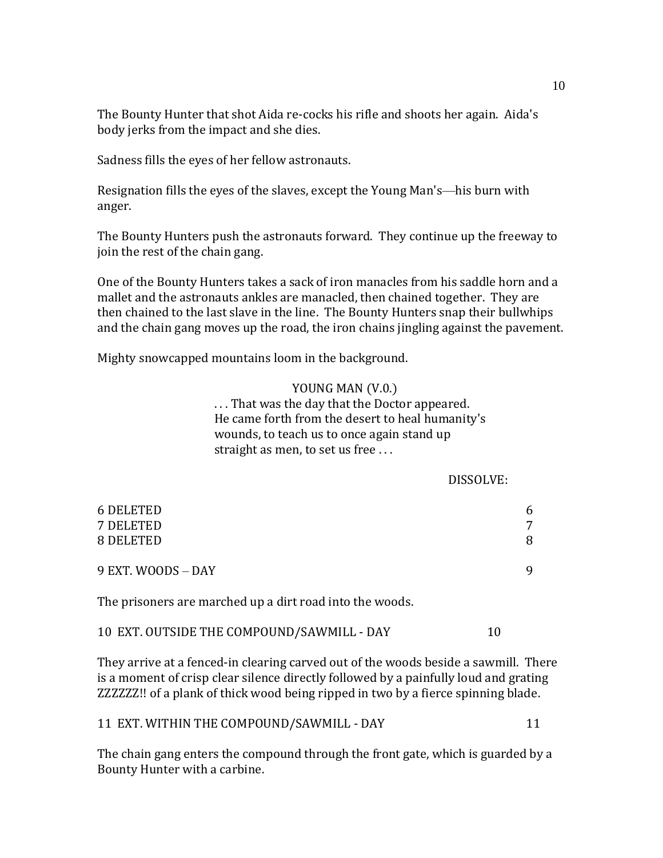The Bounty Hunter that shot Aida re-cocks his rifle and shoots her again. Aida's body jerks from the impact and she dies.

Sadness fills the eyes of her fellow astronauts.

Resignation fills the eyes of the slaves, except the Young Man's—his burn with anger.

The Bounty Hunters push the astronauts forward. They continue up the freeway to join the rest of the chain gang.

One of the Bounty Hunters takes a sack of iron manacles from his saddle horn and a mallet and the astronauts ankles are manacled, then chained together. They are then chained to the last slave in the line. The Bounty Hunters snap their bullwhips and the chain gang moves up the road, the iron chains jingling against the pavement.

Mighty snowcapped mountains loom in the background.

#### YOUNG MAN (V.0.)

. . . That was the day that the Doctor appeared. He came forth from the desert to heal humanity's wounds, to teach us to once again stand up straight as men, to set us free . . .

#### DISSOLVE:

| <b>6 DELETED</b><br>7 DELETED | 6<br>7 |
|-------------------------------|--------|
| 8 DELETED                     | 8      |
| 9 EXT. WOODS - DAY            | q      |

The prisoners are marched up a dirt road into the woods.

| 10 EXT. OUTSIDE THE COMPOUND/SAWMILL - DAY |  |
|--------------------------------------------|--|
|--------------------------------------------|--|

They arrive at a fenced-in clearing carved out of the woods beside a sawmill. There is a moment of crisp clear silence directly followed by a painfully loud and grating ZZZZZZ!! of a plank of thick wood being ripped in two by a fierce spinning blade.

## 11 EXT. WITHIN THE COMPOUND/SAWMILL - DAY 11

The chain gang enters the compound through the front gate, which is guarded by a Bounty Hunter with a carbine.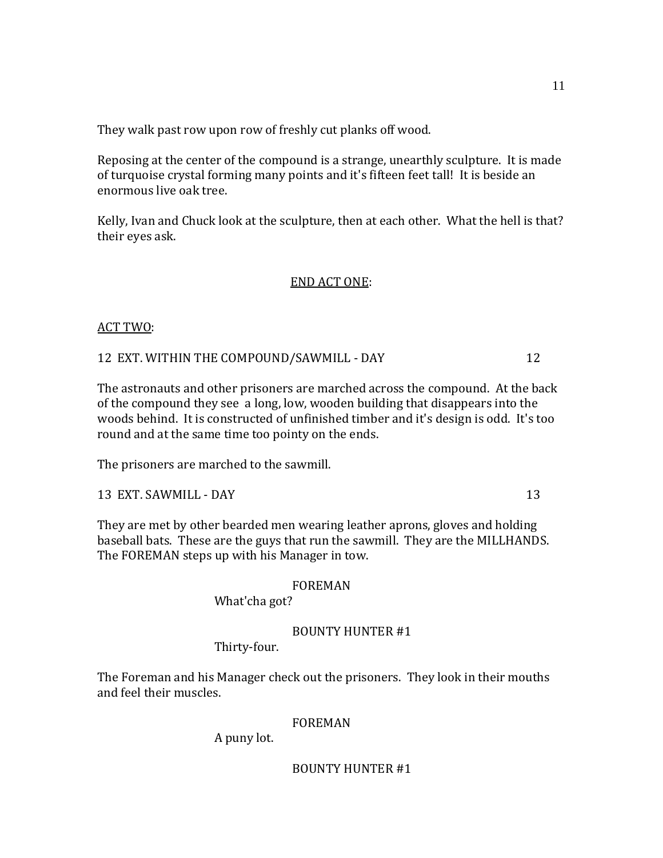They walk past row upon row of freshly cut planks off wood.

Reposing at the center of the compound is a strange, unearthly sculpture. It is made of turquoise crystal forming many points and it's fifteen feet tall! It is beside an enormous live oak tree.

Kelly, Ivan and Chuck look at the sculpture, then at each other. What the hell is that? their eyes ask.

## END ACT ONE:

# ACT TWO:

12 EXT. WITHIN THE COMPOUND/SAWMILL - DAY 12

The astronauts and other prisoners are marched across the compound. At the back of the compound they see a long, low, wooden building that disappears into the woods behind. It is constructed of unfinished timber and it's design is odd. It's too round and at the same time too pointy on the ends.

The prisoners are marched to the sawmill.

13 EXT. SAWMILL - DAY 13

They are met by other bearded men wearing leather aprons, gloves and holding baseball bats. These are the guys that run the sawmill. They are the MILLHANDS. The FOREMAN steps up with his Manager in tow.

## FOREMAN

What'cha got?

# BOUNTY HUNTER #1

Thirty-four.

The Foreman and his Manager check out the prisoners. They look in their mouths and feel their muscles.

## FOREMAN

A puny lot.

# BOUNTY HUNTER #1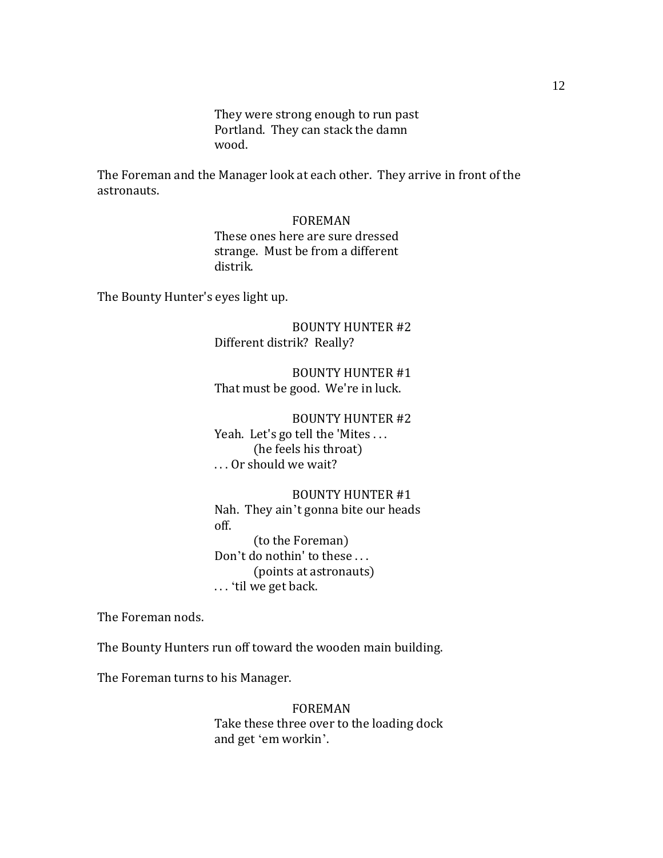They were strong enough to run past Portland. They can stack the damn wood.

The Foreman and the Manager look at each other. They arrive in front of the astronauts.

#### FOREMAN

These ones here are sure dressed strange. Must be from a different distrik.

The Bounty Hunter's eyes light up.

BOUNTY HUNTER #2 Different distrik? Really?

BOUNTY HUNTER #1 That must be good. We're in luck.

BOUNTY HUNTER #2 Yeah. Let's go tell the 'Mites ... (he feels his throat) . . . Or should we wait?

BOUNTY HUNTER #1 Nah. They ain't gonna bite our heads off. (to the Foreman) Don't do nothin' to these . . . (points at astronauts) . . . ‗til we get back.

The Foreman nods.

The Bounty Hunters run off toward the wooden main building.

The Foreman turns to his Manager.

FOREMAN Take these three over to the loading dock and get 'em workin'.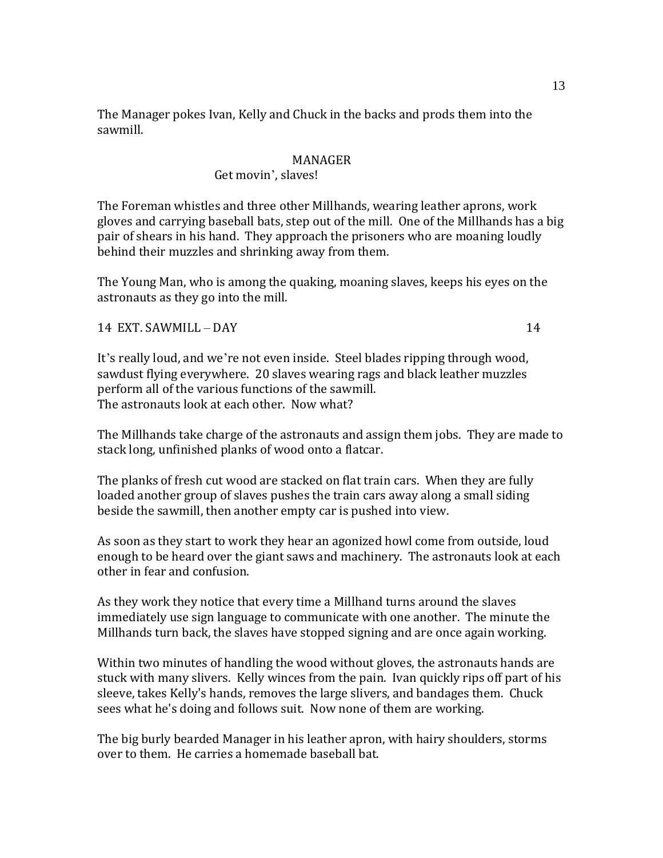The Manager pokes Ivan, Kelly and Chuck in the backs and prods them into the sawmill.

## MANAGER

#### Get movin', slaves!

The Foreman whistles and three other Millhands, wearing leather aprons, work gloves and carrying baseball bats, step out of the mill. One of the Millhands has a big pair of shears in his hand. They approach the prisoners who are moaning loudly behind their muzzles and shrinking away from them.

The Young Man, who is among the quaking, moaning slaves, keeps his eyes on the astronauts as they go into the mill.

14 EXT. SAWMILL – DAY 14

It's really loud, and we're not even inside. Steel blades ripping through wood, sawdust flying everywhere. 20 slaves wearing rags and black leather muzzles perform all of the various functions of the sawmill. The astronauts look at each other. Now what?

The Millhands take charge of the astronauts and assign them jobs. They are made to stack long, unfinished planks of wood onto a flatcar.

The planks of fresh cut wood are stacked on flat train cars. When they are fully loaded another group of slaves pushes the train cars away along a small siding beside the sawmill, then another empty car is pushed into view.

As soon as they start to work they hear an agonized howl come from outside, loud enough to be heard over the giant saws and machinery. The astronauts look at each other in fear and confusion.

As they work they notice that every time a Millhand turns around the slaves immediately use sign language to communicate with one another. The minute the Millhands turn back, the slaves have stopped signing and are once again working.

Within two minutes of handling the wood without gloves, the astronauts hands are stuck with many slivers. Kelly winces from the pain. Ivan quickly rips off part of his sleeve, takes Kelly's hands, removes the large slivers, and bandages them. Chuck sees what he's doing and follows suit. Now none of them are working.

The big burly bearded Manager in his leather apron, with hairy shoulders, storms over to them. He carries a homemade baseball bat.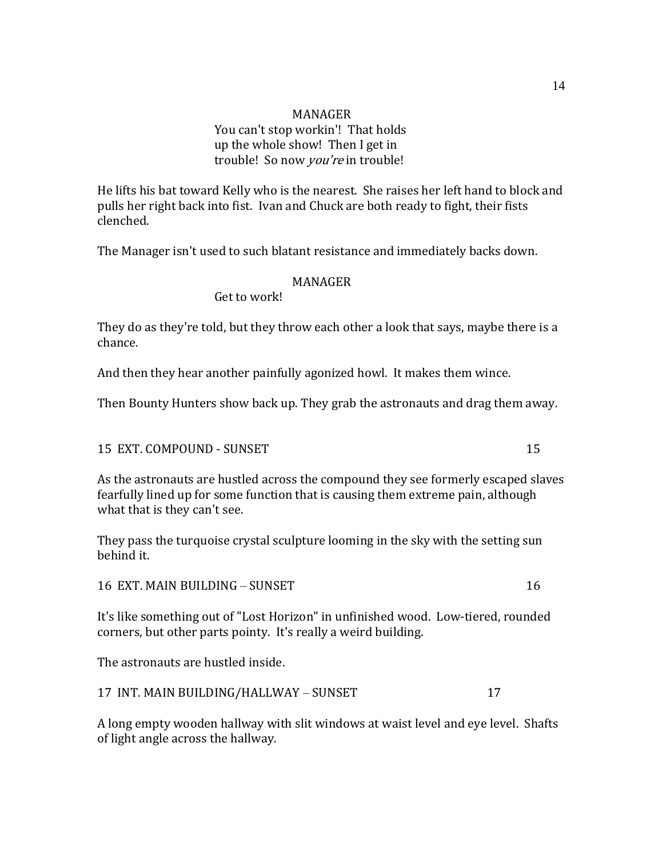# MANAGER You can't stop workin'! That holds up the whole show! Then I get in trouble! So now you're in trouble!

He lifts his bat toward Kelly who is the nearest. She raises her left hand to block and pulls her right back into fist. Ivan and Chuck are both ready to fight, their fists clenched.

The Manager isn't used to such blatant resistance and immediately backs down.

# MANAGER

Get to work!

They do as they're told, but they throw each other a look that says, maybe there is a chance.

And then they hear another painfully agonized howl. It makes them wince.

Then Bounty Hunters show back up. They grab the astronauts and drag them away.

## 15 EXT. COMPOUND - SUNSET 15 2000 15

As the astronauts are hustled across the compound they see formerly escaped slaves fearfully lined up for some function that is causing them extreme pain, although what that is they can't see.

They pass the turquoise crystal sculpture looming in the sky with the setting sun behind it.

16 EXT. MAIN BUILDING – SUNSET 16

It's like something out of "Lost Horizon" in unfinished wood. Low-tiered, rounded corners, but other parts pointy. It's really a weird building.

The astronauts are hustled inside.

17 INT. MAIN BUILDING/HALLWAY – SUNSET 17

A long empty wooden hallway with slit windows at waist level and eye level. Shafts of light angle across the hallway.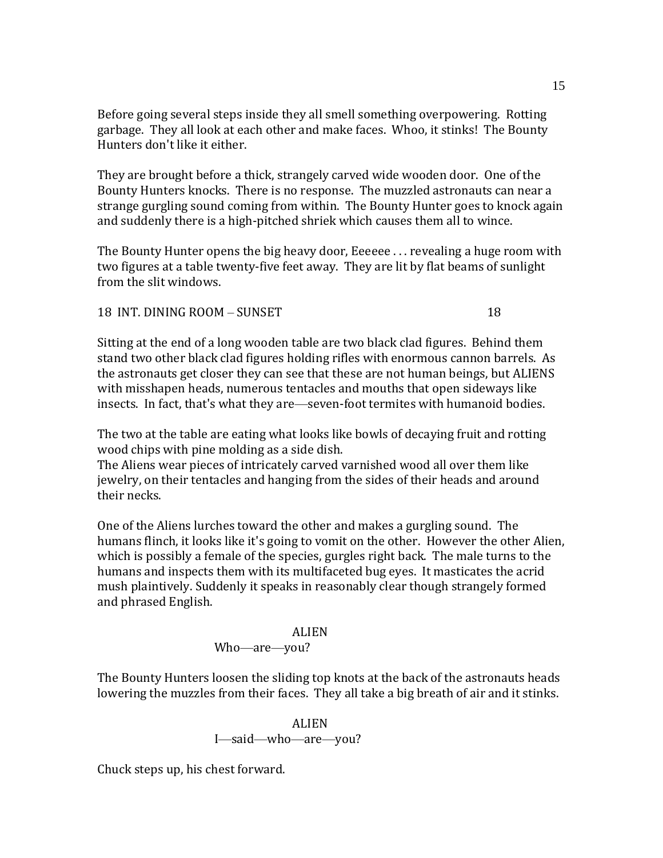Before going several steps inside they all smell something overpowering. Rotting garbage. They all look at each other and make faces. Whoo, it stinks! The Bounty Hunters don't like it either.

They are brought before a thick, strangely carved wide wooden door. One of the Bounty Hunters knocks. There is no response. The muzzled astronauts can near a strange gurgling sound coming from within. The Bounty Hunter goes to knock again and suddenly there is a high-pitched shriek which causes them all to wince.

The Bounty Hunter opens the big heavy door, Eeeeee . . . revealing a huge room with two figures at a table twenty-five feet away. They are lit by flat beams of sunlight from the slit windows.

18 INT. DINING ROOM – SUNSET 18

Sitting at the end of a long wooden table are two black clad figures. Behind them stand two other black clad figures holding rifles with enormous cannon barrels. As the astronauts get closer they can see that these are not human beings, but ALIENS with misshapen heads, numerous tentacles and mouths that open sideways like insects. In fact, that's what they are—seven-foot termites with humanoid bodies.

The two at the table are eating what looks like bowls of decaying fruit and rotting wood chips with pine molding as a side dish.

The Aliens wear pieces of intricately carved varnished wood all over them like jewelry, on their tentacles and hanging from the sides of their heads and around their necks.

One of the Aliens lurches toward the other and makes a gurgling sound. The humans flinch, it looks like it's going to vomit on the other. However the other Alien, which is possibly a female of the species, gurgles right back. The male turns to the humans and inspects them with its multifaceted bug eyes. It masticates the acrid mush plaintively. Suddenly it speaks in reasonably clear though strangely formed and phrased English.

# ALIEN Who—are—you?

The Bounty Hunters loosen the sliding top knots at the back of the astronauts heads lowering the muzzles from their faces. They all take a big breath of air and it stinks.

# ALIEN I—said—who—are—you?

Chuck steps up, his chest forward.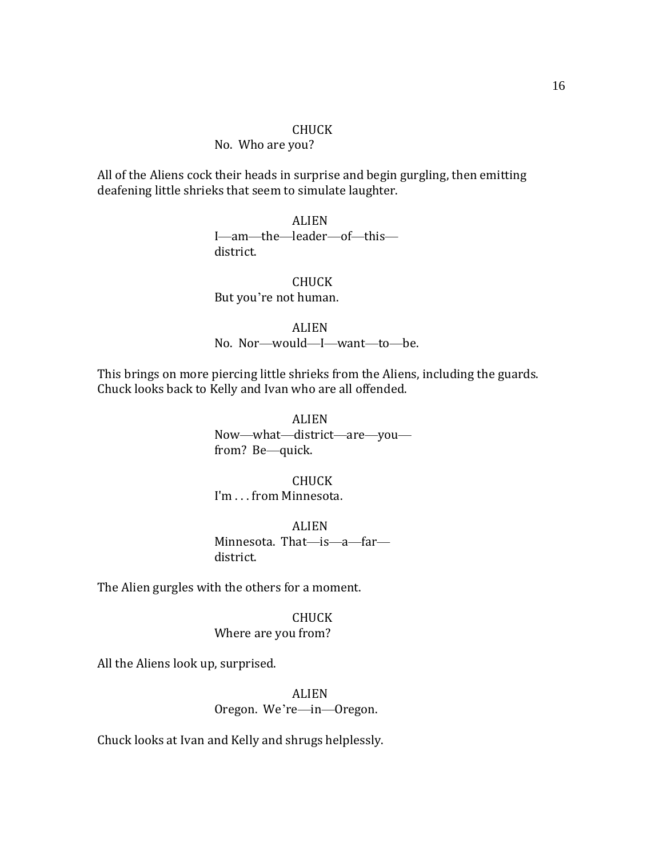#### No. Who are you?

All of the Aliens cock their heads in surprise and begin gurgling, then emitting deafening little shrieks that seem to simulate laughter.

> ALIEN I—am—the—leader—of—this district.

CHUCK But you're not human.

ALIEN

No. Nor—would—I—want—to—be.

This brings on more piercing little shrieks from the Aliens, including the guards. Chuck looks back to Kelly and Ivan who are all offended.

> ALIEN Now—what—district—are—you from? Be—quick.

CHUCK I'm . . . from Minnesota.

ALIEN Minnesota. That—is—a—far district.

The Alien gurgles with the others for a moment.

CHUCK Where are you from?

All the Aliens look up, surprised.

ALIEN Oregon. We're—in—Oregon.

Chuck looks at Ivan and Kelly and shrugs helplessly.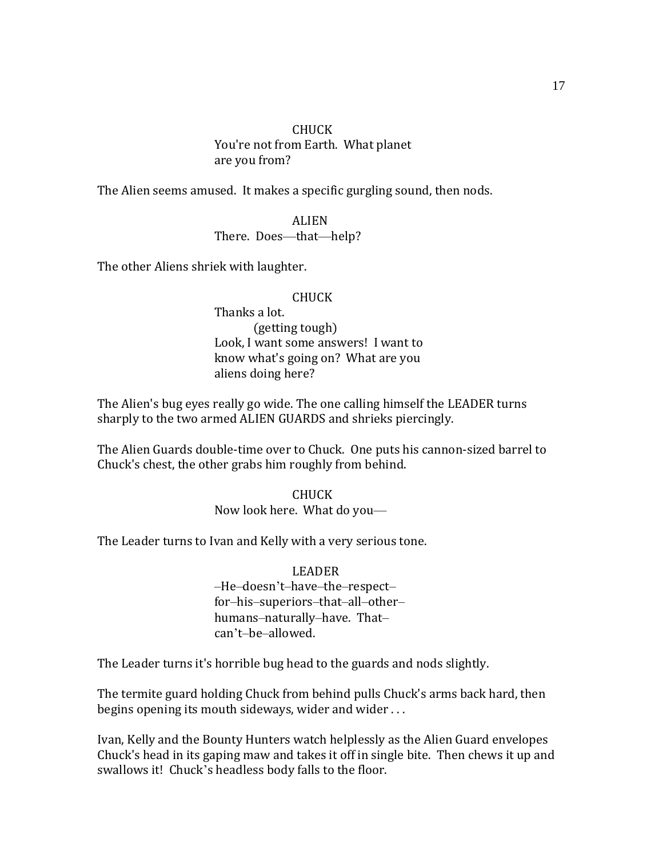### CHUCK You're not from Earth. What planet are you from?

The Alien seems amused. It makes a specific gurgling sound, then nods.

ALIEN There. Does—that—help?

The other Aliens shriek with laughter.

## CHUCK

Thanks a lot. (getting tough) Look, I want some answers! I want to know what's going on? What are you aliens doing here?

The Alien's bug eyes really go wide. The one calling himself the LEADER turns sharply to the two armed ALIEN GUARDS and shrieks piercingly.

The Alien Guards double-time over to Chuck. One puts his cannon-sized barrel to Chuck's chest, the other grabs him roughly from behind.

> CHUCK Now look here. What do you—

The Leader turns to Ivan and Kelly with a very serious tone.

# LEADER

–He–doesn't–have–the–respect– for–his–superiors–that–all–other– humans–naturally–have. That– can't–be–allowed.

The Leader turns it's horrible bug head to the guards and nods slightly.

The termite guard holding Chuck from behind pulls Chuck's arms back hard, then begins opening its mouth sideways, wider and wider . . .

Ivan, Kelly and the Bounty Hunters watch helplessly as the Alien Guard envelopes Chuck's head in its gaping maw and takes it off in single bite. Then chews it up and swallows it! Chuck's headless body falls to the floor.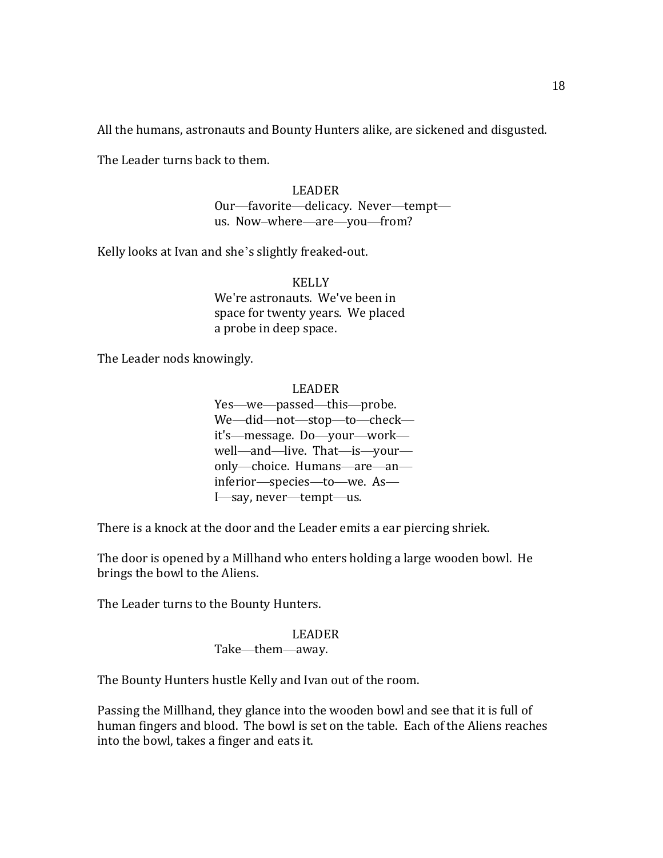All the humans, astronauts and Bounty Hunters alike, are sickened and disgusted.

The Leader turns back to them.

LEADER Our—favorite—delicacy. Never—tempt us. Now–where—are—you—from?

Kelly looks at Ivan and she's slightly freaked-out.

**KELLY** We're astronauts. We've been in space for twenty years. We placed a probe in deep space.

The Leader nods knowingly.

LEADER

Yes—we—passed—this—probe. We—did—not—stop—to—check it's—message. Do—your—work well—and—live. That—is—your only—choice. Humans—are—an inferior—species—to—we. As— I—say, never—tempt—us.

There is a knock at the door and the Leader emits a ear piercing shriek.

The door is opened by a Millhand who enters holding a large wooden bowl. He brings the bowl to the Aliens.

The Leader turns to the Bounty Hunters.

# LEADER

# Take—them—away.

The Bounty Hunters hustle Kelly and Ivan out of the room.

Passing the Millhand, they glance into the wooden bowl and see that it is full of human fingers and blood. The bowl is set on the table. Each of the Aliens reaches into the bowl, takes a finger and eats it.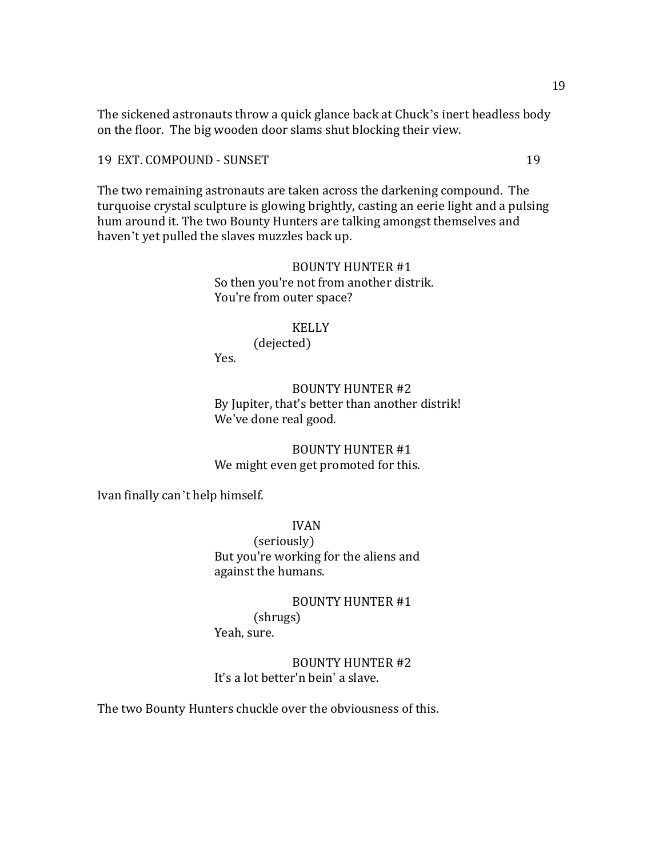The sickened astronauts throw a quick glance back at Chuck's inert headless body on the floor. The big wooden door slams shut blocking their view.

19 EXT. COMPOUND - SUNSET 19

The two remaining astronauts are taken across the darkening compound. The turquoise crystal sculpture is glowing brightly, casting an eerie light and a pulsing hum around it. The two Bounty Hunters are talking amongst themselves and haven't yet pulled the slaves muzzles back up.

# BOUNTY HUNTER #1 So then you're not from another distrik. You're from outer space?

### KELLY

(dejected) Yes.

BOUNTY HUNTER #2 By Jupiter, that's better than another distrik! We've done real good.

BOUNTY HUNTER #1 We might even get promoted for this.

Ivan finally can't help himself.

IVAN (seriously) But you're working for the aliens and against the humans.

BOUNTY HUNTER #1 (shrugs) Yeah, sure.

BOUNTY HUNTER #2 It's a lot better'n bein' a slave.

The two Bounty Hunters chuckle over the obviousness of this.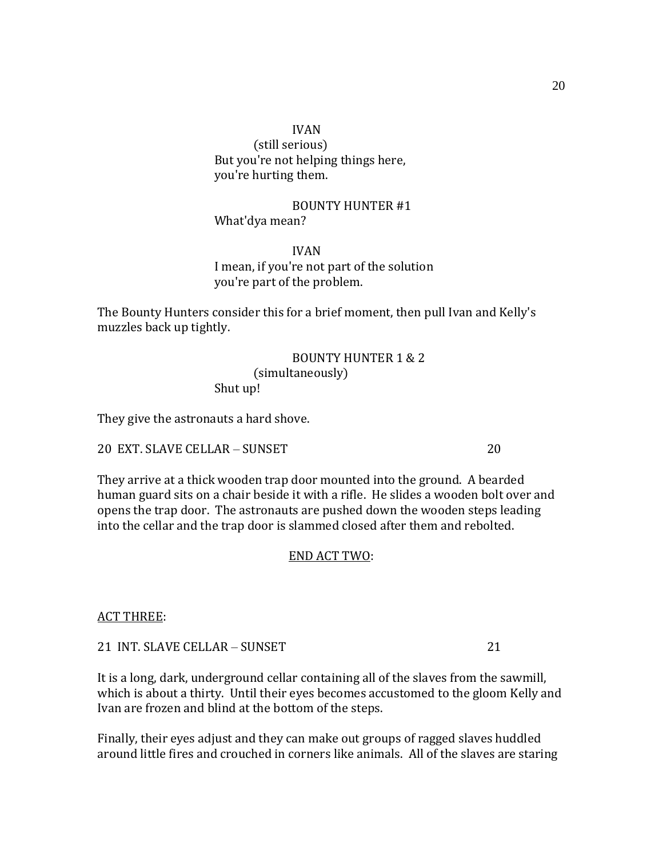(still serious) But you're not helping things here, you're hurting them.

BOUNTY HUNTER #1 What'dya mean?

IVAN I mean, if you're not part of the solution you're part of the problem.

The Bounty Hunters consider this for a brief moment, then pull Ivan and Kelly's muzzles back up tightly.

# BOUNTY HUNTER 1 & 2 (simultaneously) Shut up!

They give the astronauts a hard shove.

# 20 EXT. SLAVE CELLAR – SUNSET 20

They arrive at a thick wooden trap door mounted into the ground. A bearded human guard sits on a chair beside it with a rifle. He slides a wooden bolt over and opens the trap door. The astronauts are pushed down the wooden steps leading into the cellar and the trap door is slammed closed after them and rebolted.

# END ACT TWO:

ACT THREE:

21 INT. SLAVE CELLAR – SUNSET 21

It is a long, dark, underground cellar containing all of the slaves from the sawmill, which is about a thirty. Until their eyes becomes accustomed to the gloom Kelly and Ivan are frozen and blind at the bottom of the steps.

Finally, their eyes adjust and they can make out groups of ragged slaves huddled around little fires and crouched in corners like animals. All of the slaves are staring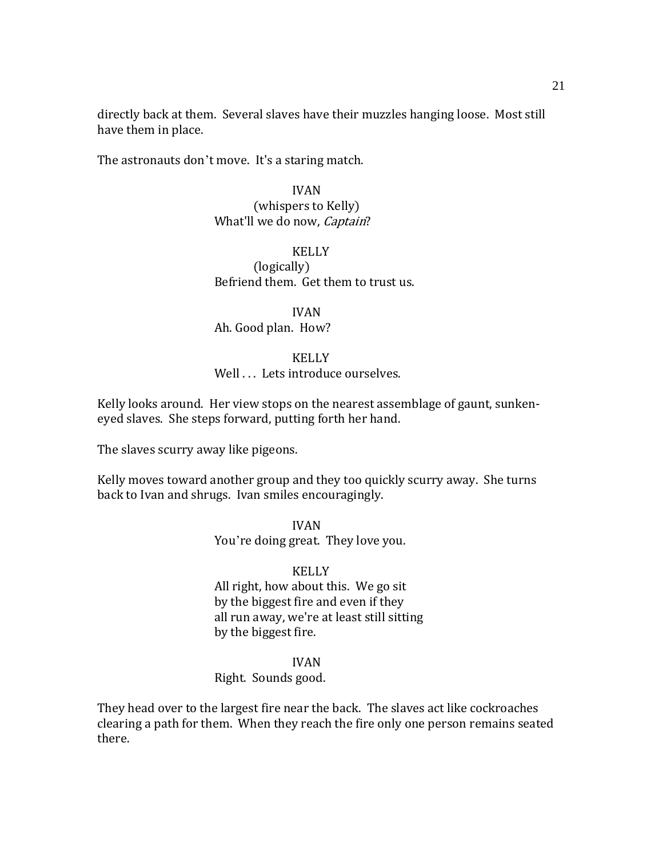directly back at them. Several slaves have their muzzles hanging loose. Most still have them in place.

The astronauts don't move. It's a staring match.

## IVAN

# (whispers to Kelly) What'll we do now, *Captain*?

#### KELLY

(logically) Befriend them. Get them to trust us.

# IVAN

# Ah. Good plan. How?

#### **KELLY**

# Well . . . Lets introduce ourselves.

Kelly looks around. Her view stops on the nearest assemblage of gaunt, sunkeneyed slaves. She steps forward, putting forth her hand.

The slaves scurry away like pigeons.

Kelly moves toward another group and they too quickly scurry away. She turns back to Ivan and shrugs. Ivan smiles encouragingly.

> IVAN You're doing great. They love you.

#### KELLY

All right, how about this. We go sit by the biggest fire and even if they all run away, we're at least still sitting by the biggest fire.

#### IVAN

# Right. Sounds good.

They head over to the largest fire near the back. The slaves act like cockroaches clearing a path for them. When they reach the fire only one person remains seated there.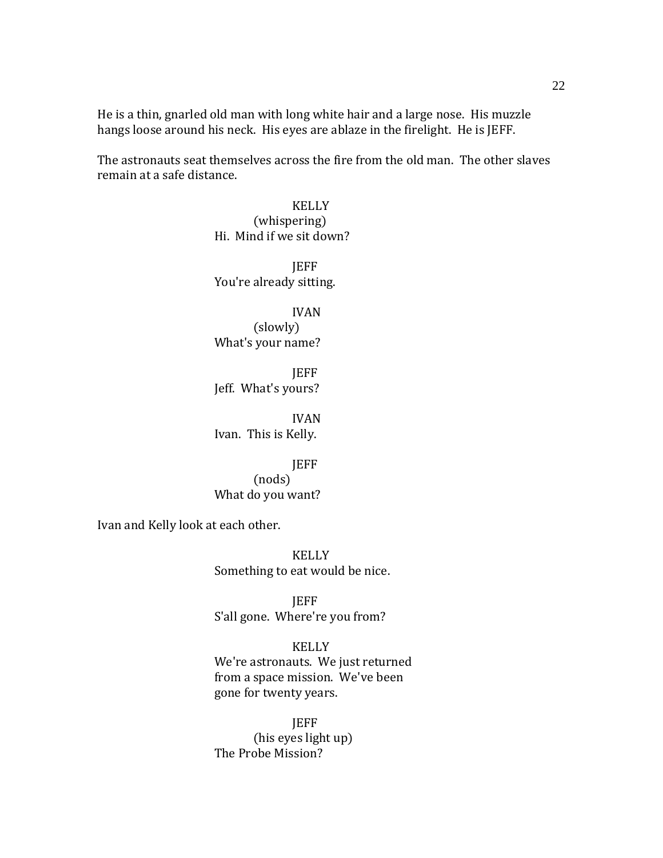He is a thin, gnarled old man with long white hair and a large nose. His muzzle hangs loose around his neck. His eyes are ablaze in the firelight. He is JEFF.

The astronauts seat themselves across the fire from the old man. The other slaves remain at a safe distance.

> KELLY (whispering) Hi. Mind if we sit down?

JEFF You're already sitting.

IVAN (slowly) What's your name?

**JEFF** Jeff. What's yours?

IVAN Ivan. This is Kelly.

JEFF (nods) What do you want?

Ivan and Kelly look at each other.

KELLY Something to eat would be nice.

JEFF S'all gone. Where're you from?

# KELLY

We're astronauts. We just returned from a space mission. We've been gone for twenty years.

JEFF (his eyes light up) The Probe Mission?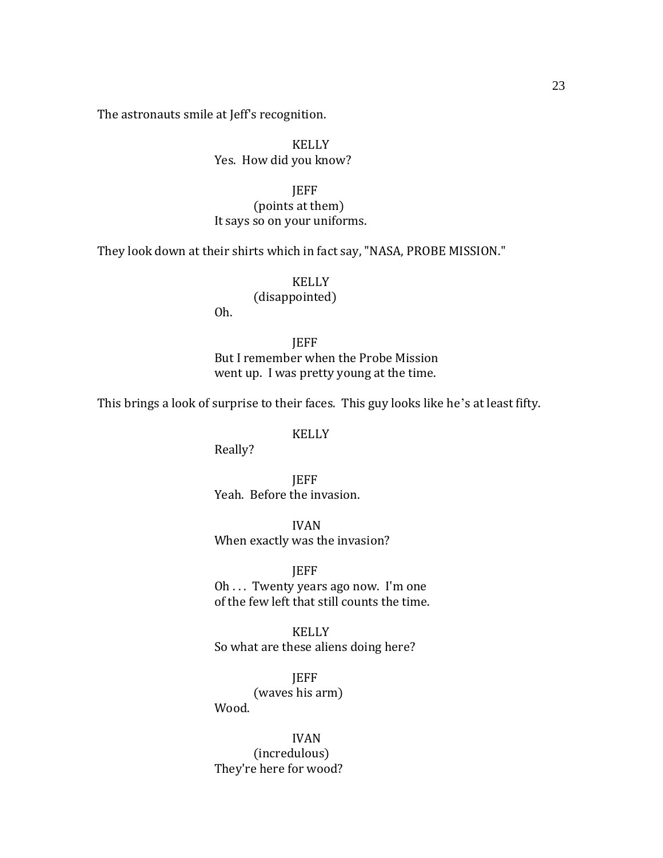The astronauts smile at Jeff's recognition.

## KELLY Yes. How did you know?

JEFF (points at them) It says so on your uniforms.

They look down at their shirts which in fact say, "NASA, PROBE MISSION."

# KELLY (disappointed)

Oh.

**IEFF** But I remember when the Probe Mission went up. I was pretty young at the time.

This brings a look of surprise to their faces. This guy looks like he's at least fifty.

KELLY

Really?

JEFF Yeah. Before the invasion.

IVAN When exactly was the invasion?

JEFF

Oh . . . Twenty years ago now. I'm one of the few left that still counts the time.

KELLY So what are these aliens doing here?

JEFF (waves his arm) Wood.

IVAN (incredulous) They're here for wood?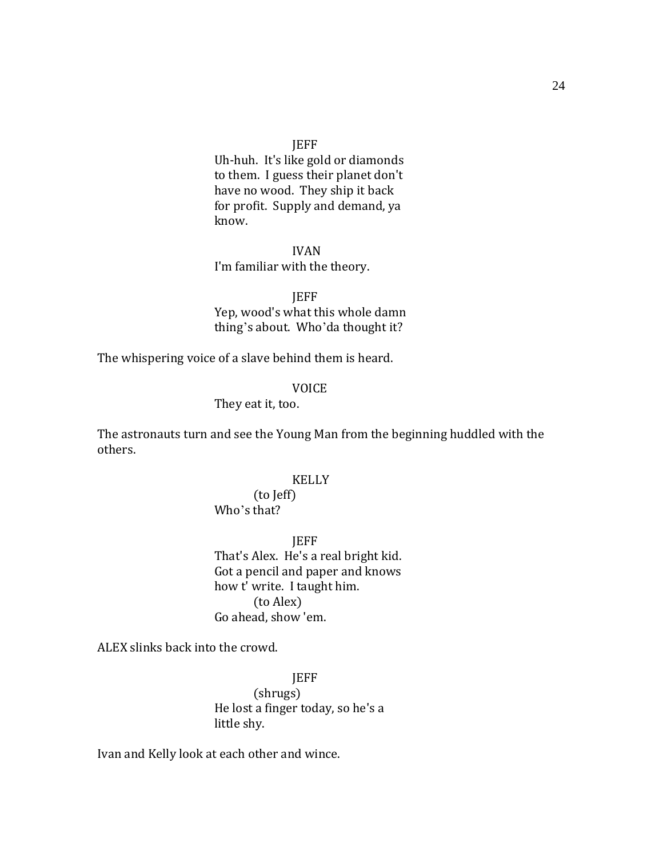Uh-huh. It's like gold or diamonds to them. I guess their planet don't have no wood. They ship it back for profit. Supply and demand, ya know.

IVAN I'm familiar with the theory.

JEFF Yep, wood's what this whole damn thing's about. Who'da thought it?

The whispering voice of a slave behind them is heard.

#### VOICE

They eat it, too.

The astronauts turn and see the Young Man from the beginning huddled with the others.

#### KELLY

# (to Jeff) Who's that?

JEFF That's Alex. He's a real bright kid. Got a pencil and paper and knows how t' write. I taught him. (to Alex) Go ahead, show 'em.

ALEX slinks back into the crowd.

**JEFF** (shrugs) He lost a finger today, so he's a little shy.

Ivan and Kelly look at each other and wince.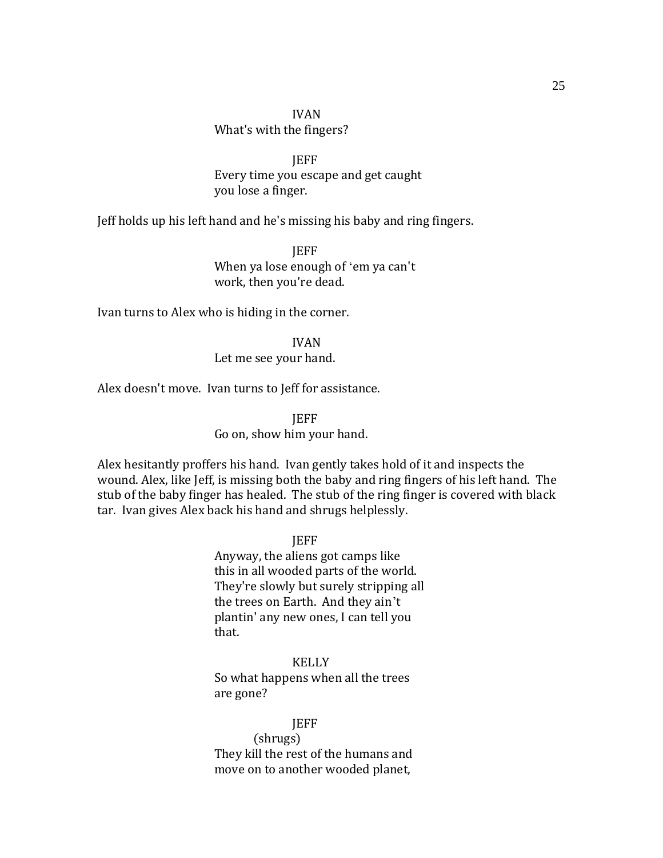# IVAN What's with the fingers?

**IEFF** Every time you escape and get caught you lose a finger.

Jeff holds up his left hand and he's missing his baby and ring fingers.

JEFF When ya lose enough of 'em ya can't work, then you're dead.

Ivan turns to Alex who is hiding in the corner.

IVAN Let me see your hand.

Alex doesn't move. Ivan turns to Jeff for assistance.

**IEFF** 

Go on, show him your hand.

Alex hesitantly proffers his hand. Ivan gently takes hold of it and inspects the wound. Alex, like Jeff, is missing both the baby and ring fingers of his left hand. The stub of the baby finger has healed. The stub of the ring finger is covered with black tar. Ivan gives Alex back his hand and shrugs helplessly.

JEFF

Anyway, the aliens got camps like this in all wooded parts of the world. They're slowly but surely stripping all the trees on Earth. And they ain't plantin' any new ones, I can tell you that.

KELLY So what happens when all the trees are gone?

JEFF (shrugs) They kill the rest of the humans and move on to another wooded planet,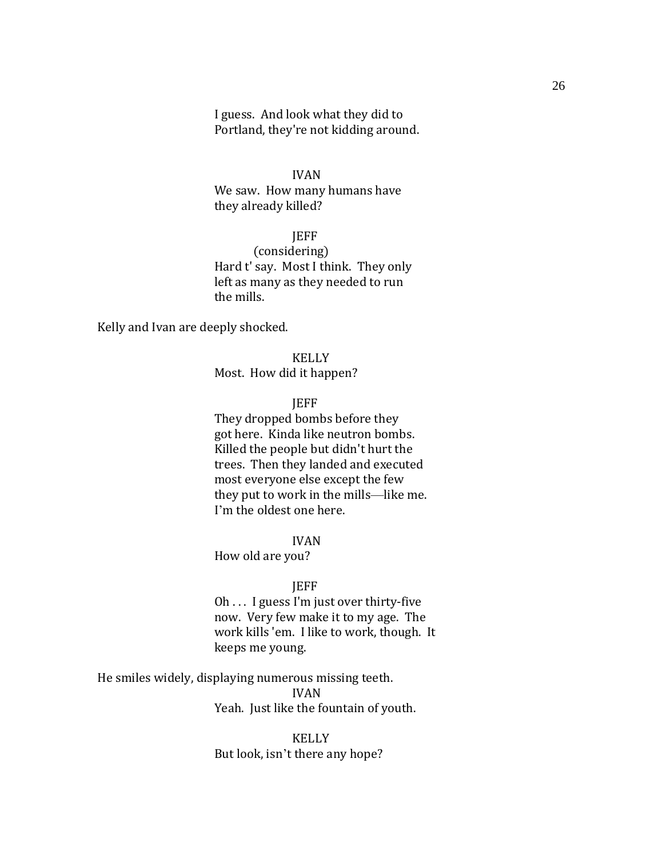I guess. And look what they did to Portland, they're not kidding around.

#### IVAN

We saw. How many humans have they already killed?

#### JEFF

(considering) Hard t' say. Most I think. They only left as many as they needed to run the mills.

Kelly and Ivan are deeply shocked.

KELLY Most. How did it happen?

#### **IEFF**

They dropped bombs before they got here. Kinda like neutron bombs. Killed the people but didn't hurt the trees. Then they landed and executed most everyone else except the few they put to work in the mills—like me. I'm the oldest one here.

#### IVAN

How old are you?

#### **IEFF**

Oh . . . I guess I'm just over thirty-five now. Very few make it to my age. The work kills 'em. I like to work, though. It keeps me young.

He smiles widely, displaying numerous missing teeth. IVAN Yeah. Just like the fountain of youth.

> KELLY But look, isn't there any hope?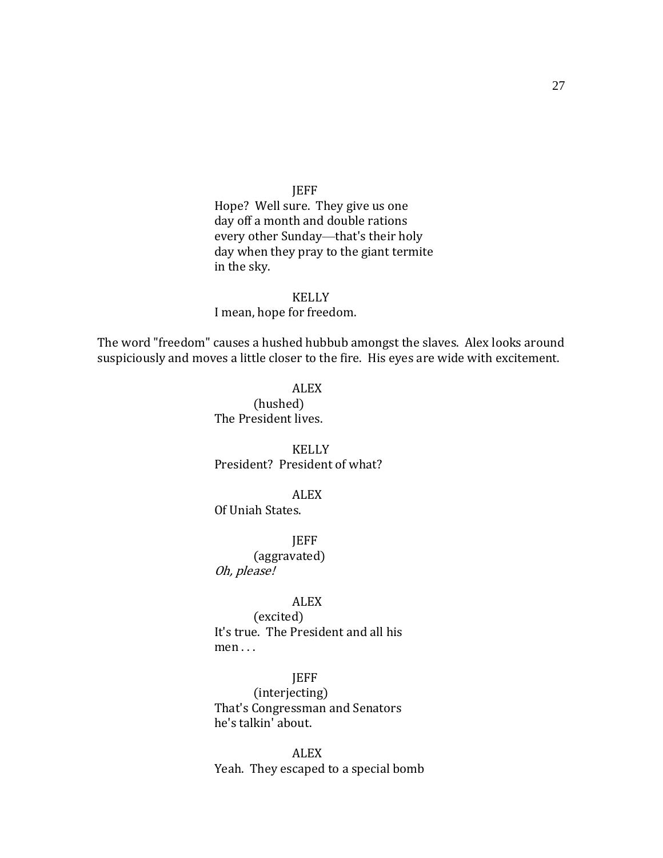# JEFF

Hope? Well sure. They give us one day off a month and double rations every other Sunday—that's their holy day when they pray to the giant termite in the sky.

#### KELLY

I mean, hope for freedom.

The word "freedom" causes a hushed hubbub amongst the slaves. Alex looks around suspiciously and moves a little closer to the fire. His eyes are wide with excitement.

#### ALEX

(hushed) The President lives.

KELLY President? President of what?

### ALEX

Of Uniah States.

JEFF

(aggravated) Oh, please!

#### ALEX

(excited) It's true. The President and all his men . . .

#### JEFF

(interjecting) That's Congressman and Senators he's talkin' about.

ALEX Yeah. They escaped to a special bomb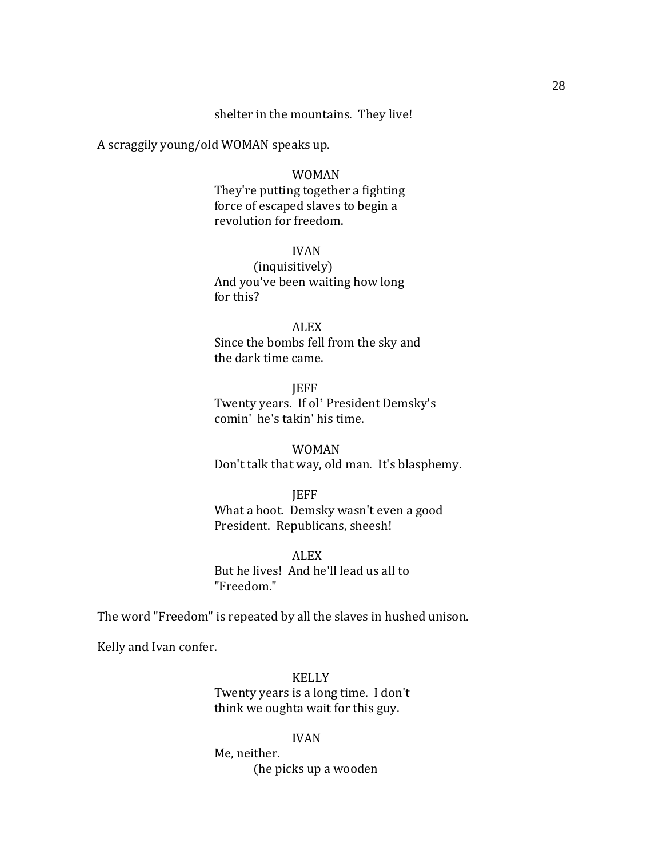# shelter in the mountains. They live!

A scraggily young/old WOMAN speaks up.

#### WOMAN

They're putting together a fighting force of escaped slaves to begin a revolution for freedom.

# IVAN

(inquisitively) And you've been waiting how long for this?

ALEX Since the bombs fell from the sky and the dark time came.

JEFF Twenty years. If ol' President Demsky's comin' he's takin' his time.

WOMAN Don't talk that way, old man. It's blasphemy.

### **JEFF**

What a hoot. Demsky wasn't even a good President. Republicans, sheesh!

ALEX

But he lives! And he'll lead us all to "Freedom."

The word "Freedom" is repeated by all the slaves in hushed unison.

Kelly and Ivan confer.

KELLY Twenty years is a long time. I don't think we oughta wait for this guy.

IVAN Me, neither. (he picks up a wooden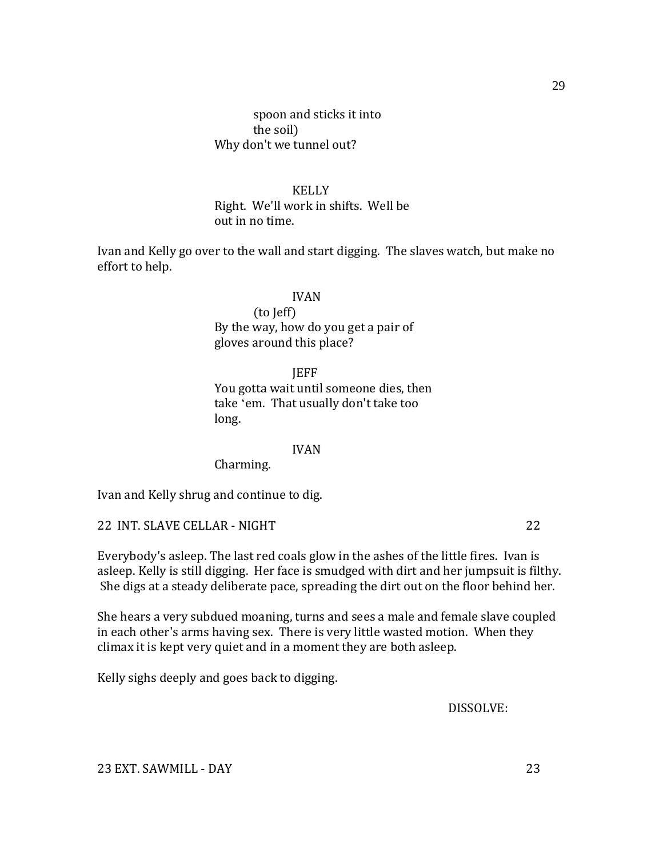# spoon and sticks it into the soil) Why don't we tunnel out?

# KELLY

Right. We'll work in shifts. Well be out in no time.

Ivan and Kelly go over to the wall and start digging. The slaves watch, but make no effort to help.

#### IVAN

(to Jeff) By the way, how do you get a pair of gloves around this place?

JEFF

You gotta wait until someone dies, then take 'em. That usually don't take too long.

#### IVAN

Charming.

Ivan and Kelly shrug and continue to dig.

22 INT. SLAVE CELLAR - NIGHT 22

Everybody's asleep. The last red coals glow in the ashes of the little fires. Ivan is asleep. Kelly is still digging. Her face is smudged with dirt and her jumpsuit is filthy. She digs at a steady deliberate pace, spreading the dirt out on the floor behind her.

She hears a very subdued moaning, turns and sees a male and female slave coupled in each other's arms having sex. There is very little wasted motion. When they climax it is kept very quiet and in a moment they are both asleep.

Kelly sighs deeply and goes back to digging.

DISSOLVE:

23 EXT. SAWMILL - DAY 23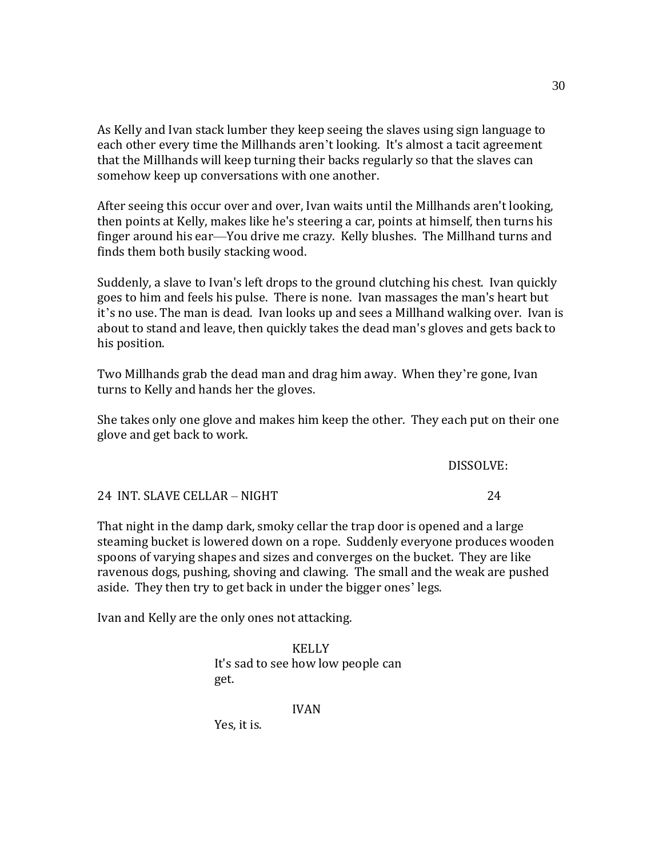As Kelly and Ivan stack lumber they keep seeing the slaves using sign language to each other every time the Millhands aren't looking. It's almost a tacit agreement that the Millhands will keep turning their backs regularly so that the slaves can somehow keep up conversations with one another.

After seeing this occur over and over, Ivan waits until the Millhands aren't looking, then points at Kelly, makes like he's steering a car, points at himself, then turns his finger around his ear—You drive me crazy. Kelly blushes. The Millhand turns and finds them both busily stacking wood.

Suddenly, a slave to Ivan's left drops to the ground clutching his chest. Ivan quickly goes to him and feels his pulse. There is none. Ivan massages the man's heart but it's no use. The man is dead. Ivan looks up and sees a Millhand walking over. Ivan is about to stand and leave, then quickly takes the dead man's gloves and gets back to his position.

Two Millhands grab the dead man and drag him away. When they're gone, Ivan turns to Kelly and hands her the gloves.

She takes only one glove and makes him keep the other. They each put on their one glove and get back to work.

DISSOLVE:

|                              | ,,,,,,,,,,,, |
|------------------------------|--------------|
| 24 INT. SLAVE CELLAR – NIGHT |              |

That night in the damp dark, smoky cellar the trap door is opened and a large steaming bucket is lowered down on a rope. Suddenly everyone produces wooden spoons of varying shapes and sizes and converges on the bucket. They are like ravenous dogs, pushing, shoving and clawing. The small and the weak are pushed aside. They then try to get back in under the bigger ones' legs.

Ivan and Kelly are the only ones not attacking.

KELLY It's sad to see how low people can get.

IVAN

Yes, it is.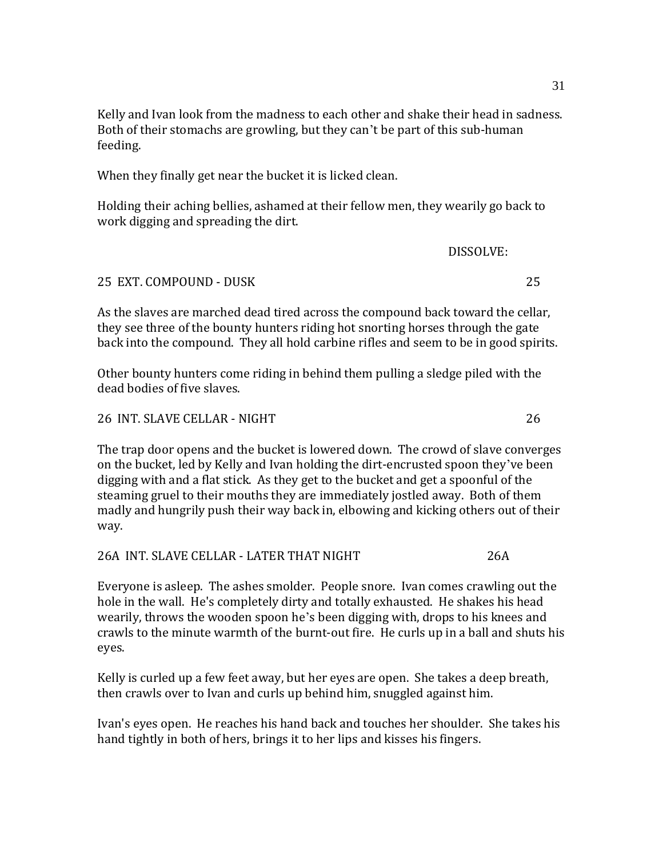Kelly and Ivan look from the madness to each other and shake their head in sadness. Both of their stomachs are growling, but they can't be part of this sub-human feeding.

When they finally get near the bucket it is licked clean.

Holding their aching bellies, ashamed at their fellow men, they wearily go back to work digging and spreading the dirt.

DISSOLVE:

#### 25 EXT. COMPOUND - DUSK 25

As the slaves are marched dead tired across the compound back toward the cellar, they see three of the bounty hunters riding hot snorting horses through the gate back into the compound. They all hold carbine rifles and seem to be in good spirits.

Other bounty hunters come riding in behind them pulling a sledge piled with the dead bodies of five slaves.

26 INT. SLAVE CELLAR - NIGHT 26

The trap door opens and the bucket is lowered down. The crowd of slave converges on the bucket, led by Kelly and Ivan holding the dirt-encrusted spoon they've been digging with and a flat stick. As they get to the bucket and get a spoonful of the steaming gruel to their mouths they are immediately jostled away. Both of them madly and hungrily push their way back in, elbowing and kicking others out of their way.

26A INT. SLAVE CELLAR - LATER THAT NIGHT 26A

Everyone is asleep. The ashes smolder. People snore. Ivan comes crawling out the hole in the wall. He's completely dirty and totally exhausted. He shakes his head wearily, throws the wooden spoon he's been digging with, drops to his knees and crawls to the minute warmth of the burnt-out fire. He curls up in a ball and shuts his eyes.

Kelly is curled up a few feet away, but her eyes are open. She takes a deep breath, then crawls over to Ivan and curls up behind him, snuggled against him.

Ivan's eyes open. He reaches his hand back and touches her shoulder. She takes his hand tightly in both of hers, brings it to her lips and kisses his fingers.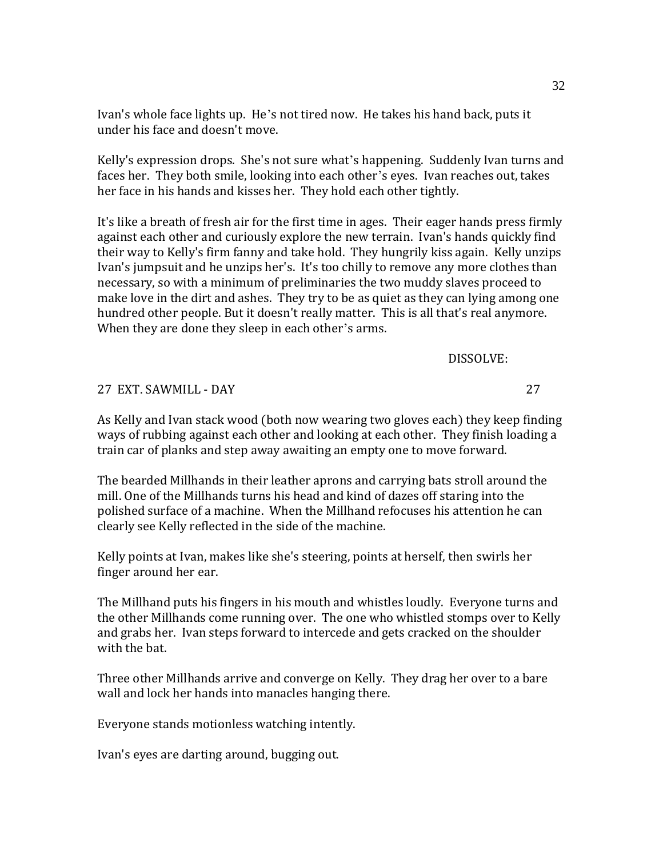Ivan's whole face lights up. He's not tired now. He takes his hand back, puts it under his face and doesn't move.

Kelly's expression drops. She's not sure what's happening. Suddenly Ivan turns and faces her. They both smile, looking into each other's eyes. Ivan reaches out, takes her face in his hands and kisses her. They hold each other tightly.

It's like a breath of fresh air for the first time in ages. Their eager hands press firmly against each other and curiously explore the new terrain. Ivan's hands quickly find their way to Kelly's firm fanny and take hold. They hungrily kiss again. Kelly unzips Ivan's jumpsuit and he unzips her's. It's too chilly to remove any more clothes than necessary, so with a minimum of preliminaries the two muddy slaves proceed to make love in the dirt and ashes. They try to be as quiet as they can lying among one hundred other people. But it doesn't really matter. This is all that's real anymore. When they are done they sleep in each other's arms.

DISSOLVE:

27 EXT. SAWMILL - DAY 27

As Kelly and Ivan stack wood (both now wearing two gloves each) they keep finding ways of rubbing against each other and looking at each other. They finish loading a train car of planks and step away awaiting an empty one to move forward.

The bearded Millhands in their leather aprons and carrying bats stroll around the mill. One of the Millhands turns his head and kind of dazes off staring into the polished surface of a machine. When the Millhand refocuses his attention he can clearly see Kelly reflected in the side of the machine.

Kelly points at Ivan, makes like she's steering, points at herself, then swirls her finger around her ear.

The Millhand puts his fingers in his mouth and whistles loudly. Everyone turns and the other Millhands come running over. The one who whistled stomps over to Kelly and grabs her. Ivan steps forward to intercede and gets cracked on the shoulder with the bat.

Three other Millhands arrive and converge on Kelly. They drag her over to a bare wall and lock her hands into manacles hanging there.

Everyone stands motionless watching intently.

Ivan's eyes are darting around, bugging out.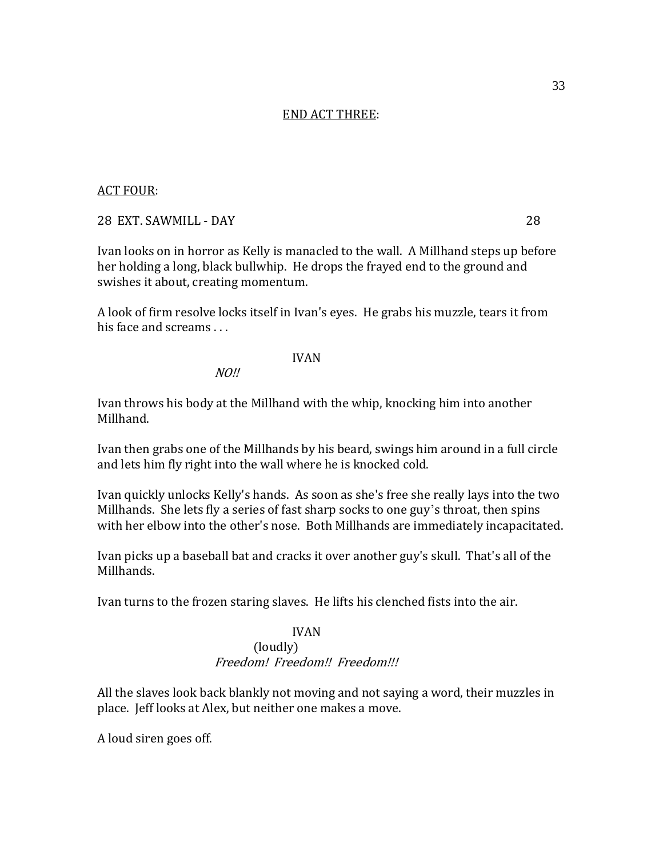#### END ACT THREE:

#### ACT FOUR:

#### 28 EXT. SAWMILL - DAY 28

Ivan looks on in horror as Kelly is manacled to the wall. A Millhand steps up before her holding a long, black bullwhip. He drops the frayed end to the ground and swishes it about, creating momentum.

A look of firm resolve locks itself in Ivan's eyes. He grabs his muzzle, tears it from his face and screams . . .

#### IVAN

 $NO$ !!

Ivan throws his body at the Millhand with the whip, knocking him into another Millhand.

Ivan then grabs one of the Millhands by his beard, swings him around in a full circle and lets him fly right into the wall where he is knocked cold.

Ivan quickly unlocks Kelly's hands. As soon as she's free she really lays into the two Millhands. She lets fly a series of fast sharp socks to one guy's throat, then spins with her elbow into the other's nose. Both Millhands are immediately incapacitated.

Ivan picks up a baseball bat and cracks it over another guy's skull. That's all of the Millhands.

Ivan turns to the frozen staring slaves. He lifts his clenched fists into the air.

#### IVAN

#### (loudly) Freedom! Freedom!! Freedom!!!

All the slaves look back blankly not moving and not saying a word, their muzzles in place. Jeff looks at Alex, but neither one makes a move.

A loud siren goes off.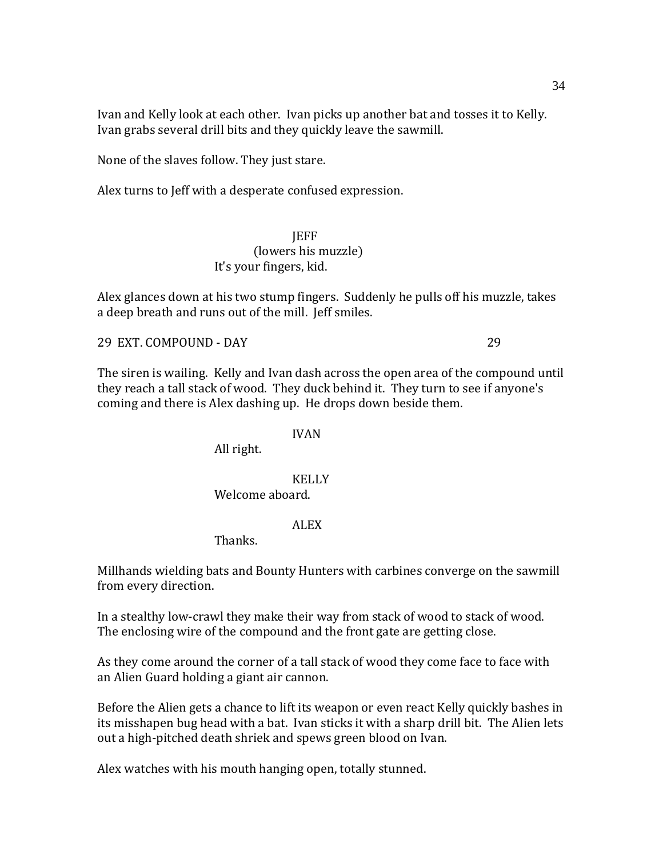Ivan and Kelly look at each other. Ivan picks up another bat and tosses it to Kelly. Ivan grabs several drill bits and they quickly leave the sawmill.

None of the slaves follow. They just stare.

Alex turns to Jeff with a desperate confused expression.

**JEFF** (lowers his muzzle) It's your fingers, kid.

Alex glances down at his two stump fingers. Suddenly he pulls off his muzzle, takes a deep breath and runs out of the mill. Jeff smiles.

29 EXT. COMPOUND - DAY 29

The siren is wailing. Kelly and Ivan dash across the open area of the compound until they reach a tall stack of wood. They duck behind it. They turn to see if anyone's coming and there is Alex dashing up. He drops down beside them.

#### IVAN

All right.

# KELLY Welcome aboard.

## ALEX

Thanks.

Millhands wielding bats and Bounty Hunters with carbines converge on the sawmill from every direction.

In a stealthy low-crawl they make their way from stack of wood to stack of wood. The enclosing wire of the compound and the front gate are getting close.

As they come around the corner of a tall stack of wood they come face to face with an Alien Guard holding a giant air cannon.

Before the Alien gets a chance to lift its weapon or even react Kelly quickly bashes in its misshapen bug head with a bat. Ivan sticks it with a sharp drill bit. The Alien lets out a high-pitched death shriek and spews green blood on Ivan.

Alex watches with his mouth hanging open, totally stunned.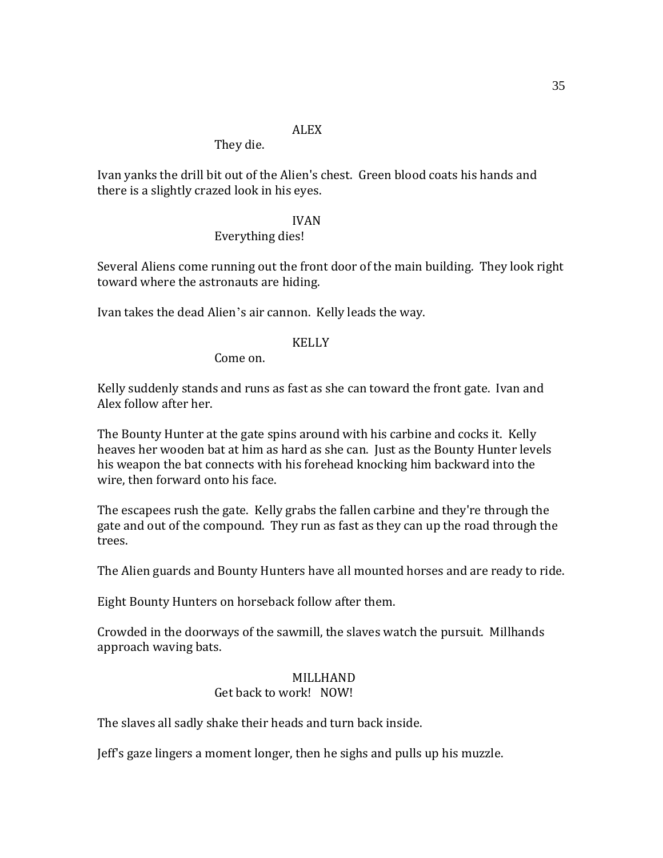#### ALEX

They die.

Ivan yanks the drill bit out of the Alien's chest. Green blood coats his hands and there is a slightly crazed look in his eyes.

#### IVAN

# Everything dies!

Several Aliens come running out the front door of the main building. They look right toward where the astronauts are hiding.

Ivan takes the dead Alien's air cannon. Kelly leads the way.

## KELLY

Come on.

Kelly suddenly stands and runs as fast as she can toward the front gate. Ivan and Alex follow after her.

The Bounty Hunter at the gate spins around with his carbine and cocks it. Kelly heaves her wooden bat at him as hard as she can. Just as the Bounty Hunter levels his weapon the bat connects with his forehead knocking him backward into the wire, then forward onto his face.

The escapees rush the gate. Kelly grabs the fallen carbine and they're through the gate and out of the compound. They run as fast as they can up the road through the trees.

The Alien guards and Bounty Hunters have all mounted horses and are ready to ride.

Eight Bounty Hunters on horseback follow after them.

Crowded in the doorways of the sawmill, the slaves watch the pursuit. Millhands approach waving bats.

## MILLHAND

# Get back to work! NOW!

The slaves all sadly shake their heads and turn back inside.

Jeff's gaze lingers a moment longer, then he sighs and pulls up his muzzle.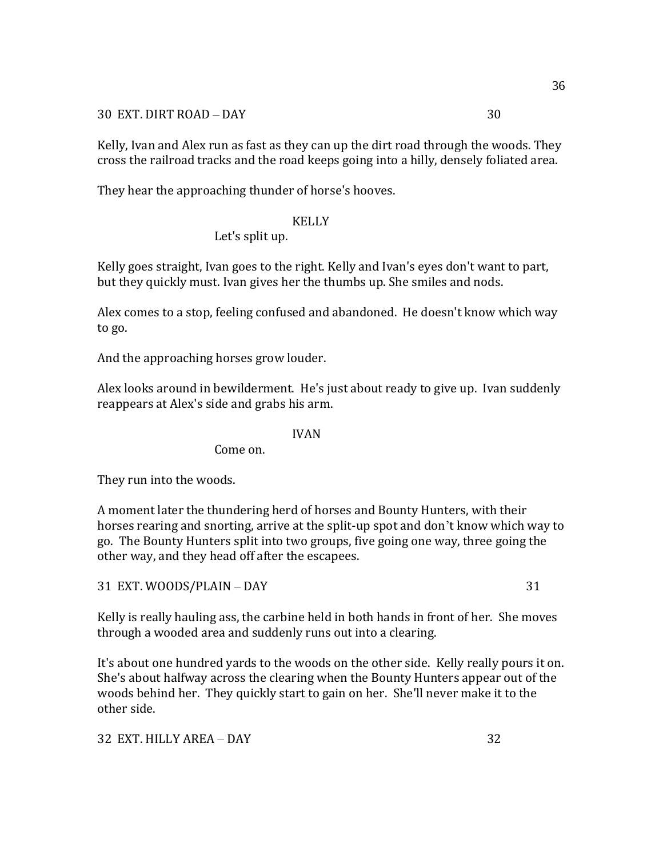30 EXT. DIRT ROAD – DAY 30

Kelly, Ivan and Alex run as fast as they can up the dirt road through the woods. They cross the railroad tracks and the road keeps going into a hilly, densely foliated area.

They hear the approaching thunder of horse's hooves.

#### KELLY

### Let's split up.

Kelly goes straight, Ivan goes to the right. Kelly and Ivan's eyes don't want to part, but they quickly must. Ivan gives her the thumbs up. She smiles and nods.

Alex comes to a stop, feeling confused and abandoned. He doesn't know which way to go.

And the approaching horses grow louder.

Alex looks around in bewilderment. He's just about ready to give up. Ivan suddenly reappears at Alex's side and grabs his arm.

#### IVAN

Come on.

They run into the woods.

A moment later the thundering herd of horses and Bounty Hunters, with their horses rearing and snorting, arrive at the split-up spot and don't know which way to go. The Bounty Hunters split into two groups, five going one way, three going the other way, and they head off after the escapees.

31 EXT. WOODS/PLAIN – DAY 31

Kelly is really hauling ass, the carbine held in both hands in front of her. She moves through a wooded area and suddenly runs out into a clearing.

It's about one hundred yards to the woods on the other side. Kelly really pours it on. She's about halfway across the clearing when the Bounty Hunters appear out of the woods behind her. They quickly start to gain on her. She'll never make it to the other side.

32 EXT. HILLY AREA – DAY 32

36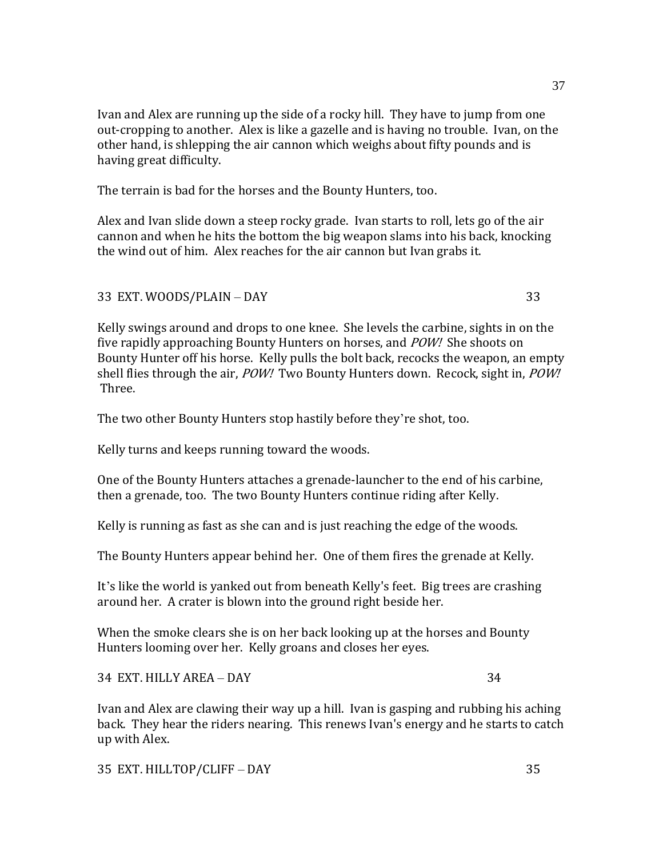Ivan and Alex are running up the side of a rocky hill. They have to jump from one out-cropping to another. Alex is like a gazelle and is having no trouble. Ivan, on the other hand, is shlepping the air cannon which weighs about fifty pounds and is having great difficulty.

The terrain is bad for the horses and the Bounty Hunters, too.

Alex and Ivan slide down a steep rocky grade. Ivan starts to roll, lets go of the air cannon and when he hits the bottom the big weapon slams into his back, knocking the wind out of him. Alex reaches for the air cannon but Ivan grabs it.

33 EXT. WOODS/PLAIN – DAY 33

Kelly swings around and drops to one knee. She levels the carbine, sights in on the five rapidly approaching Bounty Hunters on horses, and POW! She shoots on Bounty Hunter off his horse. Kelly pulls the bolt back, recocks the weapon, an empty shell flies through the air, POW! Two Bounty Hunters down. Recock, sight in, POW! Three.

The two other Bounty Hunters stop hastily before they're shot, too.

Kelly turns and keeps running toward the woods.

One of the Bounty Hunters attaches a grenade-launcher to the end of his carbine, then a grenade, too. The two Bounty Hunters continue riding after Kelly.

Kelly is running as fast as she can and is just reaching the edge of the woods.

The Bounty Hunters appear behind her. One of them fires the grenade at Kelly.

It's like the world is yanked out from beneath Kelly's feet. Big trees are crashing around her. A crater is blown into the ground right beside her.

When the smoke clears she is on her back looking up at the horses and Bounty Hunters looming over her. Kelly groans and closes her eyes.

34 EXT. HILLY AREA – DAY 34

Ivan and Alex are clawing their way up a hill. Ivan is gasping and rubbing his aching back. They hear the riders nearing. This renews Ivan's energy and he starts to catch up with Alex.

35 EXT. HILLTOP/CLIFF – DAY 35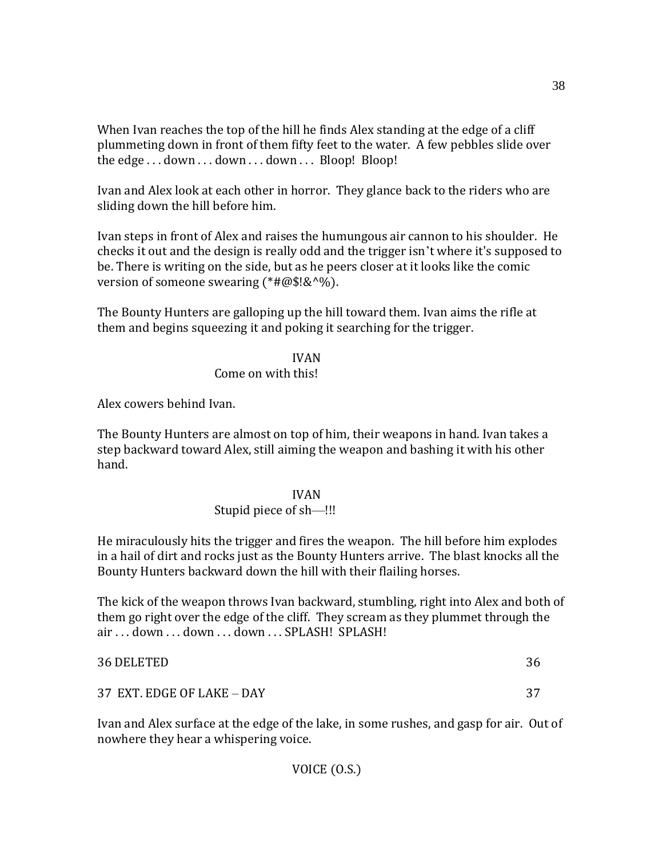When Ivan reaches the top of the hill he finds Alex standing at the edge of a cliff plummeting down in front of them fifty feet to the water. A few pebbles slide over the edge . . . down . . . down . . . down . . . Bloop! Bloop!

Ivan and Alex look at each other in horror. They glance back to the riders who are sliding down the hill before him.

Ivan steps in front of Alex and raises the humungous air cannon to his shoulder. He checks it out and the design is really odd and the trigger isn't where it's supposed to be. There is writing on the side, but as he peers closer at it looks like the comic version of someone swearing  $(*#@$!&^{\wedge}\%).$ 

The Bounty Hunters are galloping up the hill toward them. Ivan aims the rifle at them and begins squeezing it and poking it searching for the trigger.

## IVAN

## Come on with this!

Alex cowers behind Ivan.

The Bounty Hunters are almost on top of him, their weapons in hand. Ivan takes a step backward toward Alex, still aiming the weapon and bashing it with his other hand.

### IVAN

## Stupid piece of sh—!!!

He miraculously hits the trigger and fires the weapon. The hill before him explodes in a hail of dirt and rocks just as the Bounty Hunters arrive. The blast knocks all the Bounty Hunters backward down the hill with their flailing horses.

The kick of the weapon throws Ivan backward, stumbling, right into Alex and both of them go right over the edge of the cliff. They scream as they plummet through the air . . . down . . . down . . . down . . . SPLASH! SPLASH!

| 36 DELETED                 | 36 |
|----------------------------|----|
| 37 EXT. EDGE OF LAKE - DAY | 37 |

Ivan and Alex surface at the edge of the lake, in some rushes, and gasp for air. Out of nowhere they hear a whispering voice.

38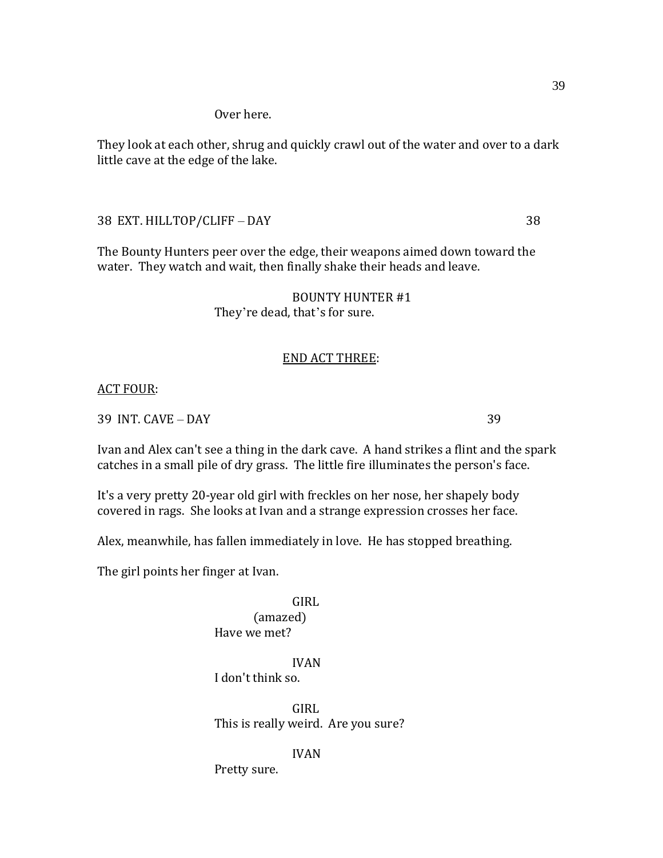They look at each other, shrug and quickly crawl out of the water and over to a dark little cave at the edge of the lake.

38 EXT. HILLTOP/CLIFF – DAY 38

The Bounty Hunters peer over the edge, their weapons aimed down toward the water. They watch and wait, then finally shake their heads and leave.

> BOUNTY HUNTER #1 They're dead, that's for sure.

## END ACT THREE:

ACT FOUR:

39 INT. CAVE – DAY 39

Ivan and Alex can't see a thing in the dark cave. A hand strikes a flint and the spark catches in a small pile of dry grass. The little fire illuminates the person's face.

It's a very pretty 20-year old girl with freckles on her nose, her shapely body covered in rags. She looks at Ivan and a strange expression crosses her face.

Alex, meanwhile, has fallen immediately in love. He has stopped breathing.

The girl points her finger at Ivan.

GIRL (amazed) Have we met?

IVAN I don't think so.

GIRL This is really weird. Are you sure?

IVAN

Pretty sure.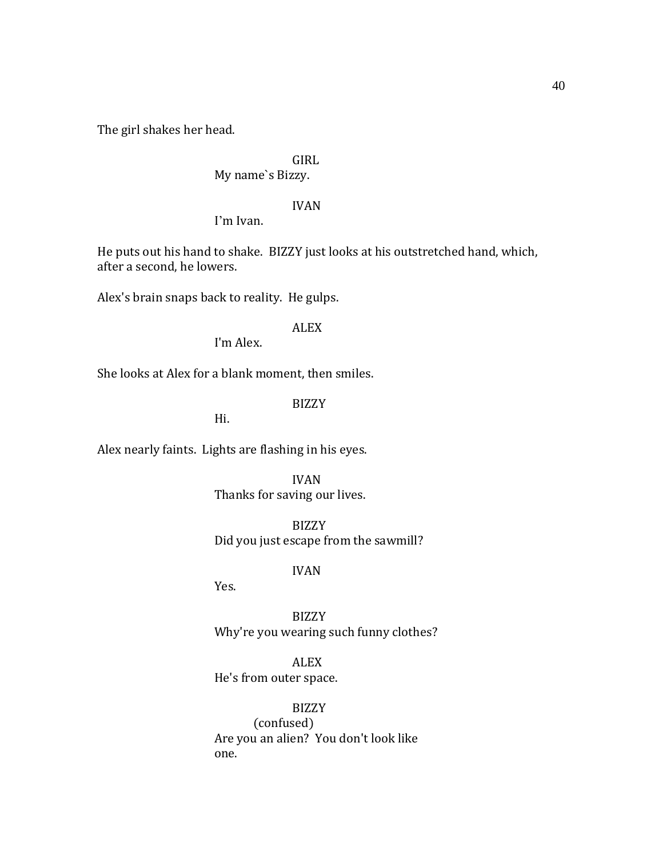The girl shakes her head.

# GIRL

# My name`s Bizzy.

## IVAN

I'm Ivan.

He puts out his hand to shake. BIZZY just looks at his outstretched hand, which, after a second, he lowers.

Alex's brain snaps back to reality. He gulps.

## ALEX

I'm Alex.

She looks at Alex for a blank moment, then smiles.

## BIZZY

Hi.

Alex nearly faints. Lights are flashing in his eyes.

IVAN Thanks for saving our lives.

BIZZY Did you just escape from the sawmill?

# IVAN

Yes.

BIZZY Why're you wearing such funny clothes?

ALEX He's from outer space.

BIZZY (confused) Are you an alien? You don't look like one.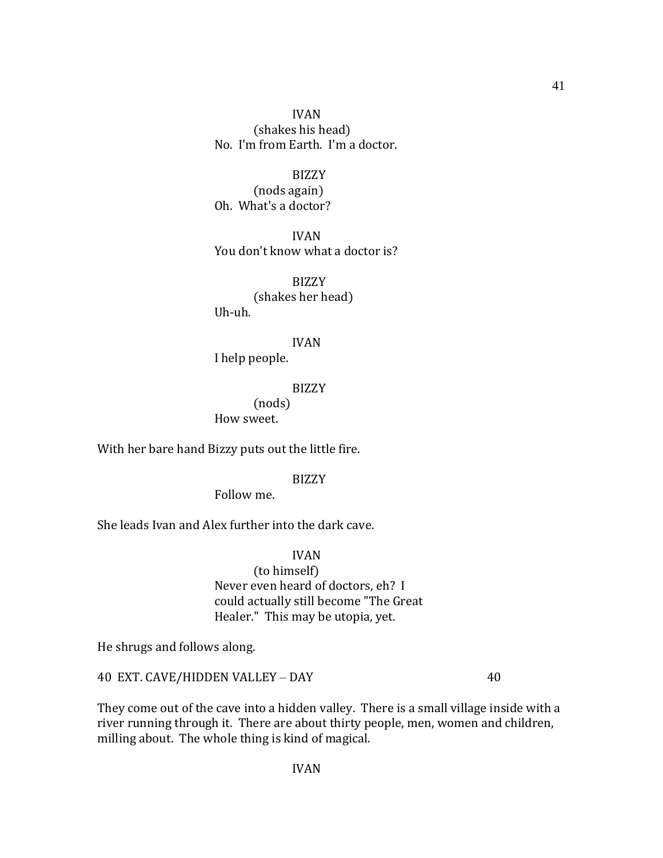IVAN (shakes his head) No. I'm from Earth. I'm a doctor.

BIZZY (nods again) Oh. What's a doctor?

IVAN You don't know what a doctor is?

BIZZY (shakes her head) Uh-uh.

IVAN

I help people.

BIZZY

(nods) How sweet.

With her bare hand Bizzy puts out the little fire.

BIZZY

Follow me.

She leads Ivan and Alex further into the dark cave.

IVAN (to himself) Never even heard of doctors, eh? I could actually still become "The Great Healer." This may be utopia, yet.

He shrugs and follows along.

40 EXT. CAVE/HIDDEN VALLEY – DAY 40

They come out of the cave into a hidden valley. There is a small village inside with a river running through it. There are about thirty people, men, women and children, milling about. The whole thing is kind of magical.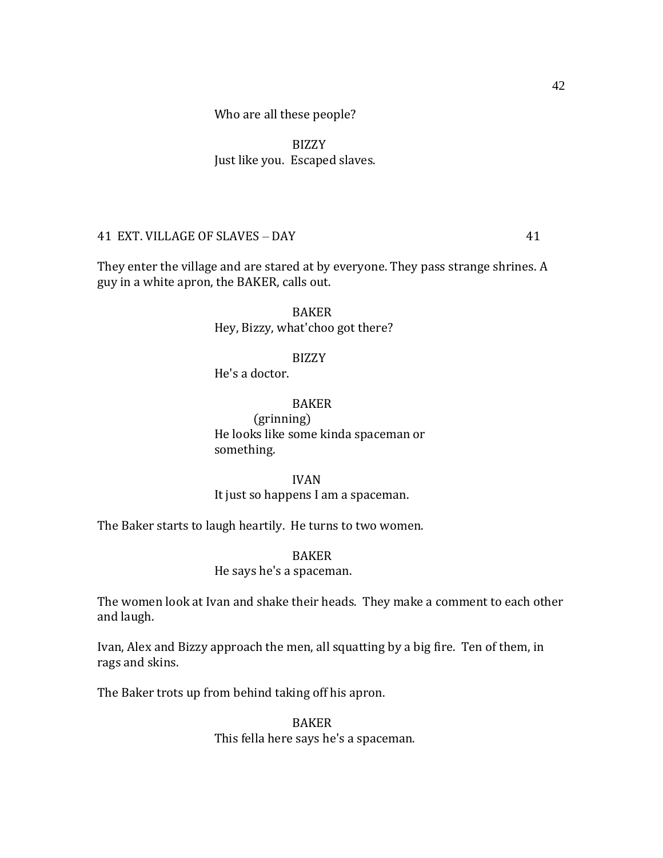BIZZY Just like you. Escaped slaves.

## 41 EXT. VILLAGE OF SLAVES – DAY 41

They enter the village and are stared at by everyone. They pass strange shrines. A guy in a white apron, the BAKER, calls out.

> BAKER Hey, Bizzy, what'choo got there?

### BIZZY

He's a doctor.

## BAKER

(grinning) He looks like some kinda spaceman or something.

#### IVAN

It just so happens I am a spaceman.

The Baker starts to laugh heartily. He turns to two women.

# BAKER

### He says he's a spaceman.

The women look at Ivan and shake their heads. They make a comment to each other and laugh.

Ivan, Alex and Bizzy approach the men, all squatting by a big fire. Ten of them, in rags and skins.

The Baker trots up from behind taking off his apron.

## BAKER This fella here says he's a spaceman.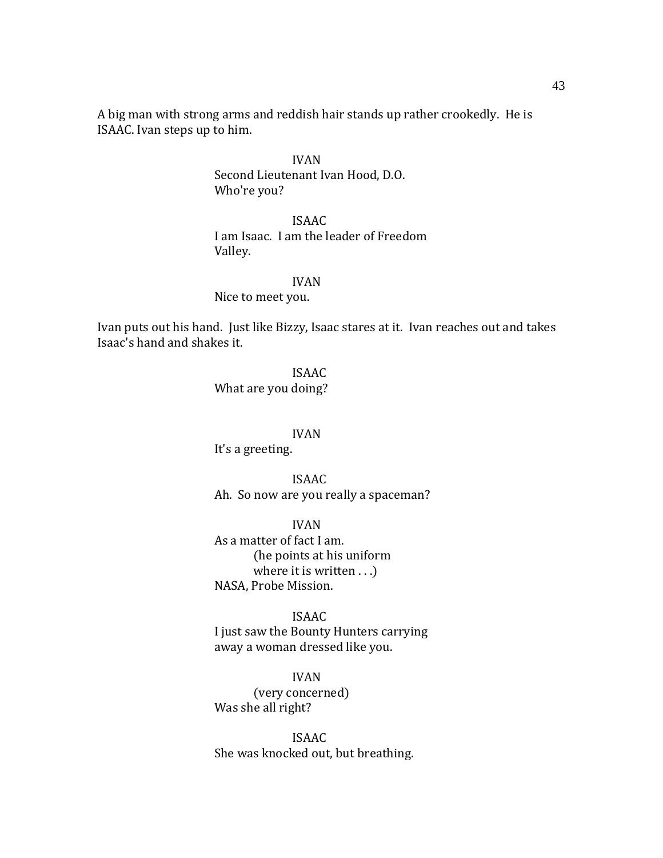A big man with strong arms and reddish hair stands up rather crookedly. He is ISAAC. Ivan steps up to him.

> IVAN Second Lieutenant Ivan Hood, D.O. Who're you?

ISAAC I am Isaac. I am the leader of Freedom Valley.

#### IVAN

Nice to meet you.

Ivan puts out his hand. Just like Bizzy, Isaac stares at it. Ivan reaches out and takes Isaac's hand and shakes it.

> ISAAC What are you doing?

#### IVAN

It's a greeting.

ISAAC Ah. So now are you really a spaceman?

IVAN As a matter of fact I am. (he points at his uniform where it is written . . .) NASA, Probe Mission.

ISAAC I just saw the Bounty Hunters carrying away a woman dressed like you.

IVAN (very concerned) Was she all right?

ISAAC She was knocked out, but breathing.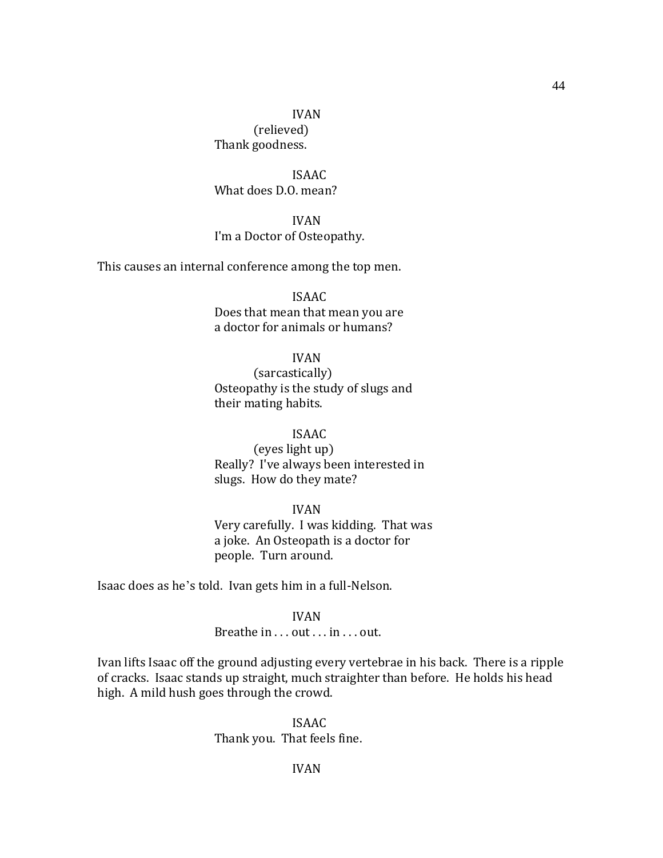## IVAN (relieved) Thank goodness.

ISAAC What does D.O. mean?

IVAN I'm a Doctor of Osteopathy.

This causes an internal conference among the top men.

ISAAC Does that mean that mean you are a doctor for animals or humans?

#### IVAN

(sarcastically) Osteopathy is the study of slugs and their mating habits.

### ISAAC

(eyes light up) Really? I've always been interested in slugs. How do they mate?

#### IVAN

Very carefully. I was kidding. That was a joke. An Osteopath is a doctor for people. Turn around.

Isaac does as he's told. Ivan gets him in a full-Nelson.

#### IVAN

### Breathe in . . . out . . . in . . . out.

Ivan lifts Isaac off the ground adjusting every vertebrae in his back. There is a ripple of cracks. Isaac stands up straight, much straighter than before. He holds his head high. A mild hush goes through the crowd.

### ISAAC Thank you. That feels fine.

### IVAN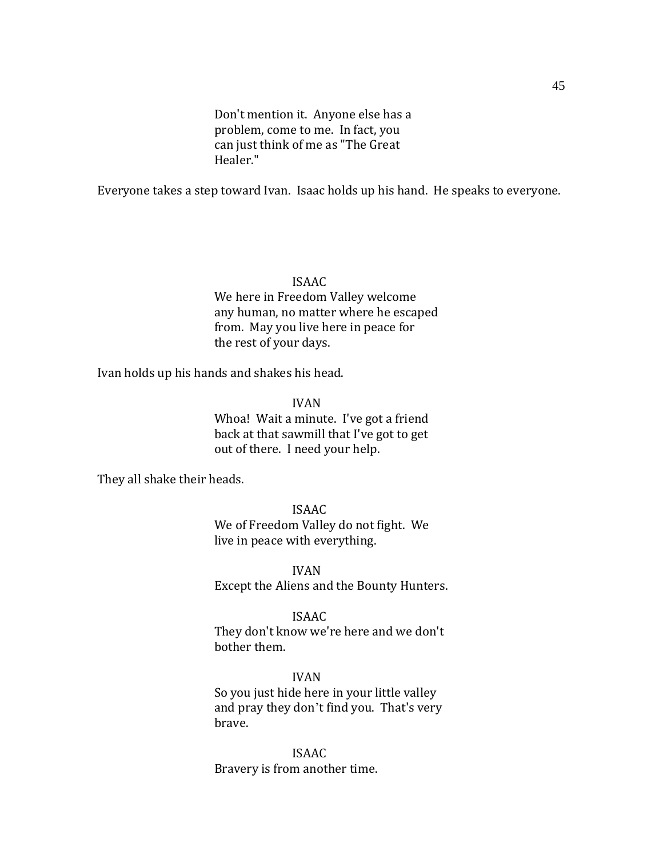Don't mention it. Anyone else has a problem, come to me. In fact, you can just think of me as "The Great Healer."

Everyone takes a step toward Ivan. Isaac holds up his hand. He speaks to everyone.

#### ISAAC

We here in Freedom Valley welcome any human, no matter where he escaped from. May you live here in peace for the rest of your days.

Ivan holds up his hands and shakes his head.

IVAN

Whoa! Wait a minute. I've got a friend back at that sawmill that I've got to get out of there. I need your help.

They all shake their heads.

#### ISAAC

We of Freedom Valley do not fight. We live in peace with everything.

IVAN Except the Aliens and the Bounty Hunters.

#### ISAAC

They don't know we're here and we don't bother them.

#### IVAN

So you just hide here in your little valley and pray they don't find you. That's very brave.

ISAAC Bravery is from another time.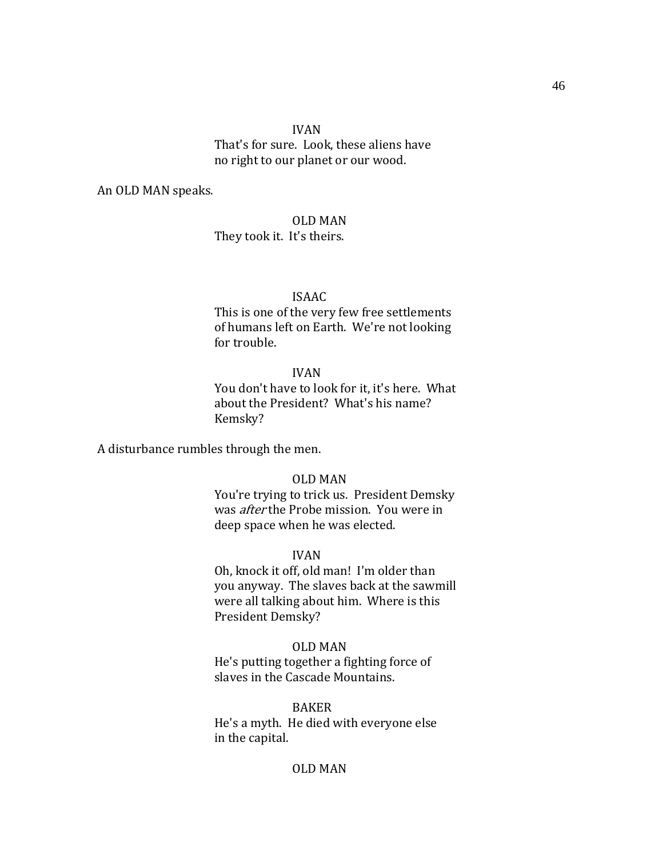#### IVAN

That's for sure. Look, these aliens have no right to our planet or our wood.

An OLD MAN speaks.

### OLD MAN

They took it. It's theirs.

#### ISAAC

This is one of the very few free settlements of humans left on Earth. We're not looking for trouble.

#### IVAN

You don't have to look for it, it's here. What about the President? What's his name? Kemsky?

A disturbance rumbles through the men.

#### OLD MAN

You're trying to trick us. President Demsky was after the Probe mission. You were in deep space when he was elected.

#### IVAN

Oh, knock it off, old man! I'm older than you anyway. The slaves back at the sawmill were all talking about him. Where is this President Demsky?

#### OLD MAN

He's putting together a fighting force of slaves in the Cascade Mountains.

BAKER

He's a myth. He died with everyone else in the capital.

### OLD MAN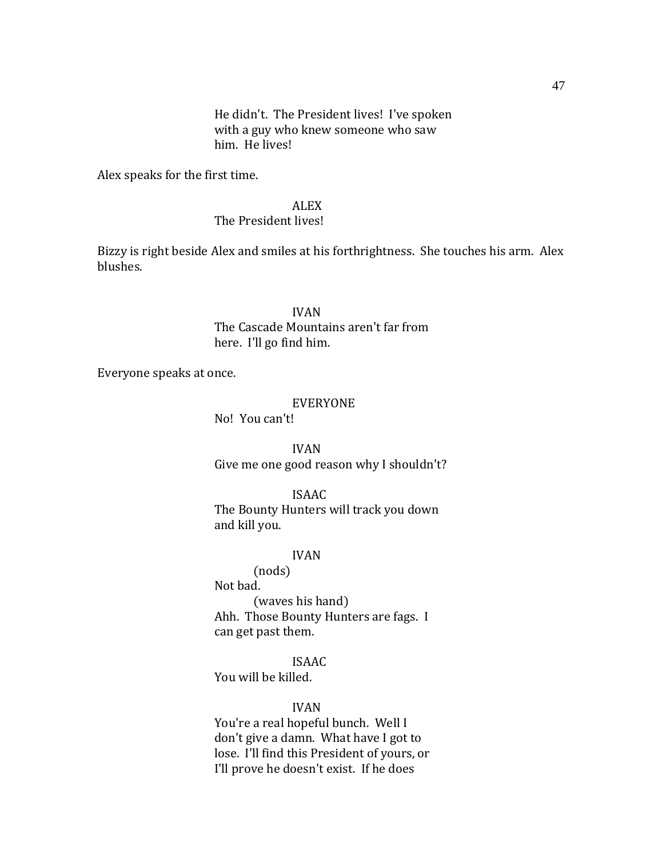He didn't. The President lives! I've spoken with a guy who knew someone who saw him. He lives!

Alex speaks for the first time.

## ALEX

#### The President lives!

Bizzy is right beside Alex and smiles at his forthrightness. She touches his arm. Alex blushes.

> IVAN The Cascade Mountains aren't far from here. I'll go find him.

Everyone speaks at once.

#### EVERYONE

No! You can't!

IVAN Give me one good reason why I shouldn't?

ISAAC

The Bounty Hunters will track you down and kill you.

### IVAN

(nods) Not bad. (waves his hand) Ahh. Those Bounty Hunters are fags. I can get past them.

ISAAC You will be killed.

#### IVAN

You're a real hopeful bunch. Well I don't give a damn. What have I got to lose. I'll find this President of yours, or I'll prove he doesn't exist. If he does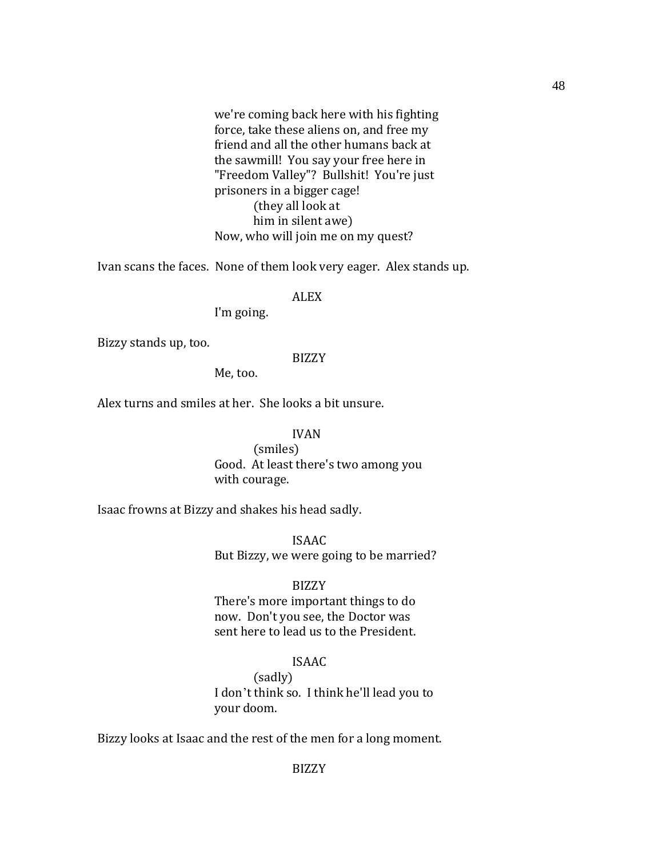we're coming back here with his fighting force, take these aliens on, and free my friend and all the other humans back at the sawmill! You say your free here in "Freedom Valley"? Bullshit! You're just prisoners in a bigger cage! (they all look at him in silent awe) Now, who will join me on my quest?

Ivan scans the faces. None of them look very eager. Alex stands up.

#### ALEX

I'm going.

Bizzy stands up, too.

## BIZZY

Me, too.

Alex turns and smiles at her. She looks a bit unsure.

#### IVAN

(smiles) Good. At least there's two among you with courage.

Isaac frowns at Bizzy and shakes his head sadly.

ISAAC But Bizzy, we were going to be married?

#### BIZZY

There's more important things to do now. Don't you see, the Doctor was sent here to lead us to the President.

## ISAAC

(sadly) I don't think so. I think he'll lead you to your doom.

Bizzy looks at Isaac and the rest of the men for a long moment.

48

BIZZY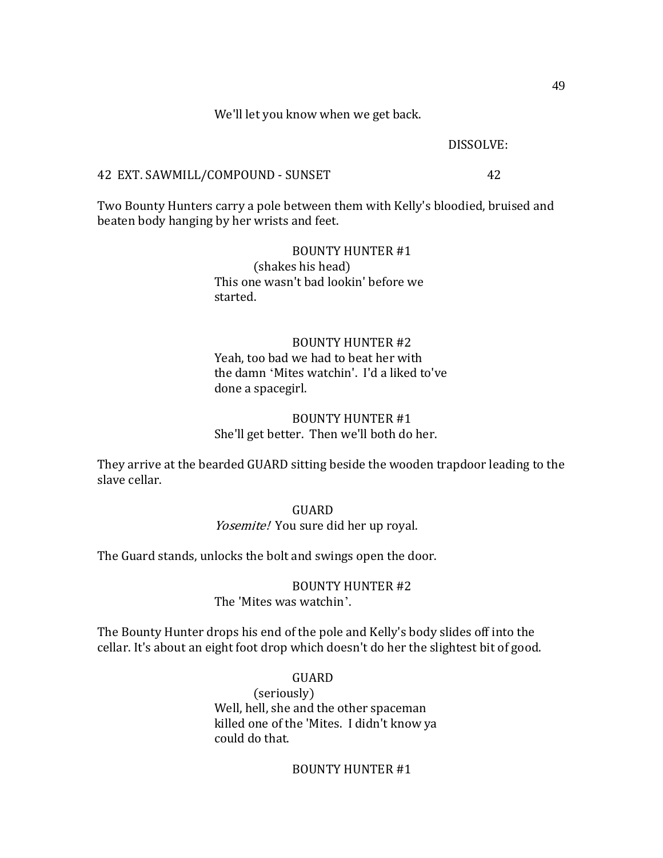We'll let you know when we get back.

DISSOLVE:

#### 42 EXT. SAWMILL/COMPOUND - SUNSET 42

Two Bounty Hunters carry a pole between them with Kelly's bloodied, bruised and beaten body hanging by her wrists and feet.

## BOUNTY HUNTER #1 (shakes his head) This one wasn't bad lookin' before we started.

## BOUNTY HUNTER #2 Yeah, too bad we had to beat her with the damn ‗Mites watchin'. I'd a liked to've done a spacegirl.

## BOUNTY HUNTER #1 She'll get better. Then we'll both do her.

They arrive at the bearded GUARD sitting beside the wooden trapdoor leading to the slave cellar.

#### GUARD

### Yosemite! You sure did her up royal.

The Guard stands, unlocks the bolt and swings open the door.

#### BOUNTY HUNTER #2 The 'Mites was watchin'.

The Bounty Hunter drops his end of the pole and Kelly's body slides off into the cellar. It's about an eight foot drop which doesn't do her the slightest bit of good.

> GUARD (seriously) Well, hell, she and the other spaceman killed one of the 'Mites. I didn't know ya could do that.

### BOUNTY HUNTER #1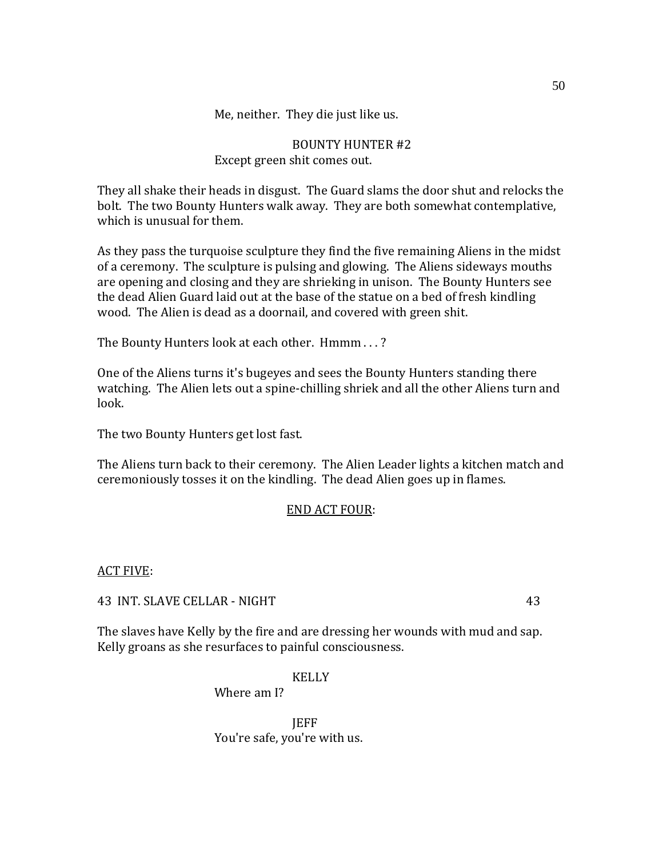Me, neither. They die just like us.

## BOUNTY HUNTER #2 Except green shit comes out.

They all shake their heads in disgust. The Guard slams the door shut and relocks the bolt. The two Bounty Hunters walk away. They are both somewhat contemplative, which is unusual for them.

As they pass the turquoise sculpture they find the five remaining Aliens in the midst of a ceremony. The sculpture is pulsing and glowing. The Aliens sideways mouths are opening and closing and they are shrieking in unison. The Bounty Hunters see the dead Alien Guard laid out at the base of the statue on a bed of fresh kindling wood. The Alien is dead as a doornail, and covered with green shit.

The Bounty Hunters look at each other. Hmmm . . . ?

One of the Aliens turns it's bugeyes and sees the Bounty Hunters standing there watching. The Alien lets out a spine-chilling shriek and all the other Aliens turn and look.

The two Bounty Hunters get lost fast.

The Aliens turn back to their ceremony. The Alien Leader lights a kitchen match and ceremoniously tosses it on the kindling. The dead Alien goes up in flames.

## END ACT FOUR:

### ACT FIVE:

43 INT. SLAVE CELLAR - NIGHT 43

The slaves have Kelly by the fire and are dressing her wounds with mud and sap. Kelly groans as she resurfaces to painful consciousness.

KELLY

Where am I?

**IEFF** You're safe, you're with us.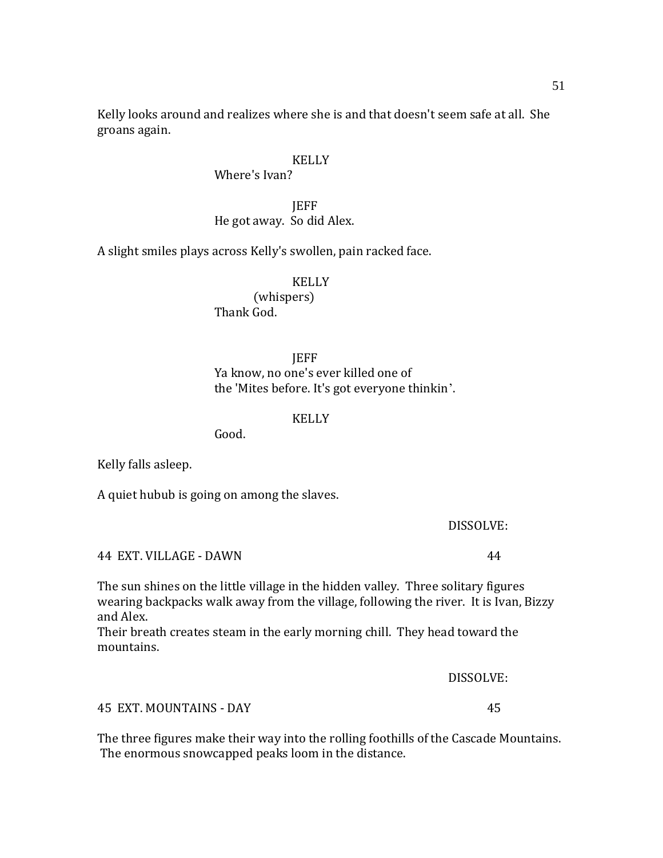Kelly looks around and realizes where she is and that doesn't seem safe at all. She groans again.

### KELLY

Where's Ivan?

## **IEFF** He got away. So did Alex.

A slight smiles plays across Kelly's swollen, pain racked face.

#### KELLY

(whispers) Thank God.

## **JEFF** Ya know, no one's ever killed one of the 'Mites before. It's got everyone thinkin'.

### **KELLY**

Good.

Kelly falls asleep.

A quiet hubub is going on among the slaves.

#### DISSOLVE:

44 EXT. VILLAGE - DAWN 44

The sun shines on the little village in the hidden valley. Three solitary figures wearing backpacks walk away from the village, following the river. It is Ivan, Bizzy and Alex.

Their breath creates steam in the early morning chill. They head toward the mountains.

DISSOLVE:

45 EXT. MOUNTAINS - DAY 45

The three figures make their way into the rolling foothills of the Cascade Mountains. The enormous snowcapped peaks loom in the distance.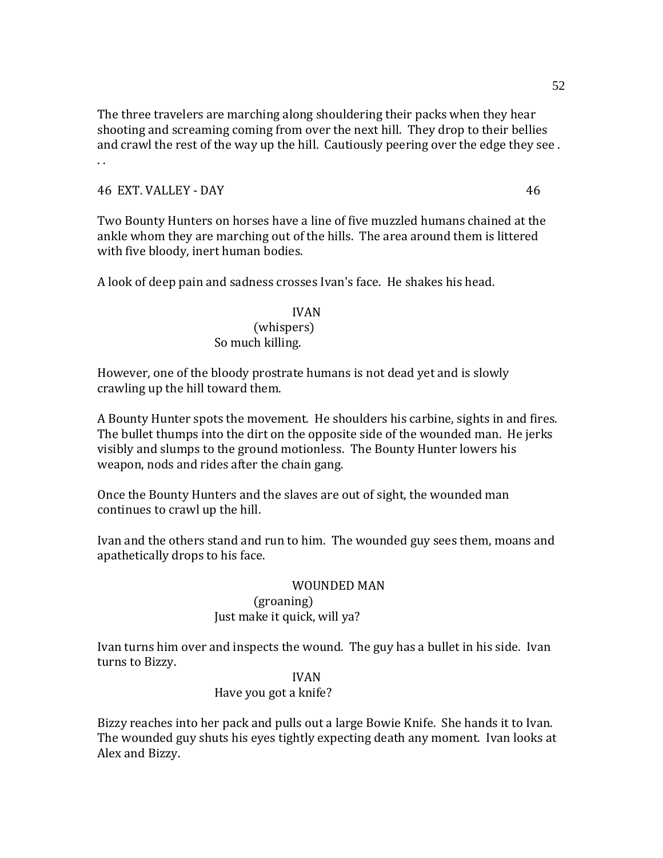The three travelers are marching along shouldering their packs when they hear shooting and screaming coming from over the next hill. They drop to their bellies and crawl the rest of the way up the hill. Cautiously peering over the edge they see . . .

### 46 EXT. VALLEY - DAY 46

Two Bounty Hunters on horses have a line of five muzzled humans chained at the ankle whom they are marching out of the hills. The area around them is littered with five bloody, inert human bodies.

A look of deep pain and sadness crosses Ivan's face. He shakes his head.

### IVAN

#### (whispers) So much killing.

However, one of the bloody prostrate humans is not dead yet and is slowly crawling up the hill toward them.

A Bounty Hunter spots the movement. He shoulders his carbine, sights in and fires. The bullet thumps into the dirt on the opposite side of the wounded man. He jerks visibly and slumps to the ground motionless. The Bounty Hunter lowers his weapon, nods and rides after the chain gang.

Once the Bounty Hunters and the slaves are out of sight, the wounded man continues to crawl up the hill.

Ivan and the others stand and run to him. The wounded guy sees them, moans and apathetically drops to his face.

#### WOUNDED MAN

### (groaning) Just make it quick, will ya?

Ivan turns him over and inspects the wound. The guy has a bullet in his side. Ivan turns to Bizzy.

### IVAN

### Have you got a knife?

Bizzy reaches into her pack and pulls out a large Bowie Knife. She hands it to Ivan. The wounded guy shuts his eyes tightly expecting death any moment. Ivan looks at Alex and Bizzy.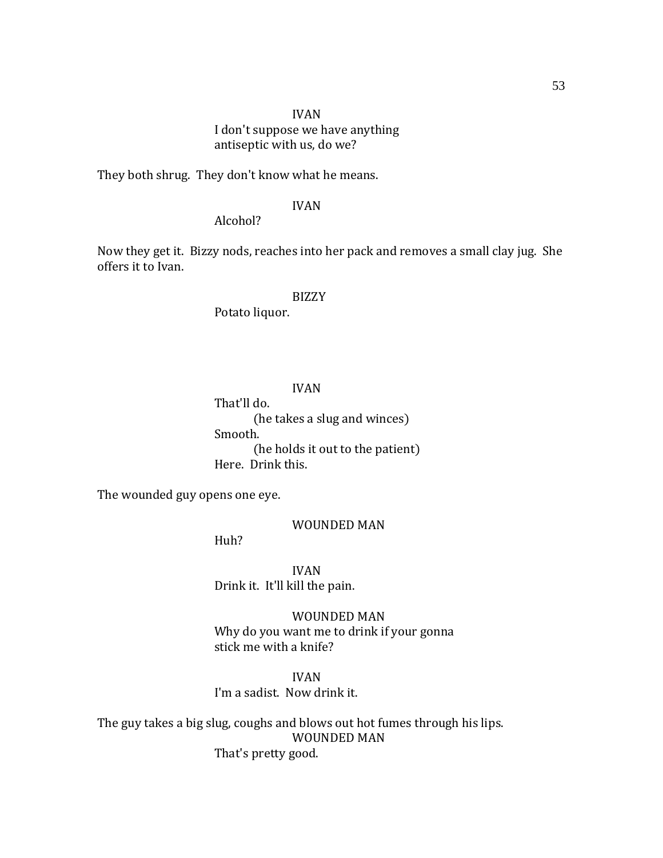## IVAN I don't suppose we have anything antiseptic with us, do we?

They both shrug. They don't know what he means.

### IVAN

Alcohol?

Now they get it. Bizzy nods, reaches into her pack and removes a small clay jug. She offers it to Ivan.

#### BIZZY

Potato liquor.

#### IVAN

That'll do. (he takes a slug and winces) Smooth. (he holds it out to the patient) Here. Drink this.

The wounded guy opens one eye.

WOUNDED MAN

Huh?

IVAN Drink it. It'll kill the pain.

WOUNDED MAN Why do you want me to drink if your gonna stick me with a knife?

IVAN I'm a sadist. Now drink it.

The guy takes a big slug, coughs and blows out hot fumes through his lips. WOUNDED MAN That's pretty good.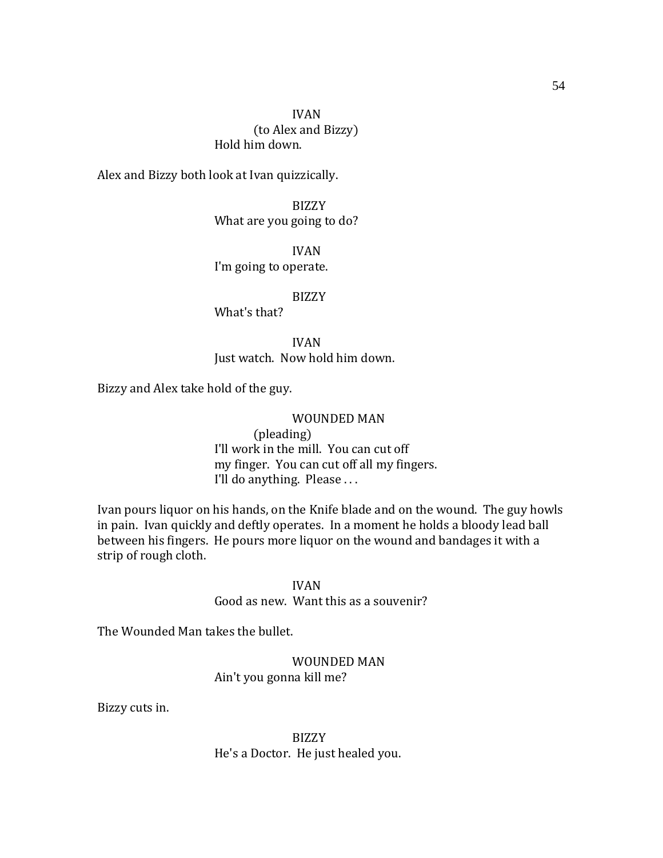Hold him down.

Alex and Bizzy both look at Ivan quizzically.

BIZZY What are you going to do?

IVAN I'm going to operate.

BIZZY

What's that?

IVAN Just watch. Now hold him down.

Bizzy and Alex take hold of the guy.

#### WOUNDED MAN

(pleading) I'll work in the mill. You can cut off my finger. You can cut off all my fingers. I'll do anything. Please . . .

Ivan pours liquor on his hands, on the Knife blade and on the wound. The guy howls in pain. Ivan quickly and deftly operates. In a moment he holds a bloody lead ball between his fingers. He pours more liquor on the wound and bandages it with a strip of rough cloth.

IVAN

Good as new. Want this as a souvenir?

The Wounded Man takes the bullet.

WOUNDED MAN Ain't you gonna kill me?

Bizzy cuts in.

BIZZY He's a Doctor. He just healed you.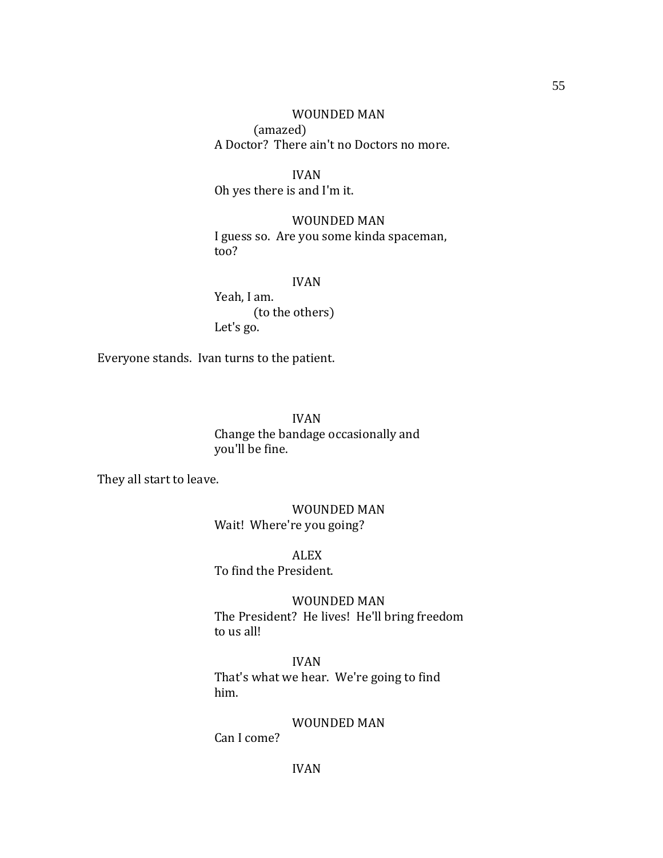WOUNDED MAN (amazed) A Doctor? There ain't no Doctors no more.

IVAN Oh yes there is and I'm it.

WOUNDED MAN I guess so. Are you some kinda spaceman, too?

IVAN

Yeah, I am. (to the others) Let's go.

Everyone stands. Ivan turns to the patient.

IVAN Change the bandage occasionally and you'll be fine.

They all start to leave.

WOUNDED MAN Wait! Where're you going?

ALEX To find the President.

WOUNDED MAN The President? He lives! He'll bring freedom to us all!

IVAN That's what we hear. We're going to find him.

WOUNDED MAN

Can I come?

55

IVAN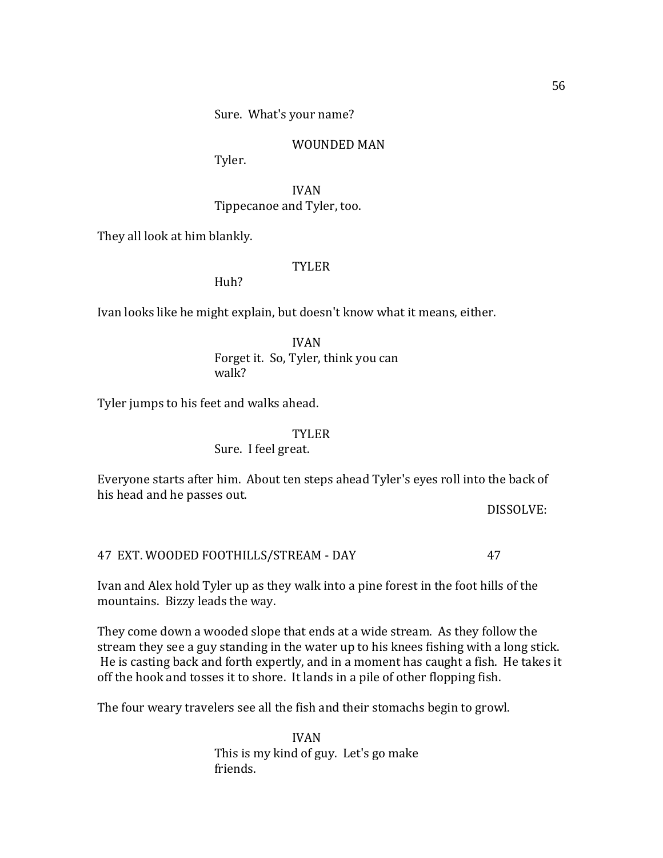WOUNDED MAN

Tyler.

IVAN Tippecanoe and Tyler, too.

They all look at him blankly.

TYLER

Huh?

Ivan looks like he might explain, but doesn't know what it means, either.

IVAN Forget it. So, Tyler, think you can walk?

Tyler jumps to his feet and walks ahead.

### TYLER

### Sure. I feel great.

Everyone starts after him. About ten steps ahead Tyler's eyes roll into the back of his head and he passes out.

DISSOLVE:

### 47 EXT. WOODED FOOTHILLS/STREAM - DAY 47

Ivan and Alex hold Tyler up as they walk into a pine forest in the foot hills of the mountains. Bizzy leads the way.

They come down a wooded slope that ends at a wide stream. As they follow the stream they see a guy standing in the water up to his knees fishing with a long stick. He is casting back and forth expertly, and in a moment has caught a fish. He takes it off the hook and tosses it to shore. It lands in a pile of other flopping fish.

The four weary travelers see all the fish and their stomachs begin to growl.

IVAN This is my kind of guy. Let's go make friends.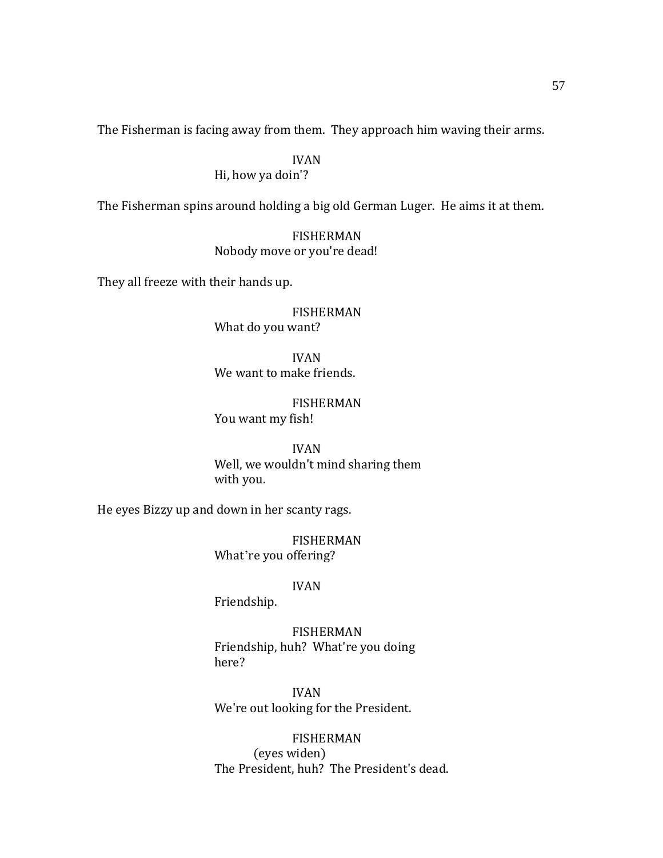The Fisherman is facing away from them. They approach him waving their arms.

IVAN Hi, how ya doin'?

The Fisherman spins around holding a big old German Luger. He aims it at them.

FISHERMAN Nobody move or you're dead!

They all freeze with their hands up.

FISHERMAN What do you want?

IVAN We want to make friends.

FISHERMAN You want my fish!

IVAN Well, we wouldn't mind sharing them with you.

He eyes Bizzy up and down in her scanty rags.

FISHERMAN What're you offering?

#### IVAN

Friendship.

FISHERMAN Friendship, huh? What're you doing here?

IVAN We're out looking for the President.

FISHERMAN (eyes widen) The President, huh? The President's dead.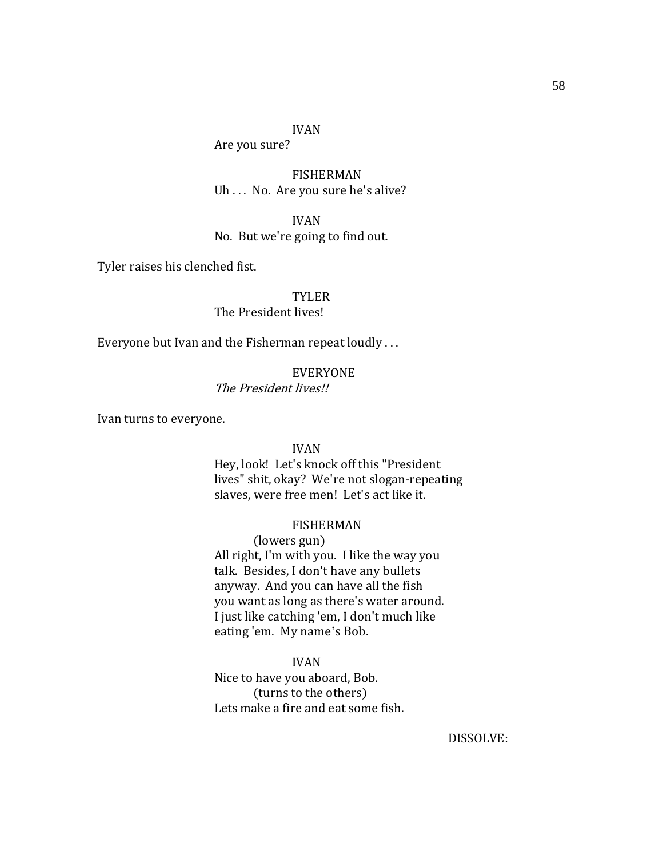#### IVAN

Are you sure?

FISHERMAN Uh . . . No. Are you sure he's alive?

IVAN

No. But we're going to find out.

Tyler raises his clenched fist.

TYLER

The President lives!

Everyone but Ivan and the Fisherman repeat loudly . . .

#### EVERYONE

The President lives!!

Ivan turns to everyone.

#### IVAN

Hey, look! Let's knock off this "President lives" shit, okay? We're not slogan-repeating slaves, were free men! Let's act like it.

### FISHERMAN

(lowers gun) All right, I'm with you. I like the way you talk. Besides, I don't have any bullets anyway. And you can have all the fish you want as long as there's water around. I just like catching 'em, I don't much like eating 'em. My name's Bob.

### IVAN

Nice to have you aboard, Bob. (turns to the others) Lets make a fire and eat some fish.

DISSOLVE: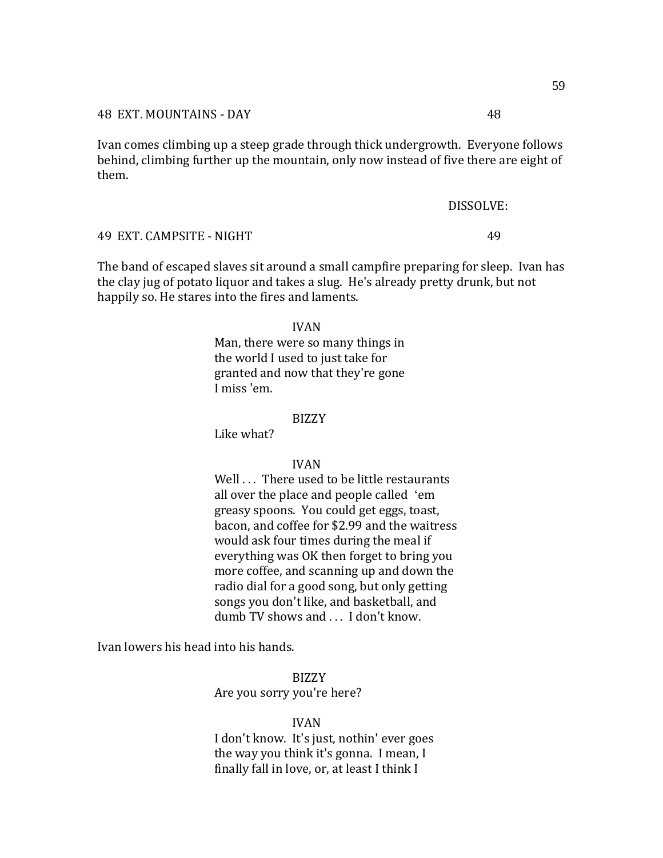Ivan comes climbing up a steep grade through thick undergrowth. Everyone follows behind, climbing further up the mountain, only now instead of five there are eight of them.

#### DISSOLVE:

#### 49 EXT. CAMPSITE - NIGHT 49

The band of escaped slaves sit around a small campfire preparing for sleep. Ivan has the clay jug of potato liquor and takes a slug. He's already pretty drunk, but not happily so. He stares into the fires and laments.

#### IVAN

Man, there were so many things in the world I used to just take for granted and now that they're gone I miss 'em.

#### BIZZY

Like what?

#### IVAN

Well . . . There used to be little restaurants all over the place and people called 'emgreasy spoons. You could get eggs, toast, bacon, and coffee for \$2.99 and the waitress would ask four times during the meal if everything was OK then forget to bring you more coffee, and scanning up and down the radio dial for a good song, but only getting songs you don't like, and basketball, and dumb TV shows and . . . I don't know.

Ivan lowers his head into his hands.

BIZZY Are you sorry you're here?

#### IVAN

I don't know. It's just, nothin' ever goes the way you think it's gonna. I mean, I finally fall in love, or, at least I think I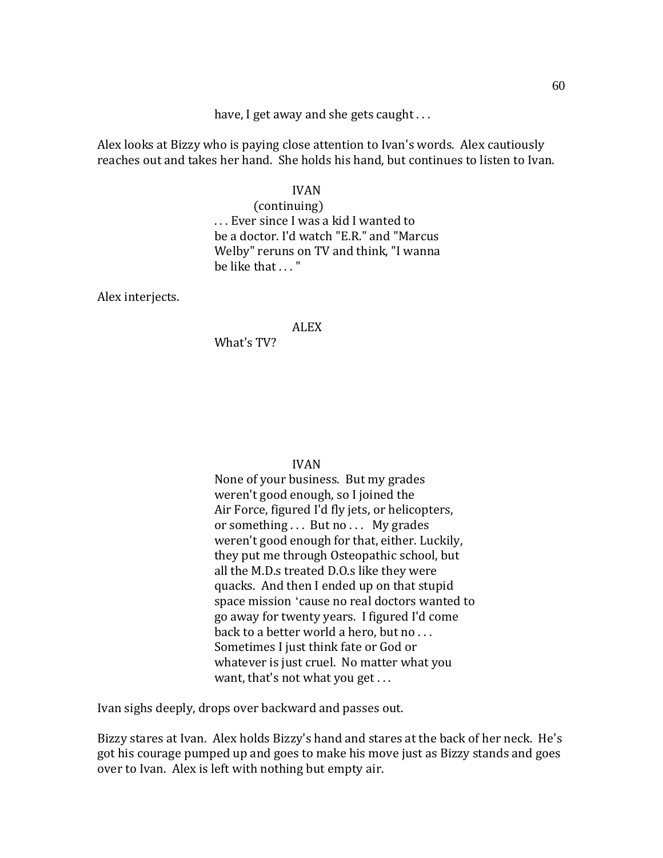have, I get away and she gets caught ...

Alex looks at Bizzy who is paying close attention to Ivan's words. Alex cautiously reaches out and takes her hand. She holds his hand, but continues to listen to Ivan.

### IVAN

(continuing) . . . Ever since I was a kid I wanted to be a doctor. I'd watch "E.R." and "Marcus Welby" reruns on TV and think, "I wanna be like that . . . "

Alex interjects.

### ALEX

What's TV?

#### IVAN

None of your business. But my grades weren't good enough, so I joined the Air Force, figured I'd fly jets, or helicopters, or something ... But no ... My grades weren't good enough for that, either. Luckily, they put me through Osteopathic school, but all the M.D.s treated D.O.s like they were quacks. And then I ended up on that stupid space mission 'cause no real doctors wanted to go away for twenty years. I figured I'd come back to a better world a hero, but no . . . Sometimes I just think fate or God or whatever is just cruel. No matter what you want, that's not what you get . . .

Ivan sighs deeply, drops over backward and passes out.

Bizzy stares at Ivan. Alex holds Bizzy's hand and stares at the back of her neck. He's got his courage pumped up and goes to make his move just as Bizzy stands and goes over to Ivan. Alex is left with nothing but empty air.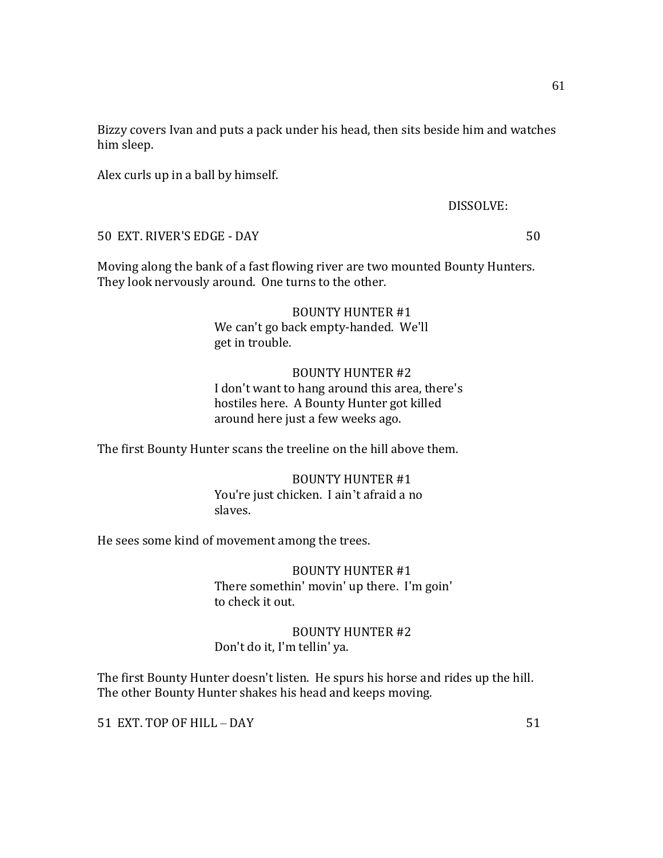Bizzy covers Ivan and puts a pack under his head, then sits beside him and watches him sleep.

Alex curls up in a ball by himself.

DISSOLVE:

50 EXT. RIVER'S EDGE - DAY 50

Moving along the bank of a fast flowing river are two mounted Bounty Hunters. They look nervously around. One turns to the other.

> BOUNTY HUNTER #1 We can't go back empty-handed. We'll get in trouble.

### BOUNTY HUNTER #2

I don't want to hang around this area, there's hostiles here. A Bounty Hunter got killed around here just a few weeks ago.

The first Bounty Hunter scans the treeline on the hill above them.

BOUNTY HUNTER #1 You're just chicken. I ain't afraid a no slaves.

He sees some kind of movement among the trees.

BOUNTY HUNTER #1 There somethin' movin' up there. I'm goin' to check it out.

BOUNTY HUNTER #2 Don't do it, I'm tellin' ya.

The first Bounty Hunter doesn't listen. He spurs his horse and rides up the hill. The other Bounty Hunter shakes his head and keeps moving.

51 EXT. TOP OF HILL – DAY 51

61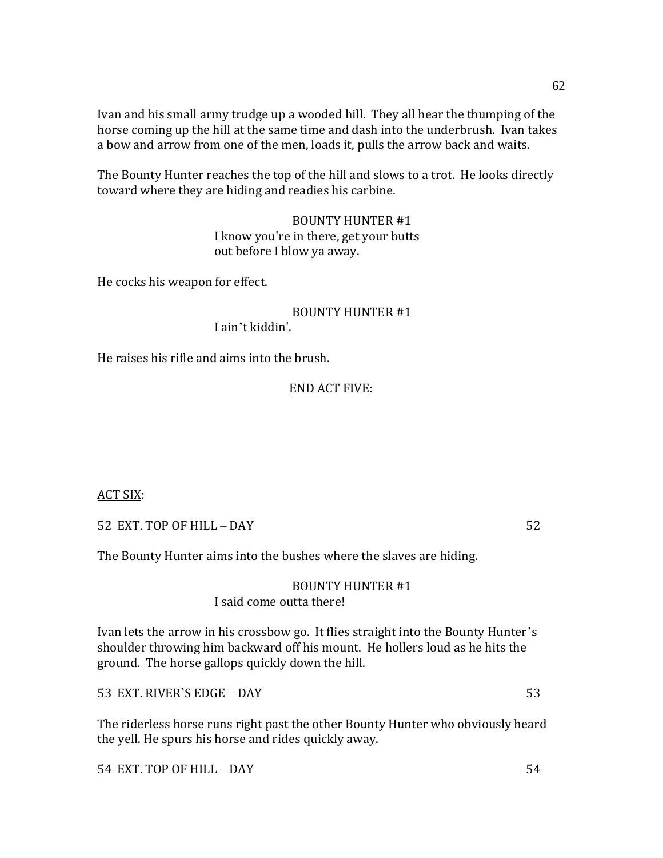Ivan and his small army trudge up a wooded hill. They all hear the thumping of the horse coming up the hill at the same time and dash into the underbrush. Ivan takes a bow and arrow from one of the men, loads it, pulls the arrow back and waits.

The Bounty Hunter reaches the top of the hill and slows to a trot. He looks directly toward where they are hiding and readies his carbine.

> BOUNTY HUNTER #1 I know you're in there, get your butts out before I blow ya away.

He cocks his weapon for effect.

BOUNTY HUNTER #1 I ain't kiddin'.

He raises his rifle and aims into the brush.

### END ACT FIVE:

ACT SIX:

52 EXT. TOP OF HILL – DAY 52

The Bounty Hunter aims into the bushes where the slaves are hiding.

#### BOUNTY HUNTER #1 I said come outta there!

Ivan lets the arrow in his crossbow go. It flies straight into the Bounty Hunter's shoulder throwing him backward off his mount. He hollers loud as he hits the ground. The horse gallops quickly down the hill.

53 EXT. RIVER`S EDGE – DAY 53

The riderless horse runs right past the other Bounty Hunter who obviously heard the yell. He spurs his horse and rides quickly away.

54 EXT. TOP OF HILL – DAY 54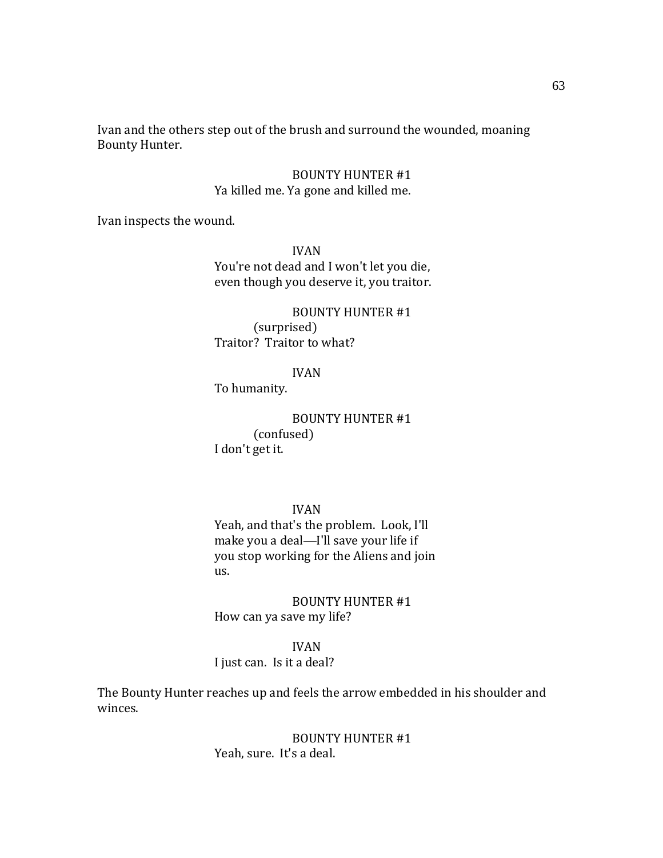Ivan and the others step out of the brush and surround the wounded, moaning Bounty Hunter.

## BOUNTY HUNTER #1 Ya killed me. Ya gone and killed me.

Ivan inspects the wound.

IVAN You're not dead and I won't let you die, even though you deserve it, you traitor.

BOUNTY HUNTER #1 (surprised) Traitor? Traitor to what?

IVAN

To humanity.

BOUNTY HUNTER #1 (confused) I don't get it.

IVAN

Yeah, and that's the problem. Look, I'll make you a deal—I'll save your life if you stop working for the Aliens and join us.

BOUNTY HUNTER #1 How can ya save my life?

### IVAN

I just can. Is it a deal?

The Bounty Hunter reaches up and feels the arrow embedded in his shoulder and winces.

> BOUNTY HUNTER #1 Yeah, sure. It's a deal.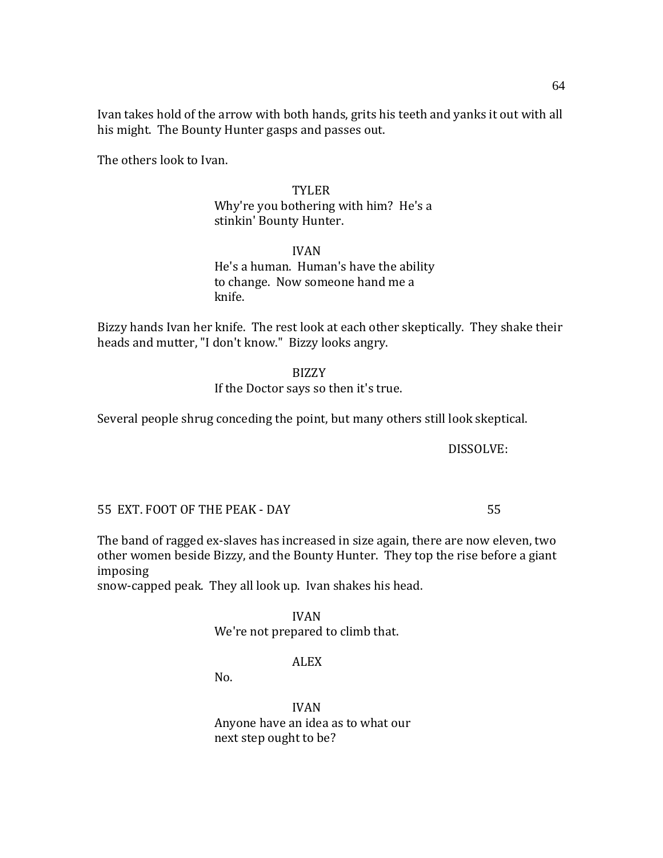Ivan takes hold of the arrow with both hands, grits his teeth and yanks it out with all his might. The Bounty Hunter gasps and passes out.

The others look to Ivan.

## TYLER

Why're you bothering with him? He's a stinkin' Bounty Hunter.

IVAN He's a human. Human's have the ability to change. Now someone hand me a knife.

Bizzy hands Ivan her knife. The rest look at each other skeptically. They shake their heads and mutter, "I don't know." Bizzy looks angry.

#### BIZZY

If the Doctor says so then it's true.

Several people shrug conceding the point, but many others still look skeptical.

DISSOLVE:

55 EXT. FOOT OF THE PEAK - DAY 55

The band of ragged ex-slaves has increased in size again, there are now eleven, two other women beside Bizzy, and the Bounty Hunter. They top the rise before a giant imposing

snow-capped peak. They all look up. Ivan shakes his head.

### IVAN We're not prepared to climb that.

## ALEX

No.

IVAN Anyone have an idea as to what our next step ought to be?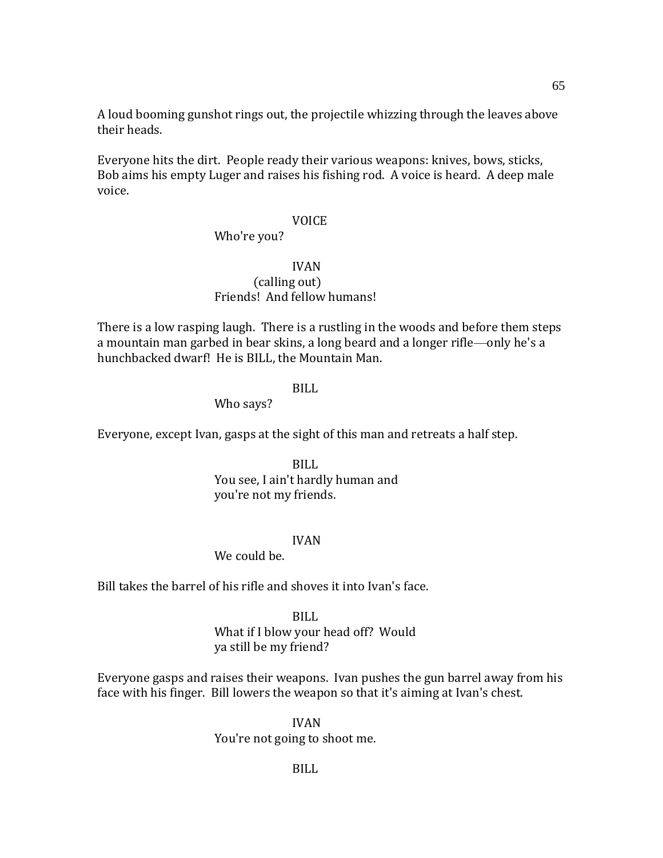A loud booming gunshot rings out, the projectile whizzing through the leaves above their heads.

Everyone hits the dirt. People ready their various weapons: knives, bows, sticks, Bob aims his empty Luger and raises his fishing rod. A voice is heard. A deep male voice.

#### VOICE

### Who're you?

## IVAN (calling out) Friends! And fellow humans!

There is a low rasping laugh. There is a rustling in the woods and before them steps a mountain man garbed in bear skins, a long beard and a longer rifle—only he's a hunchbacked dwarf! He is BILL, the Mountain Man.

### BILL

### Who says?

Everyone, except Ivan, gasps at the sight of this man and retreats a half step.

BILL You see, I ain't hardly human and you're not my friends.

### IVAN

## We could be.

Bill takes the barrel of his rifle and shoves it into Ivan's face.

#### BILL

What if I blow your head off? Would ya still be my friend?

Everyone gasps and raises their weapons. Ivan pushes the gun barrel away from his face with his finger. Bill lowers the weapon so that it's aiming at Ivan's chest.

> IVAN You're not going to shoot me.

65

BILL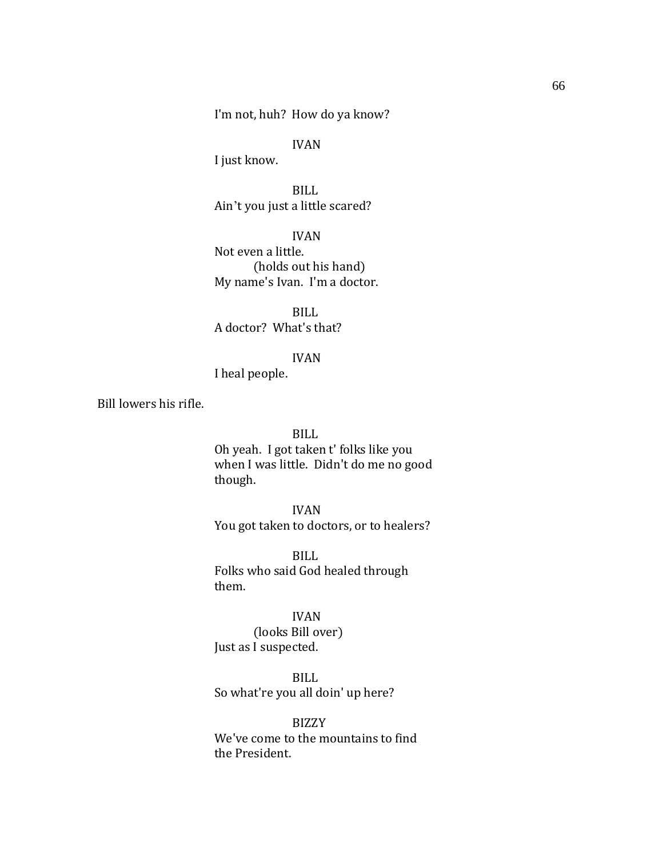I'm not, huh? How do ya know?

## IVAN

I just know.

BILL Ain't you just a little scared?

IVAN Not even a little. (holds out his hand) My name's Ivan. I'm a doctor.

BILL A doctor? What's that?

#### IVAN

I heal people.

Bill lowers his rifle.

### BILL

Oh yeah. I got taken t' folks like you when I was little. Didn't do me no good though.

### IVAN

You got taken to doctors, or to healers?

BILL Folks who said God healed through them.

## IVAN

(looks Bill over) Just as I suspected.

BILL So what're you all doin' up here?

BIZZY We've come to the mountains to find the President.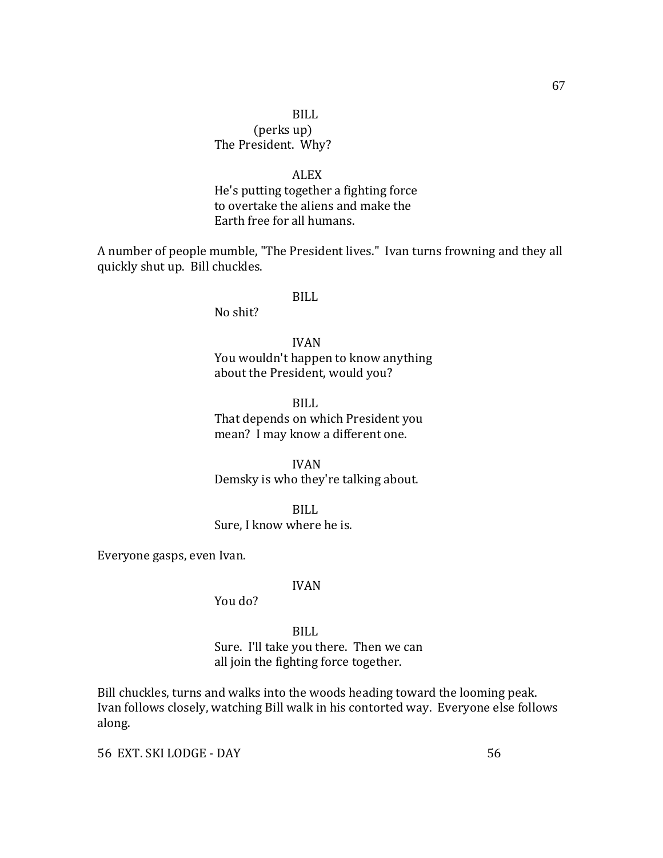# BILL (perks up) The President. Why?

#### ALEX

He's putting together a fighting force to overtake the aliens and make the Earth free for all humans.

A number of people mumble, "The President lives." Ivan turns frowning and they all quickly shut up. Bill chuckles.

#### BILL

No shit?

IVAN You wouldn't happen to know anything about the President, would you?

BILL That depends on which President you mean? I may know a different one.

IVAN Demsky is who they're talking about.

BILL

Sure, I know where he is.

Everyone gasps, even Ivan.

#### IVAN

You do?

BILL Sure. I'll take you there. Then we can all join the fighting force together.

Bill chuckles, turns and walks into the woods heading toward the looming peak. Ivan follows closely, watching Bill walk in his contorted way. Everyone else follows along.

56 EXT. SKI LODGE - DAY 56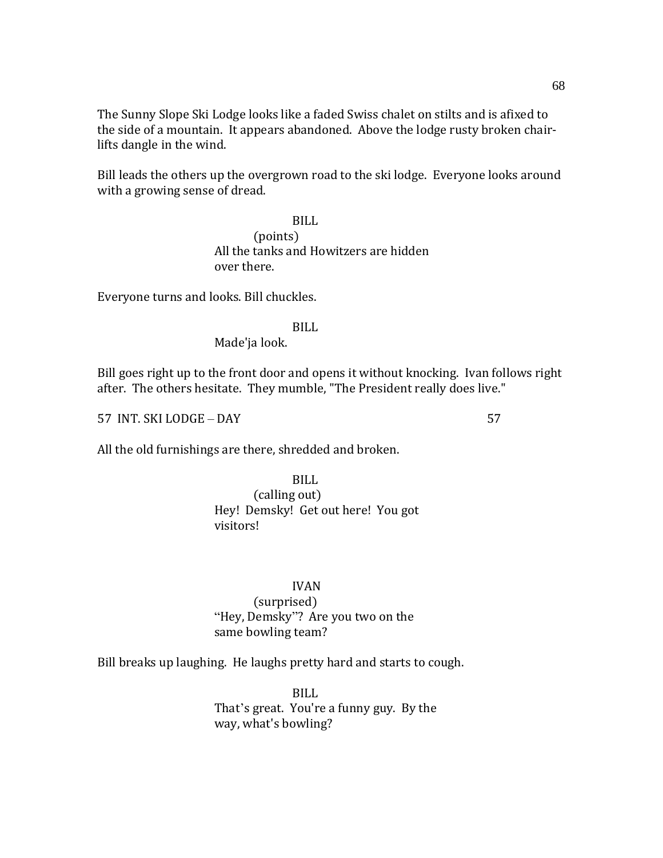The Sunny Slope Ski Lodge looks like a faded Swiss chalet on stilts and is afixed to the side of a mountain. It appears abandoned. Above the lodge rusty broken chairlifts dangle in the wind.

Bill leads the others up the overgrown road to the ski lodge. Everyone looks around with a growing sense of dread.

> BILL (points) All the tanks and Howitzers are hidden over there.

Everyone turns and looks. Bill chuckles.

# BILL

Made'ja look.

Bill goes right up to the front door and opens it without knocking. Ivan follows right after. The others hesitate. They mumble, "The President really does live."

57 INT. SKI LODGE – DAY 57

All the old furnishings are there, shredded and broken.

BILL (calling out) Hey! Demsky! Get out here! You got visitors!

## IVAN

(surprised) "Hey, Demsky"? Are you two on the same bowling team?

Bill breaks up laughing. He laughs pretty hard and starts to cough.

BILL That's great. You're a funny guy. By the way, what's bowling?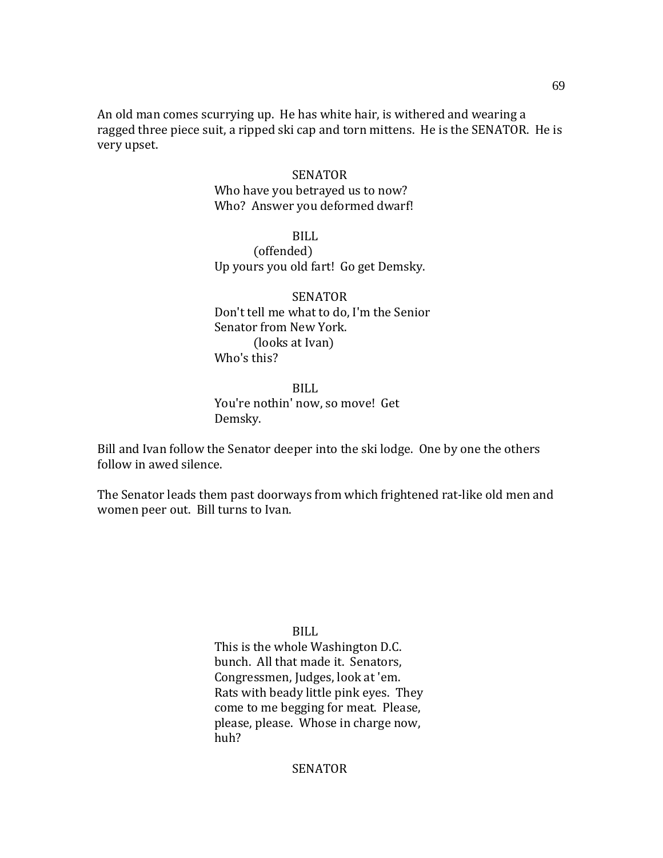An old man comes scurrying up. He has white hair, is withered and wearing a ragged three piece suit, a ripped ski cap and torn mittens. He is the SENATOR. He is very upset.

#### SENATOR

Who have you betrayed us to now? Who? Answer you deformed dwarf!

BILL

(offended) Up yours you old fart! Go get Demsky.

SENATOR Don't tell me what to do, I'm the Senior Senator from New York. (looks at Ivan) Who's this?

BILL You're nothin' now, so move! Get Demsky.

Bill and Ivan follow the Senator deeper into the ski lodge. One by one the others follow in awed silence.

The Senator leads them past doorways from which frightened rat-like old men and women peer out. Bill turns to Ivan.

BILL

This is the whole Washington D.C. bunch. All that made it. Senators, Congressmen, Judges, look at 'em. Rats with beady little pink eyes. They come to me begging for meat. Please, please, please. Whose in charge now, huh?

## **SENATOR**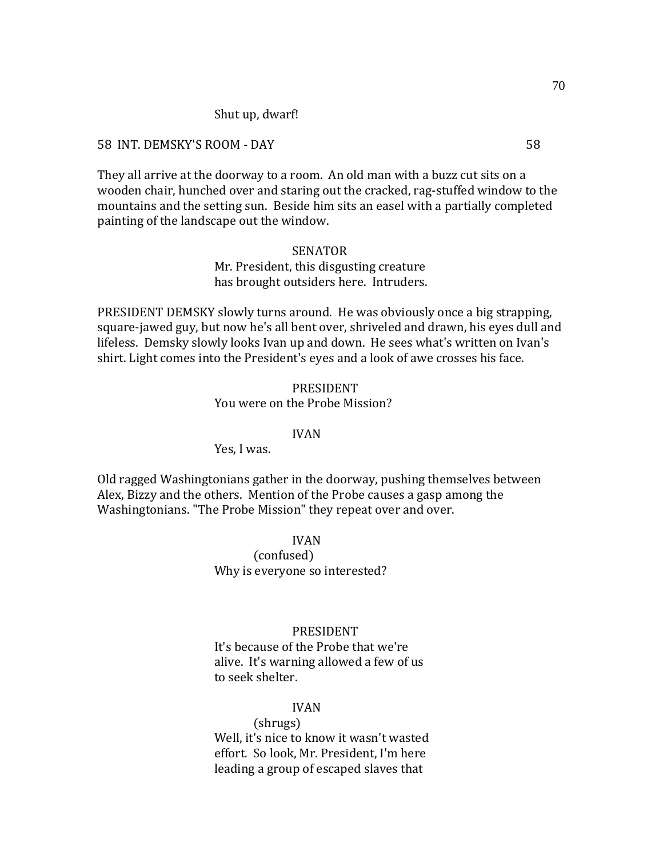#### Shut up, dwarf!

#### 58 INT. DEMSKY'S ROOM - DAY 58

They all arrive at the doorway to a room. An old man with a buzz cut sits on a wooden chair, hunched over and staring out the cracked, rag-stuffed window to the mountains and the setting sun. Beside him sits an easel with a partially completed painting of the landscape out the window.

### SENATOR

### Mr. President, this disgusting creature has brought outsiders here. Intruders.

PRESIDENT DEMSKY slowly turns around. He was obviously once a big strapping, square-jawed guy, but now he's all bent over, shriveled and drawn, his eyes dull and lifeless. Demsky slowly looks Ivan up and down. He sees what's written on Ivan's shirt. Light comes into the President's eyes and a look of awe crosses his face.

#### PRESIDENT

#### You were on the Probe Mission?

#### IVAN

Yes, I was.

Old ragged Washingtonians gather in the doorway, pushing themselves between Alex, Bizzy and the others. Mention of the Probe causes a gasp among the Washingtonians. "The Probe Mission" they repeat over and over.

IVAN

(confused) Why is everyone so interested?

#### PRESIDENT

It's because of the Probe that we're alive. It's warning allowed a few of us to seek shelter.

#### IVAN

(shrugs) Well, it's nice to know it wasn't wasted effort. So look, Mr. President, I'm here leading a group of escaped slaves that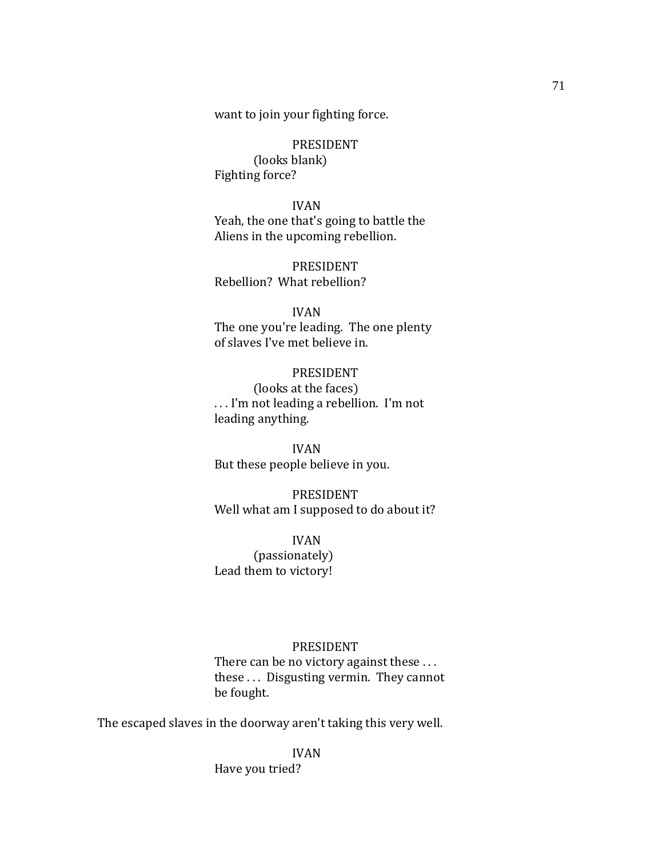want to join your fighting force.

PRESIDENT (looks blank) Fighting force?

IVAN Yeah, the one that's going to battle the Aliens in the upcoming rebellion.

PRESIDENT Rebellion? What rebellion?

IVAN The one you're leading. The one plenty of slaves I've met believe in.

PRESIDENT (looks at the faces) . . . I'm not leading a rebellion. I'm not leading anything.

IVAN But these people believe in you.

PRESIDENT Well what am I supposed to do about it?

IVAN (passionately) Lead them to victory!

## PRESIDENT

There can be no victory against these ... these . . . Disgusting vermin. They cannot be fought.

The escaped slaves in the doorway aren't taking this very well.

IVAN Have you tried?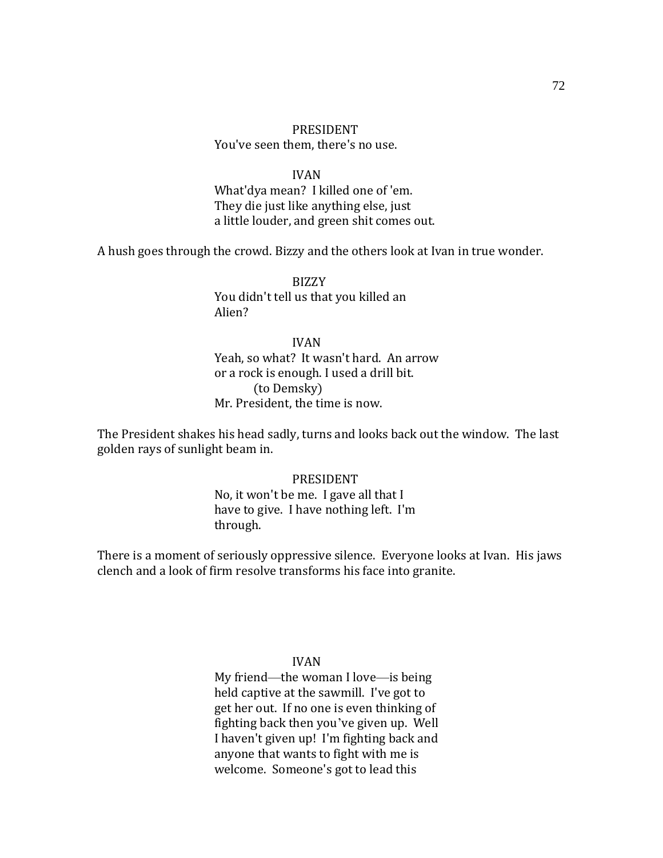## PRESIDENT You've seen them, there's no use.

#### IVAN

What'dya mean? I killed one of 'em. They die just like anything else, just a little louder, and green shit comes out.

A hush goes through the crowd. Bizzy and the others look at Ivan in true wonder.

BIZZY You didn't tell us that you killed an Alien?

# IVAN

Yeah, so what? It wasn't hard. An arrow or a rock is enough. I used a drill bit. (to Demsky) Mr. President, the time is now.

The President shakes his head sadly, turns and looks back out the window. The last golden rays of sunlight beam in.

#### PRESIDENT

No, it won't be me. I gave all that I have to give. I have nothing left. I'm through.

There is a moment of seriously oppressive silence. Everyone looks at Ivan. His jaws clench and a look of firm resolve transforms his face into granite.

### IVAN

My friend—the woman I love—is being held captive at the sawmill. I've got to get her out. If no one is even thinking of fighting back then you've given up. Well I haven't given up! I'm fighting back and anyone that wants to fight with me is welcome. Someone's got to lead this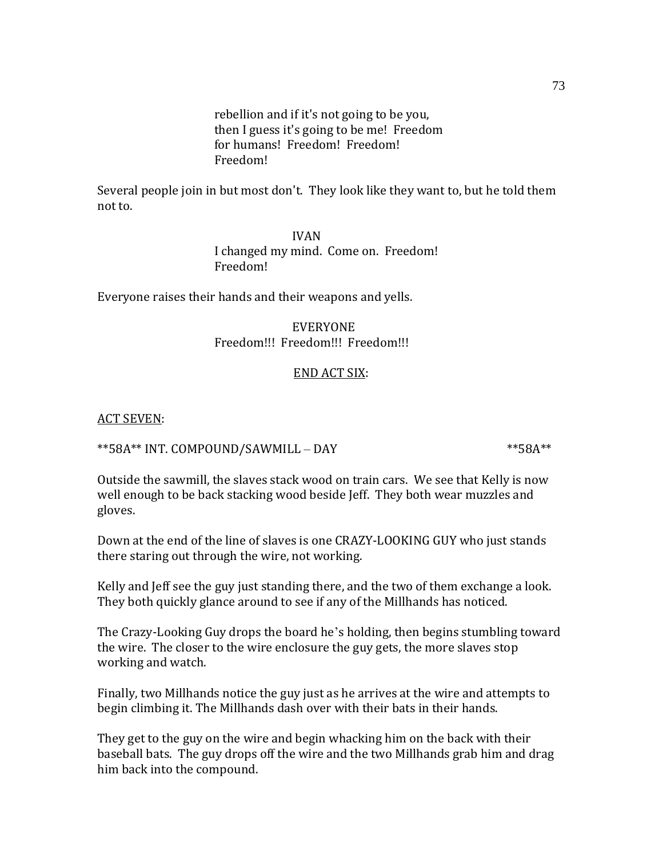rebellion and if it's not going to be you, then I guess it's going to be me! Freedom for humans! Freedom! Freedom! Freedom!

Several people join in but most don't. They look like they want to, but he told them not to.

> IVAN I changed my mind. Come on. Freedom! Freedom!

Everyone raises their hands and their weapons and yells.

EVERYONE Freedom!!! Freedom!!! Freedom!!!

### END ACT SIX:

ACT SEVEN:

 $**58A**$  INT. COMPOUND/SAWMILL – DAY  $**58A**$ 

Outside the sawmill, the slaves stack wood on train cars. We see that Kelly is now well enough to be back stacking wood beside Jeff. They both wear muzzles and gloves.

Down at the end of the line of slaves is one CRAZY-LOOKING GUY who just stands there staring out through the wire, not working.

Kelly and Jeff see the guy just standing there, and the two of them exchange a look. They both quickly glance around to see if any of the Millhands has noticed.

The Crazy-Looking Guy drops the board he's holding, then begins stumbling toward the wire. The closer to the wire enclosure the guy gets, the more slaves stop working and watch.

Finally, two Millhands notice the guy just as he arrives at the wire and attempts to begin climbing it. The Millhands dash over with their bats in their hands.

They get to the guy on the wire and begin whacking him on the back with their baseball bats. The guy drops off the wire and the two Millhands grab him and drag him back into the compound.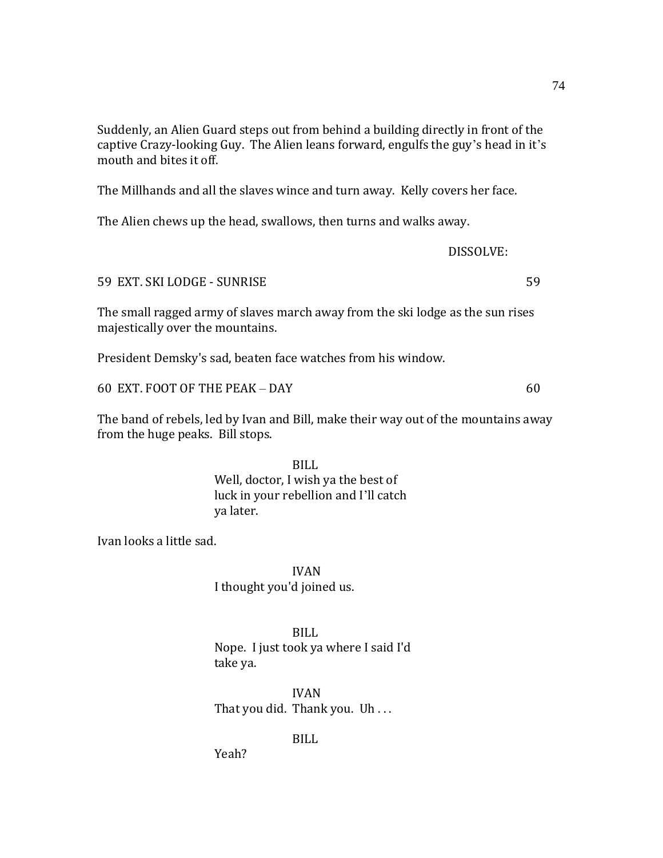Suddenly, an Alien Guard steps out from behind a building directly in front of the captive Crazy-looking Guy. The Alien leans forward, engulfs the guy's head in it's mouth and bites it off.

The Millhands and all the slaves wince and turn away. Kelly covers her face.

The Alien chews up the head, swallows, then turns and walks away.

DISSOLVE:

59 EXT. SKI LODGE - SUNRISE 59

The small ragged army of slaves march away from the ski lodge as the sun rises majestically over the mountains.

President Demsky's sad, beaten face watches from his window.

60 EXT. FOOT OF THE PEAK – DAY 60

The band of rebels, led by Ivan and Bill, make their way out of the mountains away from the huge peaks. Bill stops.

> BILL Well, doctor, I wish ya the best of luck in your rebellion and I'll catch ya later.

Ivan looks a little sad.

IVAN I thought you'd joined us.

BILL Nope. I just took ya where I said I'd take ya.

IVAN That you did. Thank you. Uh . . .

BILL

Yeah?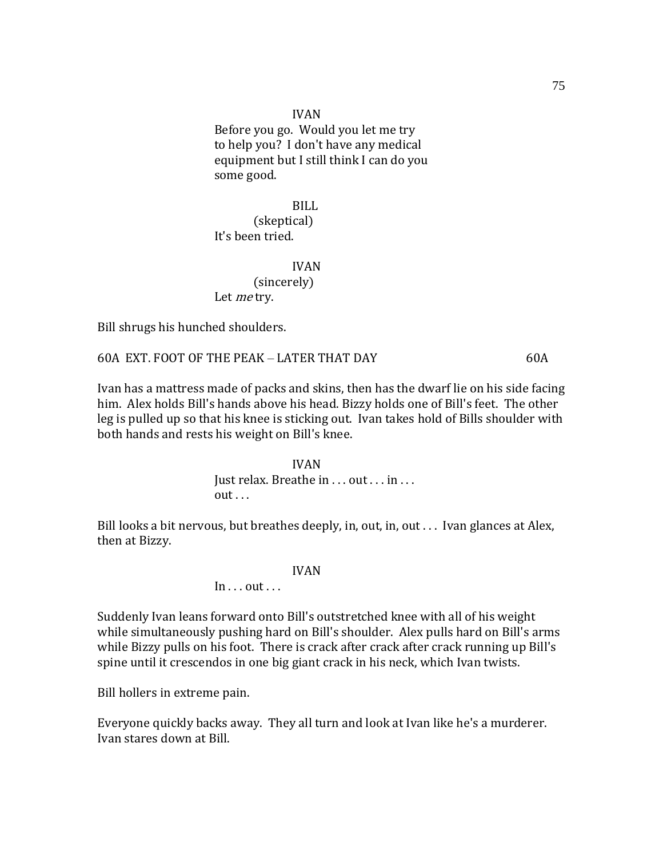IVAN Before you go. Would you let me try to help you? I don't have any medical equipment but I still think I can do you some good.

BILL (skeptical) It's been tried.

## IVAN (sincerely) Let *me* try.

Bill shrugs his hunched shoulders.

## 60A EXT. FOOT OF THE PEAK – LATER THAT DAY 60A

Ivan has a mattress made of packs and skins, then has the dwarf lie on his side facing him. Alex holds Bill's hands above his head. Bizzy holds one of Bill's feet. The other leg is pulled up so that his knee is sticking out. Ivan takes hold of Bills shoulder with both hands and rests his weight on Bill's knee.

> IVAN Just relax. Breathe in . . . out . . . in . . .  $out...$

Bill looks a bit nervous, but breathes deeply, in, out, in, out... Ivan glances at Alex, then at Bizzy.

#### IVAN

## $In...$  out  $\ldots$

Suddenly Ivan leans forward onto Bill's outstretched knee with all of his weight while simultaneously pushing hard on Bill's shoulder. Alex pulls hard on Bill's arms while Bizzy pulls on his foot. There is crack after crack after crack running up Bill's spine until it crescendos in one big giant crack in his neck, which Ivan twists.

Bill hollers in extreme pain.

Everyone quickly backs away. They all turn and look at Ivan like he's a murderer. Ivan stares down at Bill.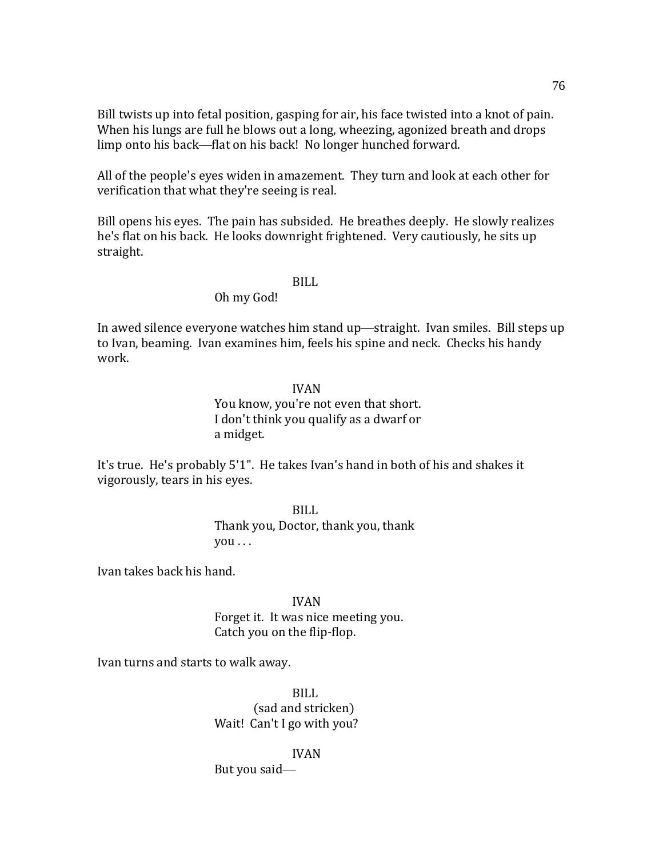Bill twists up into fetal position, gasping for air, his face twisted into a knot of pain. When his lungs are full he blows out a long, wheezing, agonized breath and drops limp onto his back—flat on his back! No longer hunched forward.

All of the people's eyes widen in amazement. They turn and look at each other for verification that what they're seeing is real.

Bill opens his eyes. The pain has subsided. He breathes deeply. He slowly realizes he's flat on his back. He looks downright frightened. Very cautiously, he sits up straight.

## BILL

## Oh my God!

In awed silence everyone watches him stand up—straight. Ivan smiles. Bill steps up to Ivan, beaming. Ivan examines him, feels his spine and neck. Checks his handy work.

### IVAN

You know, you're not even that short. I don't think you qualify as a dwarf or a midget.

It's true. He's probably 5'1". He takes Ivan's hand in both of his and shakes it vigorously, tears in his eyes.

> BILL Thank you, Doctor, thank you, thank you . . .

Ivan takes back his hand.

## IVAN Forget it. It was nice meeting you. Catch you on the flip-flop.

Ivan turns and starts to walk away.

BILL (sad and stricken) Wait! Can't I go with you?

IVAN But you said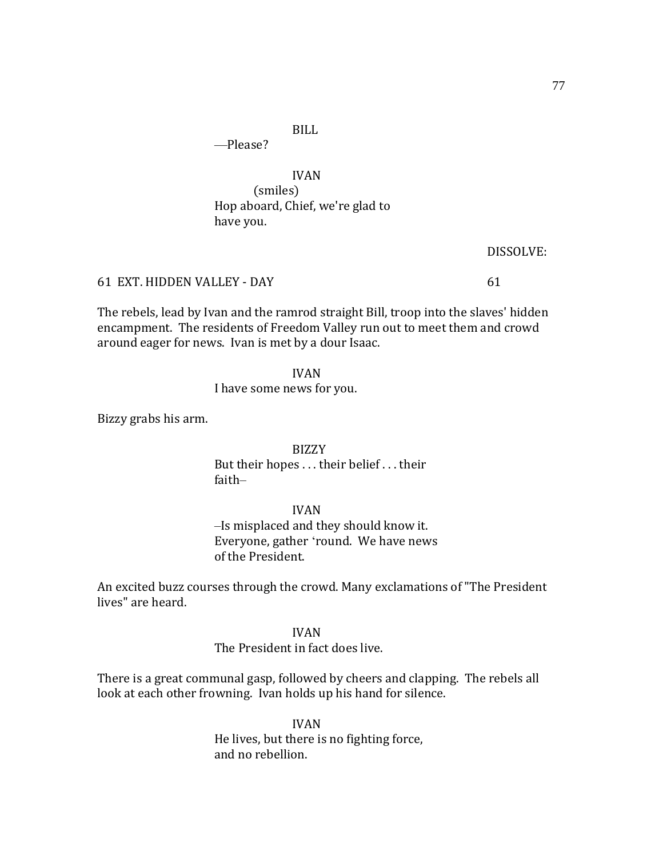BILL

—Please?

IVAN (smiles) Hop aboard, Chief, we're glad to have you.

DISSOLVE:

61 EXT. HIDDEN VALLEY - DAY 61

The rebels, lead by Ivan and the ramrod straight Bill, troop into the slaves' hidden encampment. The residents of Freedom Valley run out to meet them and crowd around eager for news. Ivan is met by a dour Isaac.

IVAN

I have some news for you.

Bizzy grabs his arm.

BIZZY But their hopes . . . their belief . . . their faith–

IVAN

–Is misplaced and they should know it. Everyone, gather 'round. We have news of the President.

An excited buzz courses through the crowd. Many exclamations of "The President lives" are heard.

IVAN

The President in fact does live.

There is a great communal gasp, followed by cheers and clapping. The rebels all look at each other frowning. Ivan holds up his hand for silence.

> IVAN He lives, but there is no fighting force, and no rebellion.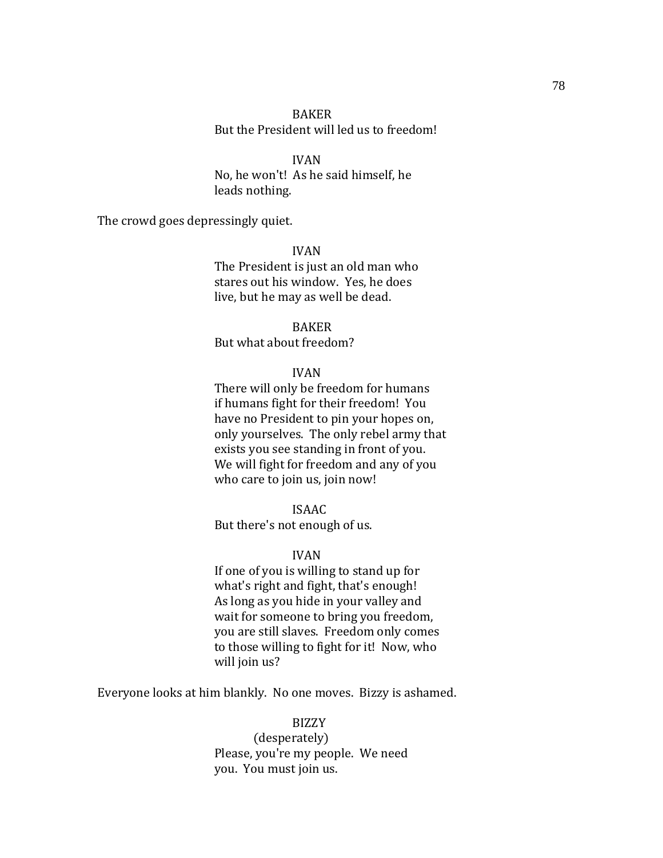## BAKER But the President will led us to freedom!

IVAN No, he won't! As he said himself, he leads nothing.

The crowd goes depressingly quiet.

IVAN The President is just an old man who stares out his window. Yes, he does live, but he may as well be dead.

BAKER But what about freedom?

### IVAN

There will only be freedom for humans if humans fight for their freedom! You have no President to pin your hopes on, only yourselves. The only rebel army that exists you see standing in front of you. We will fight for freedom and any of you who care to join us, join now!

#### ISAAC

But there's not enough of us.

### IVAN

If one of you is willing to stand up for what's right and fight, that's enough! As long as you hide in your valley and wait for someone to bring you freedom, you are still slaves. Freedom only comes to those willing to fight for it! Now, who will join us?

Everyone looks at him blankly. No one moves. Bizzy is ashamed.

## BIZZY

(desperately) Please, you're my people. We need you. You must join us.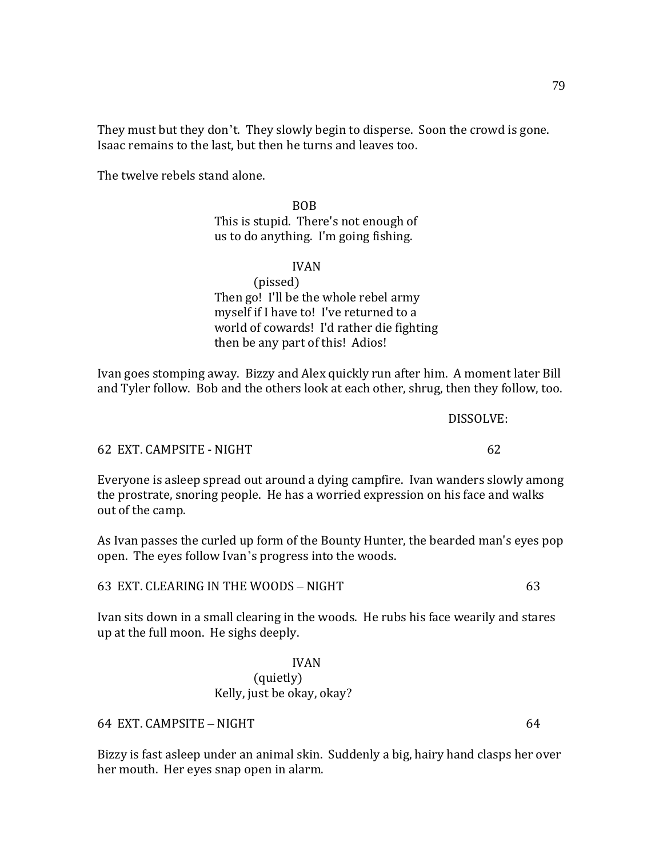They must but they don't. They slowly begin to disperse. Soon the crowd is gone. Isaac remains to the last, but then he turns and leaves too.

The twelve rebels stand alone.

BOB This is stupid. There's not enough of us to do anything. I'm going fishing.

### IVAN

(pissed)

Then go! I'll be the whole rebel army myself if I have to! I've returned to a world of cowards! I'd rather die fighting then be any part of this! Adios!

Ivan goes stomping away. Bizzy and Alex quickly run after him. A moment later Bill and Tyler follow. Bob and the others look at each other, shrug, then they follow, too.

62 EXT. CAMPSITE - NIGHT 62

Everyone is asleep spread out around a dying campfire. Ivan wanders slowly among the prostrate, snoring people. He has a worried expression on his face and walks out of the camp.

As Ivan passes the curled up form of the Bounty Hunter, the bearded man's eyes pop open. The eyes follow Ivan's progress into the woods.

63 EXT. CLEARING IN THE WOODS – NIGHT 63

Ivan sits down in a small clearing in the woods. He rubs his face wearily and stares up at the full moon. He sighs deeply.

> IVAN (quietly) Kelly, just be okay, okay?

64 EXT. CAMPSITE – NIGHT 64

Bizzy is fast asleep under an animal skin. Suddenly a big, hairy hand clasps her over her mouth. Her eyes snap open in alarm.

DISSOLVE: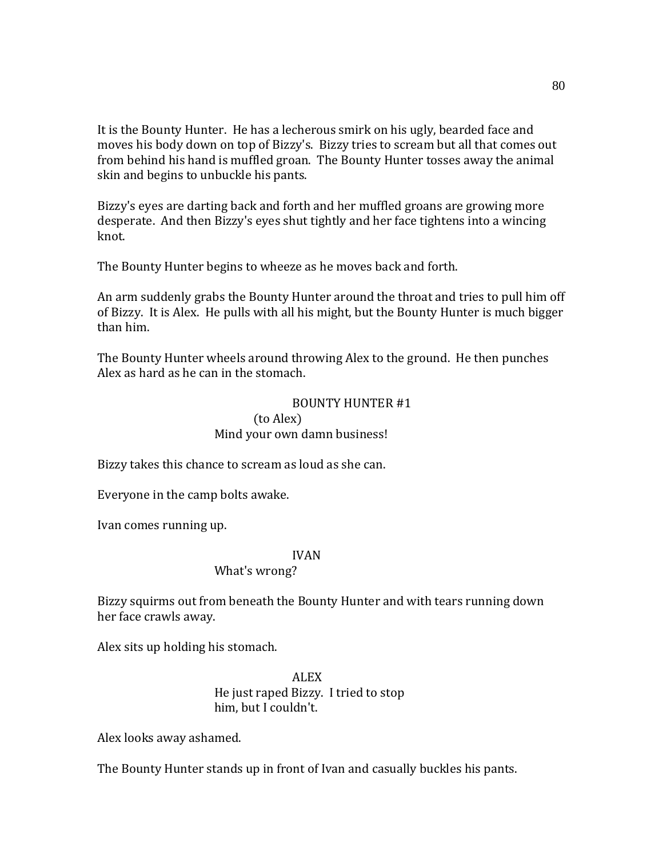It is the Bounty Hunter. He has a lecherous smirk on his ugly, bearded face and moves his body down on top of Bizzy's. Bizzy tries to scream but all that comes out from behind his hand is muffled groan. The Bounty Hunter tosses away the animal skin and begins to unbuckle his pants.

Bizzy's eyes are darting back and forth and her muffled groans are growing more desperate. And then Bizzy's eyes shut tightly and her face tightens into a wincing knot.

The Bounty Hunter begins to wheeze as he moves back and forth.

An arm suddenly grabs the Bounty Hunter around the throat and tries to pull him off of Bizzy. It is Alex. He pulls with all his might, but the Bounty Hunter is much bigger than him.

The Bounty Hunter wheels around throwing Alex to the ground. He then punches Alex as hard as he can in the stomach.

## BOUNTY HUNTER #1 (to Alex) Mind your own damn business!

Bizzy takes this chance to scream as loud as she can.

Everyone in the camp bolts awake.

Ivan comes running up.

## IVAN

### What's wrong?

Bizzy squirms out from beneath the Bounty Hunter and with tears running down her face crawls away.

Alex sits up holding his stomach.

ALEX He just raped Bizzy. I tried to stop him, but I couldn't.

Alex looks away ashamed.

The Bounty Hunter stands up in front of Ivan and casually buckles his pants.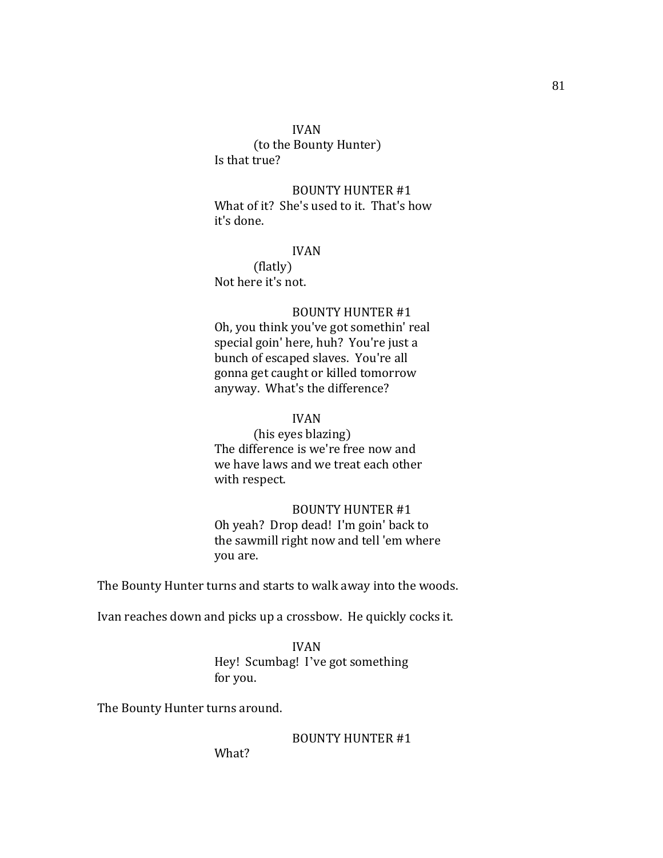### IVAN

(to the Bounty Hunter) Is that true?

BOUNTY HUNTER #1 What of it? She's used to it. That's how it's done.

### IVAN

(flatly) Not here it's not.

## BOUNTY HUNTER #1

Oh, you think you've got somethin' real special goin' here, huh? You're just a bunch of escaped slaves. You're all gonna get caught or killed tomorrow anyway. What's the difference?

## IVAN

(his eyes blazing) The difference is we're free now and we have laws and we treat each other with respect.

### BOUNTY HUNTER #1

Oh yeah? Drop dead! I'm goin' back to the sawmill right now and tell 'em where you are.

The Bounty Hunter turns and starts to walk away into the woods.

Ivan reaches down and picks up a crossbow. He quickly cocks it.

IVAN Hey! Scumbag! I've got something for you.

The Bounty Hunter turns around.

BOUNTY HUNTER #1

What?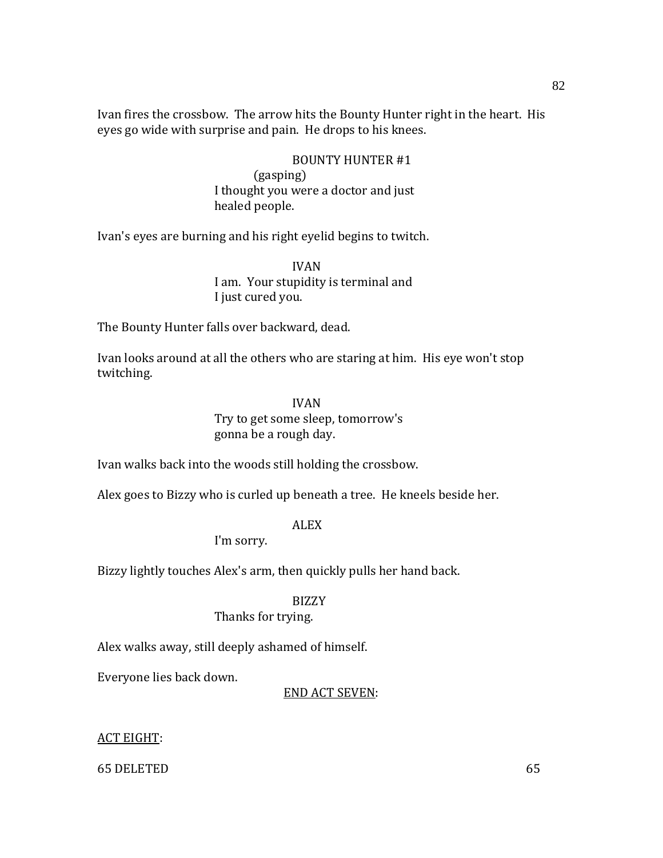Ivan fires the crossbow. The arrow hits the Bounty Hunter right in the heart. His eyes go wide with surprise and pain. He drops to his knees.

## BOUNTY HUNTER #1

(gasping) I thought you were a doctor and just healed people.

Ivan's eyes are burning and his right eyelid begins to twitch.

IVAN I am. Your stupidity is terminal and I just cured you.

The Bounty Hunter falls over backward, dead.

Ivan looks around at all the others who are staring at him. His eye won't stop twitching.

### IVAN

## Try to get some sleep, tomorrow's gonna be a rough day.

Ivan walks back into the woods still holding the crossbow.

Alex goes to Bizzy who is curled up beneath a tree. He kneels beside her.

## ALEX

I'm sorry.

Bizzy lightly touches Alex's arm, then quickly pulls her hand back.

### BIZZY

## Thanks for trying.

Alex walks away, still deeply ashamed of himself.

Everyone lies back down.

## END ACT SEVEN:

## ACT EIGHT:

65 DELETED 65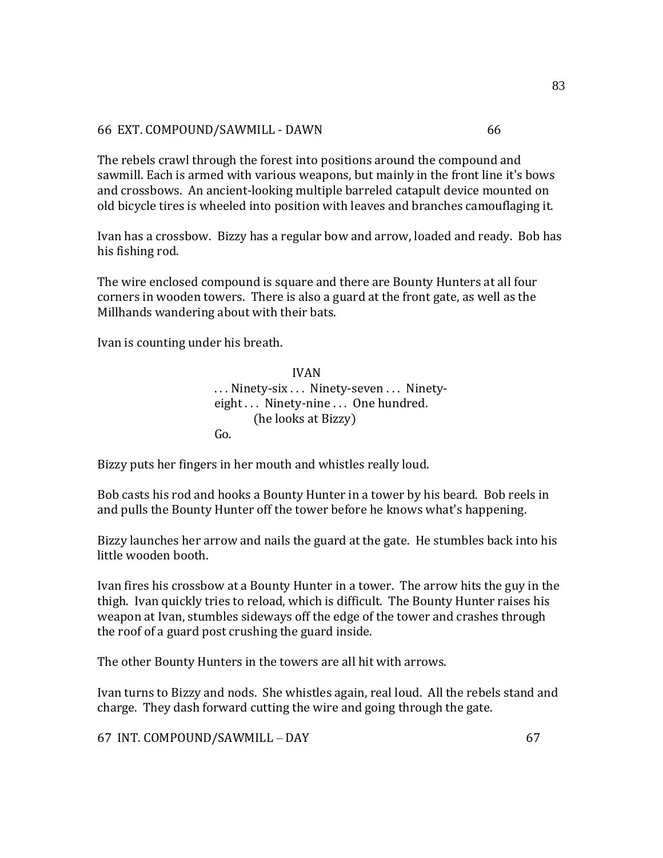## 66 EXT. COMPOUND/SAWMILL - DAWN 66

The rebels crawl through the forest into positions around the compound and sawmill. Each is armed with various weapons, but mainly in the front line it's bows and crossbows. An ancient-looking multiple barreled catapult device mounted on old bicycle tires is wheeled into position with leaves and branches camouflaging it.

Ivan has a crossbow. Bizzy has a regular bow and arrow, loaded and ready. Bob has his fishing rod.

The wire enclosed compound is square and there are Bounty Hunters at all four corners in wooden towers. There is also a guard at the front gate, as well as the Millhands wandering about with their bats.

Ivan is counting under his breath.

IVAN . . . Ninety-six . . . Ninety-seven . . . Ninetyeight . . . Ninety-nine . . . One hundred. (he looks at Bizzy) Go.

Bizzy puts her fingers in her mouth and whistles really loud.

Bob casts his rod and hooks a Bounty Hunter in a tower by his beard. Bob reels in and pulls the Bounty Hunter off the tower before he knows what's happening.

Bizzy launches her arrow and nails the guard at the gate. He stumbles back into his little wooden booth.

Ivan fires his crossbow at a Bounty Hunter in a tower. The arrow hits the guy in the thigh. Ivan quickly tries to reload, which is difficult. The Bounty Hunter raises his weapon at Ivan, stumbles sideways off the edge of the tower and crashes through the roof of a guard post crushing the guard inside.

The other Bounty Hunters in the towers are all hit with arrows.

Ivan turns to Bizzy and nods. She whistles again, real loud. All the rebels stand and charge. They dash forward cutting the wire and going through the gate.

67 INT. COMPOUND/SAWMILL – DAY 67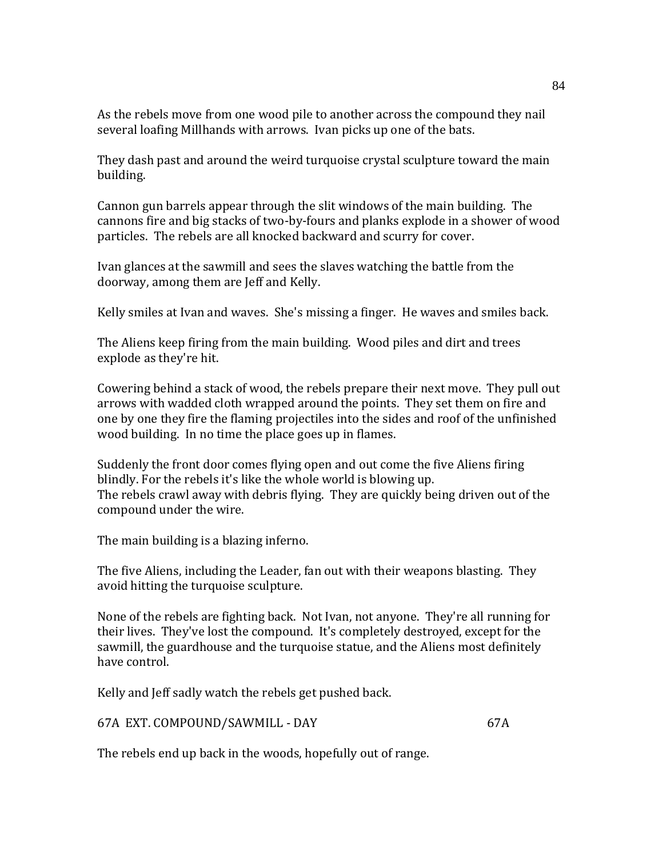As the rebels move from one wood pile to another across the compound they nail several loafing Millhands with arrows. Ivan picks up one of the bats.

They dash past and around the weird turquoise crystal sculpture toward the main building.

Cannon gun barrels appear through the slit windows of the main building. The cannons fire and big stacks of two-by-fours and planks explode in a shower of wood particles. The rebels are all knocked backward and scurry for cover.

Ivan glances at the sawmill and sees the slaves watching the battle from the doorway, among them are Jeff and Kelly.

Kelly smiles at Ivan and waves. She's missing a finger. He waves and smiles back.

The Aliens keep firing from the main building. Wood piles and dirt and trees explode as they're hit.

Cowering behind a stack of wood, the rebels prepare their next move. They pull out arrows with wadded cloth wrapped around the points. They set them on fire and one by one they fire the flaming projectiles into the sides and roof of the unfinished wood building. In no time the place goes up in flames.

Suddenly the front door comes flying open and out come the five Aliens firing blindly. For the rebels it's like the whole world is blowing up. The rebels crawl away with debris flying. They are quickly being driven out of the compound under the wire.

The main building is a blazing inferno.

The five Aliens, including the Leader, fan out with their weapons blasting. They avoid hitting the turquoise sculpture.

None of the rebels are fighting back. Not Ivan, not anyone. They're all running for their lives. They've lost the compound. It's completely destroyed, except for the sawmill, the guardhouse and the turquoise statue, and the Aliens most definitely have control.

Kelly and Jeff sadly watch the rebels get pushed back.

67A EXT. COMPOUND/SAWMILL - DAY 67A

The rebels end up back in the woods, hopefully out of range.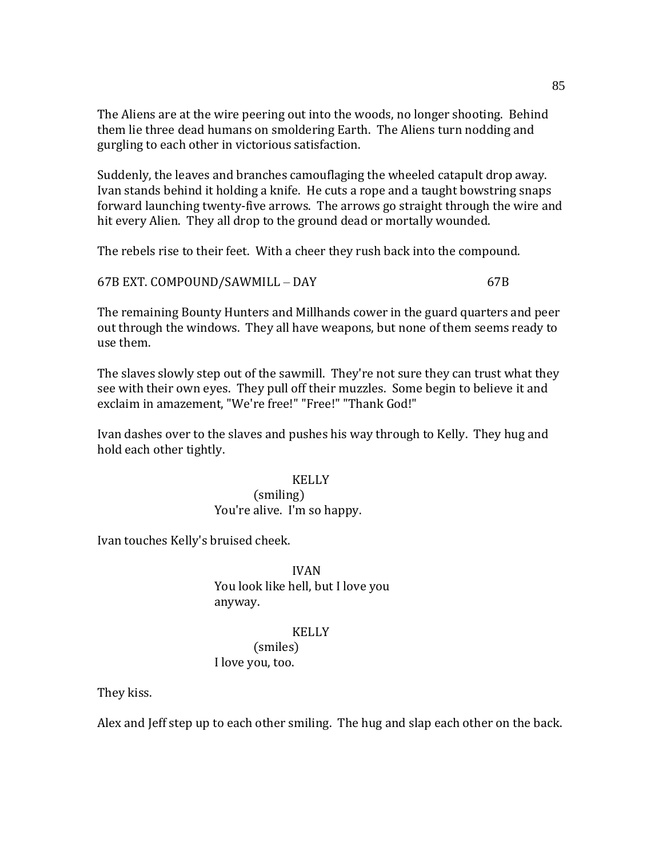The Aliens are at the wire peering out into the woods, no longer shooting. Behind them lie three dead humans on smoldering Earth. The Aliens turn nodding and gurgling to each other in victorious satisfaction.

Suddenly, the leaves and branches camouflaging the wheeled catapult drop away. Ivan stands behind it holding a knife. He cuts a rope and a taught bowstring snaps forward launching twenty-five arrows. The arrows go straight through the wire and hit every Alien. They all drop to the ground dead or mortally wounded.

The rebels rise to their feet. With a cheer they rush back into the compound.

67B EXT. COMPOUND/SAWMILL – DAY 67B

The remaining Bounty Hunters and Millhands cower in the guard quarters and peer out through the windows. They all have weapons, but none of them seems ready to use them.

The slaves slowly step out of the sawmill. They're not sure they can trust what they see with their own eyes. They pull off their muzzles. Some begin to believe it and exclaim in amazement, "We're free!" "Free!" "Thank God!"

Ivan dashes over to the slaves and pushes his way through to Kelly. They hug and hold each other tightly.

## KELLY (smiling) You're alive. I'm so happy.

Ivan touches Kelly's bruised cheek.

IVAN You look like hell, but I love you anyway.

### KELLY

(smiles) I love you, too.

They kiss.

Alex and Jeff step up to each other smiling. The hug and slap each other on the back.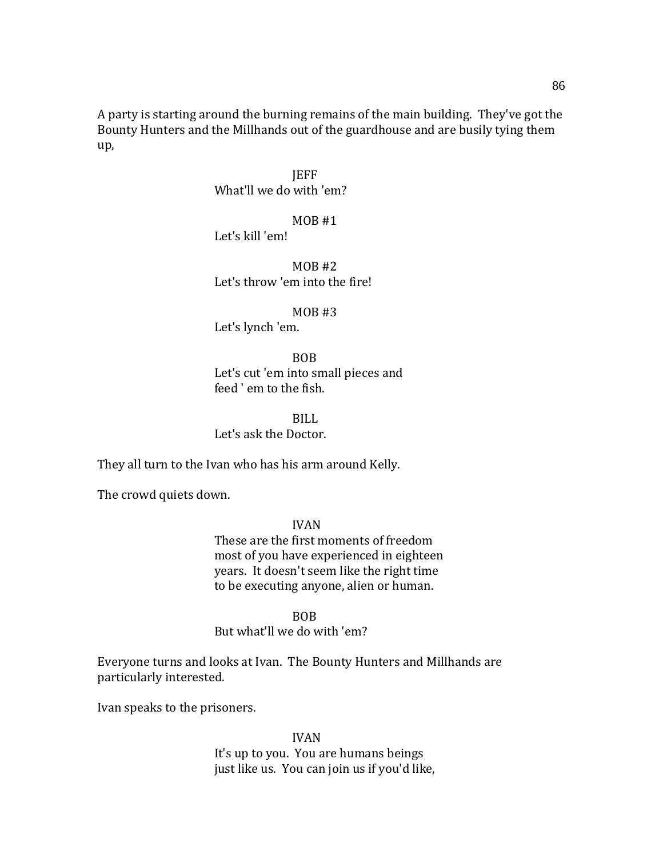A party is starting around the burning remains of the main building. They've got the Bounty Hunters and the Millhands out of the guardhouse and are busily tying them up,

> **IEFF** What'll we do with 'em?

> > MOB #1

Let's kill 'em!

 $MOR#2$ Let's throw 'em into the fire!

 $MOB$ #3

Let's lynch 'em.

BOB Let's cut 'em into small pieces and feed ' em to the fish.

BILL Let's ask the Doctor.

They all turn to the Ivan who has his arm around Kelly.

The crowd quiets down.

IVAN These are the first moments of freedom most of you have experienced in eighteen years. It doesn't seem like the right time to be executing anyone, alien or human.

BOB

But what'll we do with 'em?

Everyone turns and looks at Ivan. The Bounty Hunters and Millhands are particularly interested.

Ivan speaks to the prisoners.

IVAN It's up to you. You are humans beings just like us. You can join us if you'd like,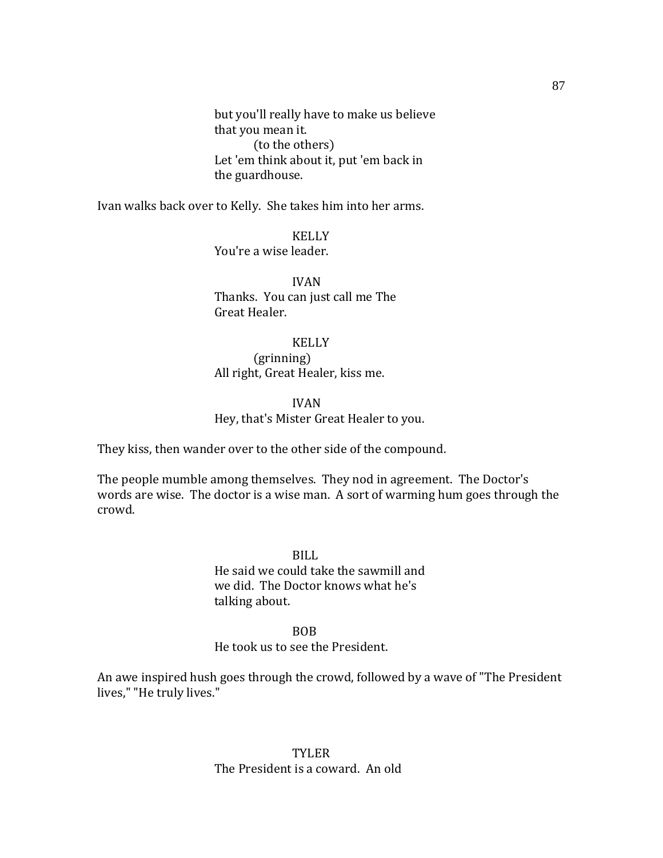but you'll really have to make us believe that you mean it. (to the others) Let 'em think about it, put 'em back in the guardhouse.

Ivan walks back over to Kelly. She takes him into her arms.

KELLY You're a wise leader.

IVAN Thanks. You can just call me The Great Healer.

## KELLY

(grinning) All right, Great Healer, kiss me.

#### IVAN

## Hey, that's Mister Great Healer to you.

They kiss, then wander over to the other side of the compound.

The people mumble among themselves. They nod in agreement. The Doctor's words are wise. The doctor is a wise man. A sort of warming hum goes through the crowd.

> BILL He said we could take the sawmill and we did. The Doctor knows what he's talking about.

# BOB

## He took us to see the President.

An awe inspired hush goes through the crowd, followed by a wave of "The President lives," "He truly lives."

## TYLER The President is a coward. An old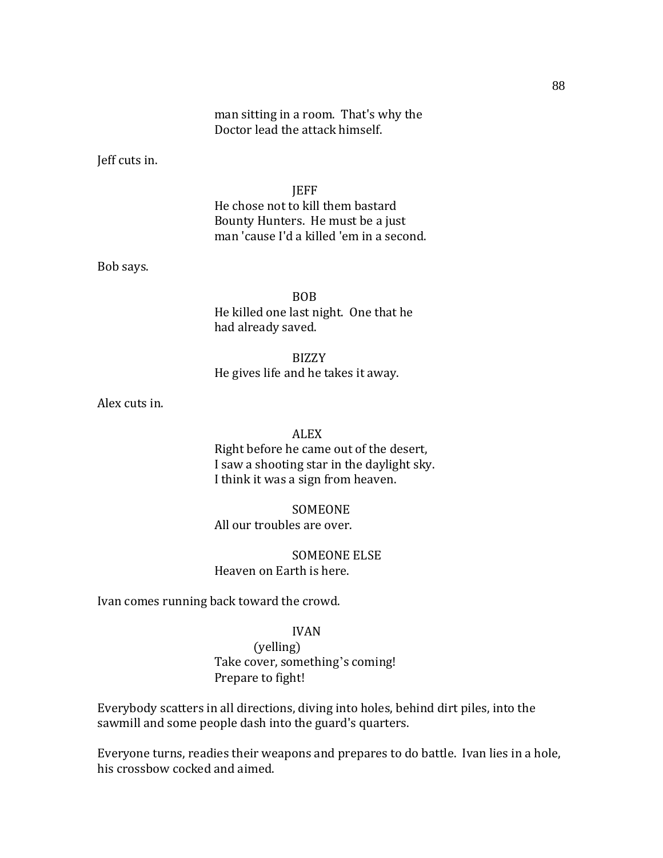## man sitting in a room. That's why the Doctor lead the attack himself.

Jeff cuts in.

JEFF He chose not to kill them bastard Bounty Hunters. He must be a just man 'cause I'd a killed 'em in a second.

Bob says.

BOB He killed one last night. One that he had already saved.

BIZZY He gives life and he takes it away.

Alex cuts in.

#### ALEX

Right before he came out of the desert, I saw a shooting star in the daylight sky. I think it was a sign from heaven.

#### SOMEONE

All our troubles are over.

### SOMEONE ELSE Heaven on Earth is here.

Ivan comes running back toward the crowd.

### IVAN

(yelling) Take cover, something's coming! Prepare to fight!

Everybody scatters in all directions, diving into holes, behind dirt piles, into the sawmill and some people dash into the guard's quarters.

Everyone turns, readies their weapons and prepares to do battle. Ivan lies in a hole, his crossbow cocked and aimed.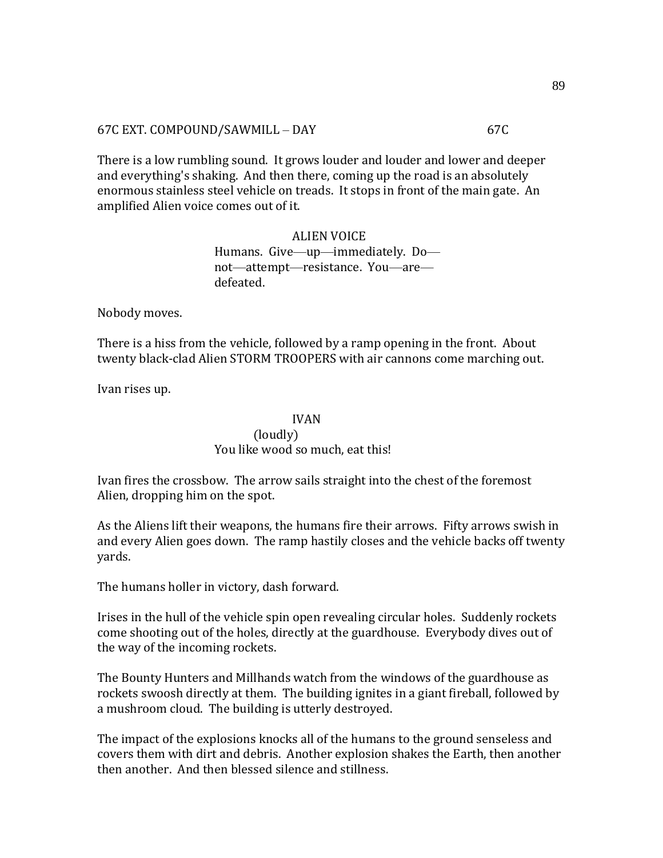### 67C EXT. COMPOUND/SAWMILL – DAY 67C

There is a low rumbling sound. It grows louder and louder and lower and deeper and everything's shaking. And then there, coming up the road is an absolutely enormous stainless steel vehicle on treads. It stops in front of the main gate. An amplified Alien voice comes out of it.

> ALIEN VOICE Humans. Give—up—immediately. Do not—attempt—resistance. You—are defeated.

Nobody moves.

There is a hiss from the vehicle, followed by a ramp opening in the front. About twenty black-clad Alien STORM TROOPERS with air cannons come marching out.

Ivan rises up.

### IVAN

## (loudly) You like wood so much, eat this!

Ivan fires the crossbow. The arrow sails straight into the chest of the foremost Alien, dropping him on the spot.

As the Aliens lift their weapons, the humans fire their arrows. Fifty arrows swish in and every Alien goes down. The ramp hastily closes and the vehicle backs off twenty yards.

The humans holler in victory, dash forward.

Irises in the hull of the vehicle spin open revealing circular holes. Suddenly rockets come shooting out of the holes, directly at the guardhouse. Everybody dives out of the way of the incoming rockets.

The Bounty Hunters and Millhands watch from the windows of the guardhouse as rockets swoosh directly at them. The building ignites in a giant fireball, followed by a mushroom cloud. The building is utterly destroyed.

The impact of the explosions knocks all of the humans to the ground senseless and covers them with dirt and debris. Another explosion shakes the Earth, then another then another. And then blessed silence and stillness.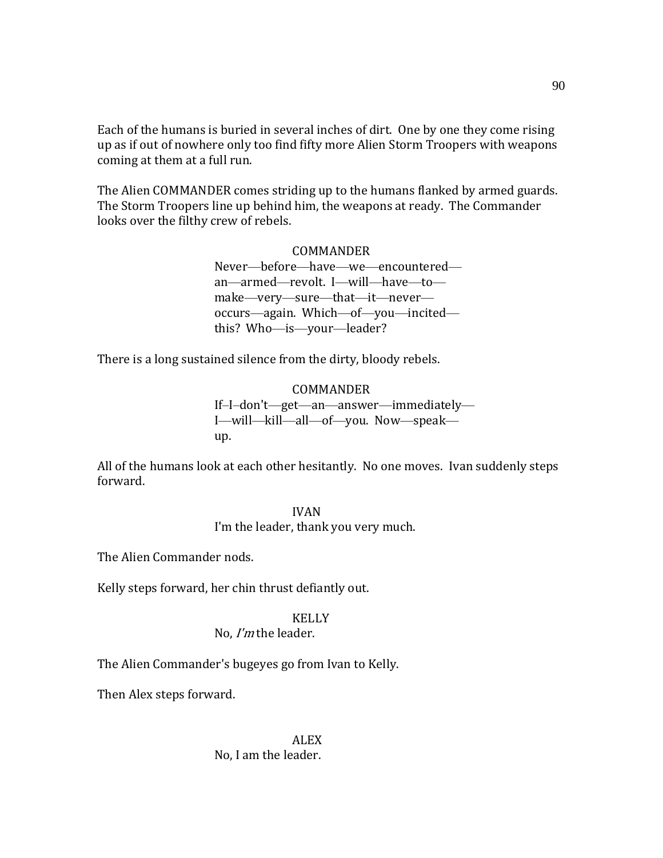Each of the humans is buried in several inches of dirt. One by one they come rising up as if out of nowhere only too find fifty more Alien Storm Troopers with weapons coming at them at a full run.

The Alien COMMANDER comes striding up to the humans flanked by armed guards. The Storm Troopers line up behind him, the weapons at ready. The Commander looks over the filthy crew of rebels.

### COMMANDER

Never—before—have—we—encountered an—armed—revolt. I—will—have—to make—very—sure—that—it—never occurs—again. Which—of—you—incited this? Who—is—your—leader?

There is a long sustained silence from the dirty, bloody rebels.

COMMANDER If–I–don't—get—an—answer—immediately— I—will—kill—all—of—you. Now—speak up.

All of the humans look at each other hesitantly. No one moves. Ivan suddenly steps forward.

#### IVAN

I'm the leader, thank you very much.

The Alien Commander nods.

Kelly steps forward, her chin thrust defiantly out.

### KELLY

## No, I'm the leader.

The Alien Commander's bugeyes go from Ivan to Kelly.

Then Alex steps forward.

## ALEX No, I am the leader.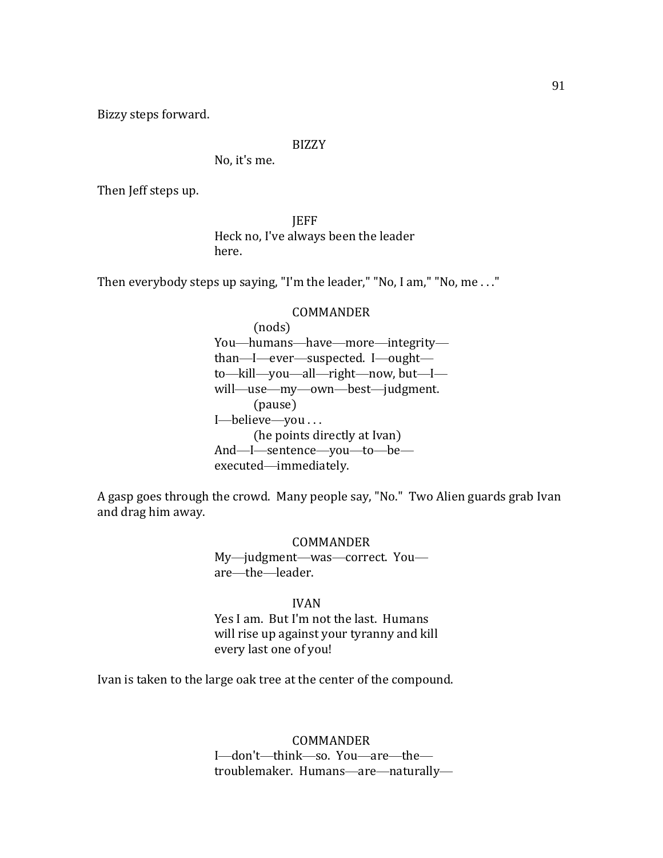Bizzy steps forward.

## BIZZY

No, it's me.

Then Jeff steps up.

**JEFF** Heck no, I've always been the leader here.

Then everybody steps up saying, "I'm the leader," "No, I am," "No, me . . ."

#### COMMANDER

(nods) You—humans—have—more—integrity than—I—ever—suspected. I—ought to—kill—you—all—right—now, but—I will—use—my—own—best—judgment. (pause) I—believe—you . . . (he points directly at Ivan) And—I—sentence—you—to—be executed—immediately.

A gasp goes through the crowd. Many people say, "No." Two Alien guards grab Ivan and drag him away.

> COMMANDER My—judgment—was—correct. You are—the—leader.

### IVAN

Yes I am. But I'm not the last. Humans will rise up against your tyranny and kill every last one of you!

Ivan is taken to the large oak tree at the center of the compound.

COMMANDER I—don't—think—so. You—are—the troublemaker. Humans—are—naturally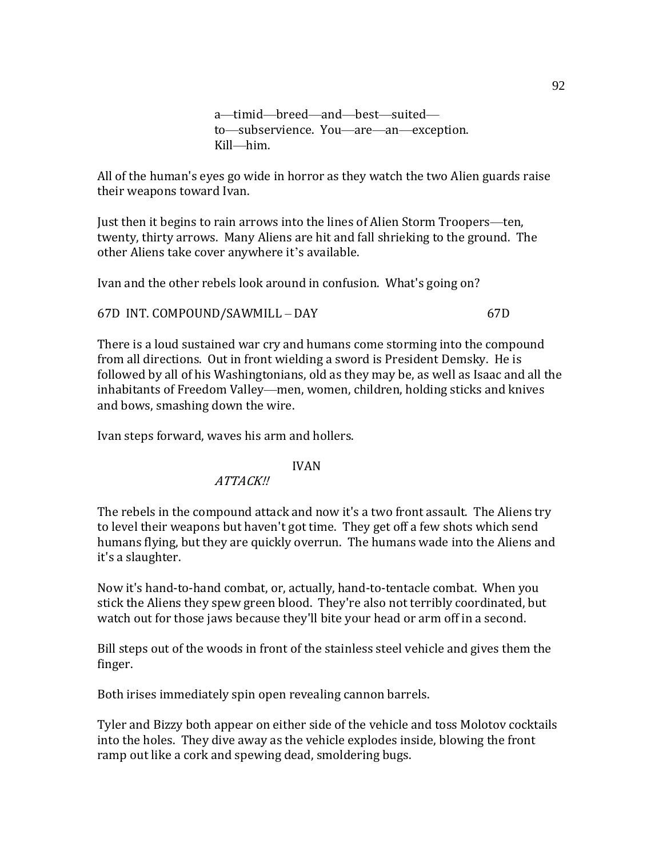a—timid—breed—and—best—suited to—subservience. You—are—an—exception. Kill—him.

All of the human's eyes go wide in horror as they watch the two Alien guards raise their weapons toward Ivan.

Just then it begins to rain arrows into the lines of Alien Storm Troopers—ten, twenty, thirty arrows. Many Aliens are hit and fall shrieking to the ground. The other Aliens take cover anywhere it's available.

Ivan and the other rebels look around in confusion. What's going on?

67D INT. COMPOUND/SAWMILL – DAY 67D

There is a loud sustained war cry and humans come storming into the compound from all directions. Out in front wielding a sword is President Demsky. He is followed by all of his Washingtonians, old as they may be, as well as Isaac and all the inhabitants of Freedom Valley—men, women, children, holding sticks and knives and bows, smashing down the wire.

Ivan steps forward, waves his arm and hollers.

## IVAN

ATTACK!!

The rebels in the compound attack and now it's a two front assault. The Aliens try to level their weapons but haven't got time. They get off a few shots which send humans flying, but they are quickly overrun. The humans wade into the Aliens and it's a slaughter.

Now it's hand-to-hand combat, or, actually, hand-to-tentacle combat. When you stick the Aliens they spew green blood. They're also not terribly coordinated, but watch out for those jaws because they'll bite your head or arm off in a second.

Bill steps out of the woods in front of the stainless steel vehicle and gives them the finger.

Both irises immediately spin open revealing cannon barrels.

Tyler and Bizzy both appear on either side of the vehicle and toss Molotov cocktails into the holes. They dive away as the vehicle explodes inside, blowing the front ramp out like a cork and spewing dead, smoldering bugs.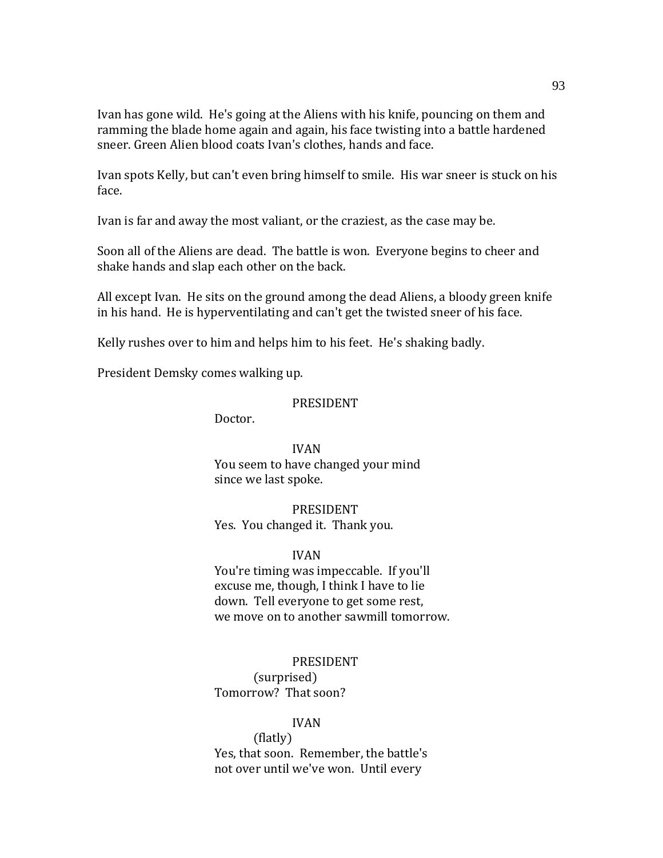Ivan has gone wild. He's going at the Aliens with his knife, pouncing on them and ramming the blade home again and again, his face twisting into a battle hardened sneer. Green Alien blood coats Ivan's clothes, hands and face.

Ivan spots Kelly, but can't even bring himself to smile. His war sneer is stuck on his face.

Ivan is far and away the most valiant, or the craziest, as the case may be.

Soon all of the Aliens are dead. The battle is won. Everyone begins to cheer and shake hands and slap each other on the back.

All except Ivan. He sits on the ground among the dead Aliens, a bloody green knife in his hand. He is hyperventilating and can't get the twisted sneer of his face.

Kelly rushes over to him and helps him to his feet. He's shaking badly.

President Demsky comes walking up.

### PRESIDENT

Doctor.

## IVAN

You seem to have changed your mind since we last spoke.

## PRESIDENT Yes. You changed it. Thank you.

## IVAN

You're timing was impeccable. If you'll excuse me, though, I think I have to lie down. Tell everyone to get some rest, we move on to another sawmill tomorrow.

### PRESIDENT

(surprised) Tomorrow? That soon?

## IVAN

(flatly) Yes, that soon. Remember, the battle's not over until we've won. Until every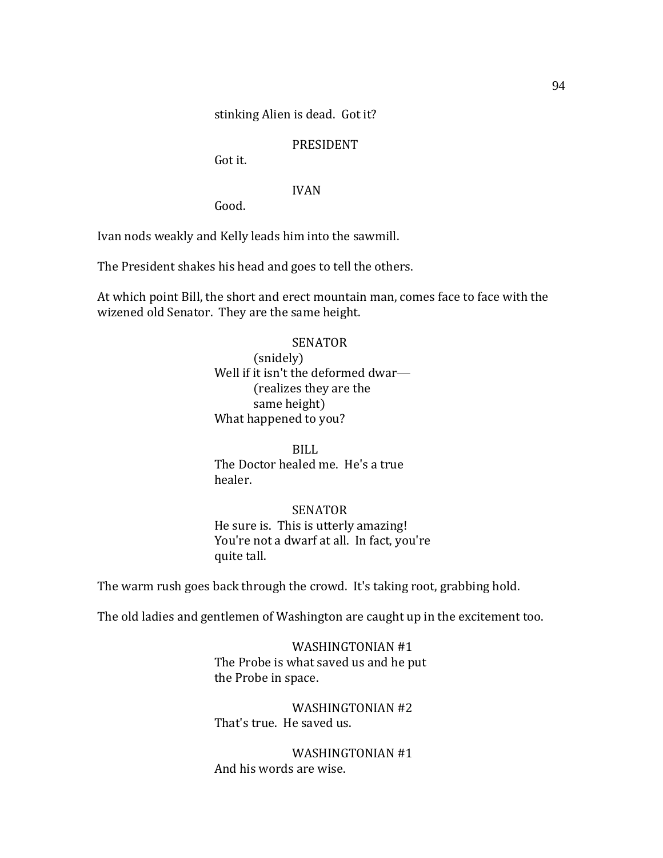stinking Alien is dead. Got it?

## PRESIDENT

Got it.

## IVAN

Good.

Ivan nods weakly and Kelly leads him into the sawmill.

The President shakes his head and goes to tell the others.

At which point Bill, the short and erect mountain man, comes face to face with the wizened old Senator. They are the same height.

### SENATOR

(snidely) Well if it isn't the deformed dwar-(realizes they are the same height) What happened to you?

BILL The Doctor healed me. He's a true healer.

### SENATOR

He sure is. This is utterly amazing! You're not a dwarf at all. In fact, you're quite tall.

The warm rush goes back through the crowd. It's taking root, grabbing hold.

The old ladies and gentlemen of Washington are caught up in the excitement too.

WASHINGTONIAN #1 The Probe is what saved us and he put the Probe in space.

WASHINGTONIAN #2 That's true. He saved us.

WASHINGTONIAN #1 And his words are wise.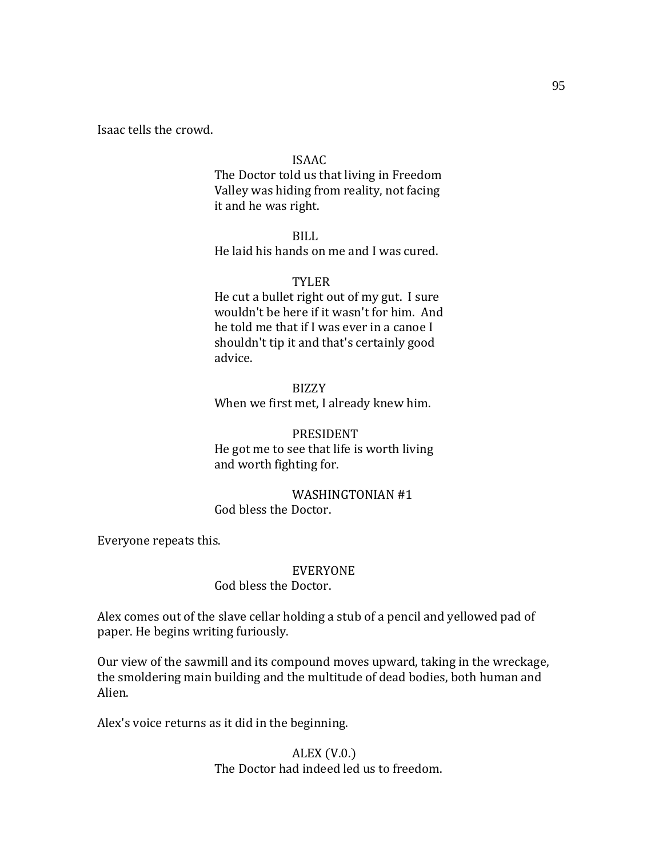Isaac tells the crowd.

### ISAAC

The Doctor told us that living in Freedom Valley was hiding from reality, not facing it and he was right.

BILL He laid his hands on me and I was cured.

### TYLER

He cut a bullet right out of my gut. I sure wouldn't be here if it wasn't for him. And he told me that if I was ever in a canoe I shouldn't tip it and that's certainly good advice.

BIZZY When we first met, I already knew him.

### PRESIDENT

He got me to see that life is worth living and worth fighting for.

### WASHINGTONIAN #1 God bless the Doctor.

Everyone repeats this.

#### EVERYONE

## God bless the Doctor.

Alex comes out of the slave cellar holding a stub of a pencil and yellowed pad of paper. He begins writing furiously.

Our view of the sawmill and its compound moves upward, taking in the wreckage, the smoldering main building and the multitude of dead bodies, both human and Alien.

Alex's voice returns as it did in the beginning.

## ALEX (V.0.) The Doctor had indeed led us to freedom.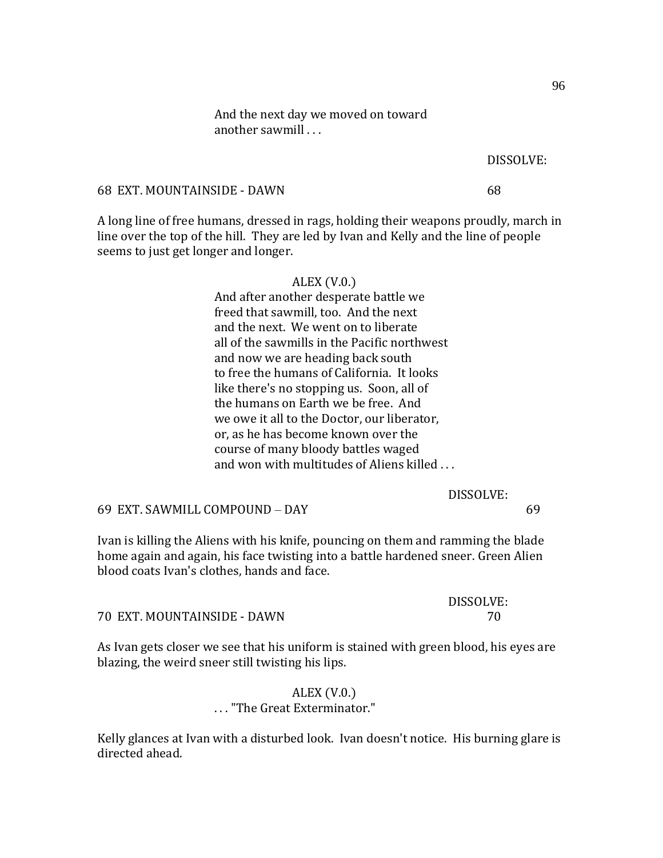And the next day we moved on toward another sawmill . . .

### DISSOLVE:

68 EXT. MOUNTAINSIDE - DAWN 68

A long line of free humans, dressed in rags, holding their weapons proudly, march in line over the top of the hill. They are led by Ivan and Kelly and the line of people seems to just get longer and longer.

| ALEX $(V.0.)$                                |
|----------------------------------------------|
| And after another desperate battle we        |
| freed that sawmill, too. And the next        |
| and the next. We went on to liberate         |
| all of the sawmills in the Pacific northwest |
| and now we are heading back south            |
| to free the humans of California. It looks   |
| like there's no stopping us. Soon, all of    |
| the humans on Earth we be free. And          |
| we owe it all to the Doctor, our liberator,  |
| or, as he has become known over the          |
| course of many bloody battles waged          |
| and won with multitudes of Aliens killed     |
|                                              |

DISSOLVE:

69 EXT. SAWMILL COMPOUND – DAY 69

Ivan is killing the Aliens with his knife, pouncing on them and ramming the blade home again and again, his face twisting into a battle hardened sneer. Green Alien blood coats Ivan's clothes, hands and face.

|                             | DISSOLVE: |
|-----------------------------|-----------|
| 70 EXT. MOUNTAINSIDE - DAWN |           |

As Ivan gets closer we see that his uniform is stained with green blood, his eyes are blazing, the weird sneer still twisting his lips.

> ALEX (V.0.) . . . "The Great Exterminator."

Kelly glances at Ivan with a disturbed look. Ivan doesn't notice. His burning glare is directed ahead.

96